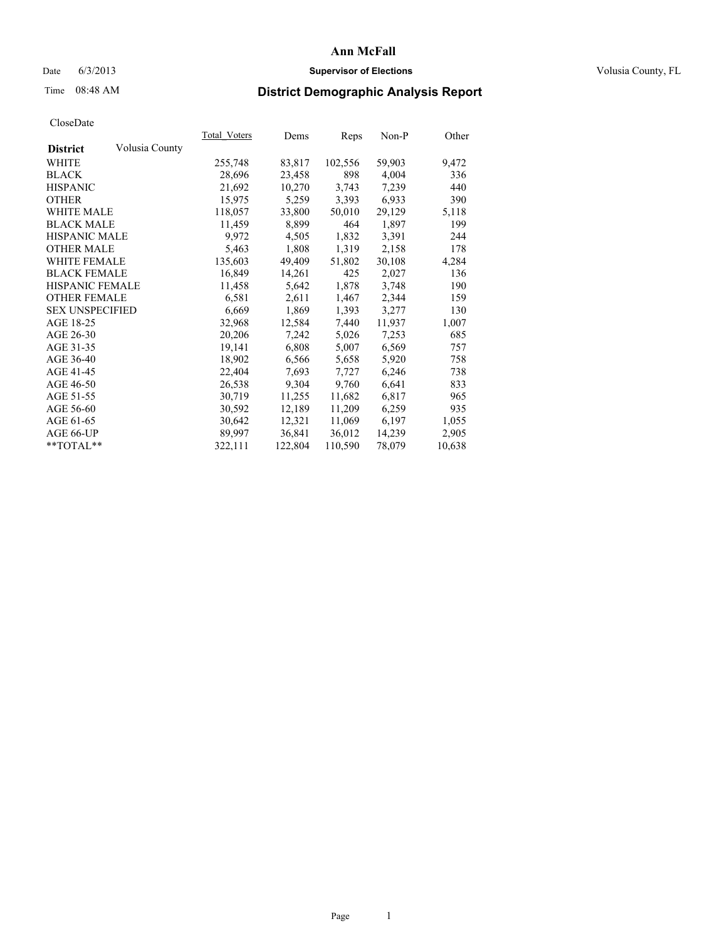### Date 6/3/2013 **Supervisor of Elections Supervisor of Elections** Volusia County, FL

## Time 08:48 AM **District Demographic Analysis Report**

|                        |                | Total Voters | Dems    | <b>Reps</b> | Non-P  | Other  |
|------------------------|----------------|--------------|---------|-------------|--------|--------|
| <b>District</b>        | Volusia County |              |         |             |        |        |
| WHITE                  |                | 255,748      | 83,817  | 102,556     | 59,903 | 9,472  |
| <b>BLACK</b>           |                | 28,696       | 23,458  | 898         | 4,004  | 336    |
| <b>HISPANIC</b>        |                | 21,692       | 10,270  | 3,743       | 7,239  | 440    |
| <b>OTHER</b>           |                | 15,975       | 5,259   | 3,393       | 6,933  | 390    |
| <b>WHITE MALE</b>      |                | 118,057      | 33,800  | 50,010      | 29,129 | 5,118  |
| <b>BLACK MALE</b>      |                | 11,459       | 8,899   | 464         | 1,897  | 199    |
| <b>HISPANIC MALE</b>   |                | 9,972        | 4,505   | 1,832       | 3,391  | 244    |
| <b>OTHER MALE</b>      |                | 5,463        | 1,808   | 1,319       | 2,158  | 178    |
| <b>WHITE FEMALE</b>    |                | 135,603      | 49,409  | 51,802      | 30,108 | 4,284  |
| <b>BLACK FEMALE</b>    |                | 16,849       | 14,261  | 425         | 2,027  | 136    |
| HISPANIC FEMALE        |                | 11,458       | 5,642   | 1,878       | 3,748  | 190    |
| <b>OTHER FEMALE</b>    |                | 6,581        | 2,611   | 1,467       | 2,344  | 159    |
| <b>SEX UNSPECIFIED</b> |                | 6,669        | 1,869   | 1,393       | 3,277  | 130    |
| AGE 18-25              |                | 32,968       | 12,584  | 7,440       | 11,937 | 1,007  |
| AGE 26-30              |                | 20,206       | 7,242   | 5,026       | 7,253  | 685    |
| AGE 31-35              |                | 19,141       | 6,808   | 5,007       | 6,569  | 757    |
| AGE 36-40              |                | 18,902       | 6,566   | 5,658       | 5,920  | 758    |
| AGE 41-45              |                | 22,404       | 7,693   | 7,727       | 6,246  | 738    |
| AGE 46-50              |                | 26,538       | 9,304   | 9,760       | 6,641  | 833    |
| AGE 51-55              |                | 30,719       | 11,255  | 11,682      | 6,817  | 965    |
| AGE 56-60              |                | 30,592       | 12,189  | 11,209      | 6,259  | 935    |
| AGE 61-65              |                | 30,642       | 12,321  | 11,069      | 6,197  | 1,055  |
| AGE 66-UP              |                | 89.997       | 36,841  | 36,012      | 14,239 | 2,905  |
| $*$ TOTAL $*$          |                | 322,111      | 122,804 | 110,590     | 78,079 | 10,638 |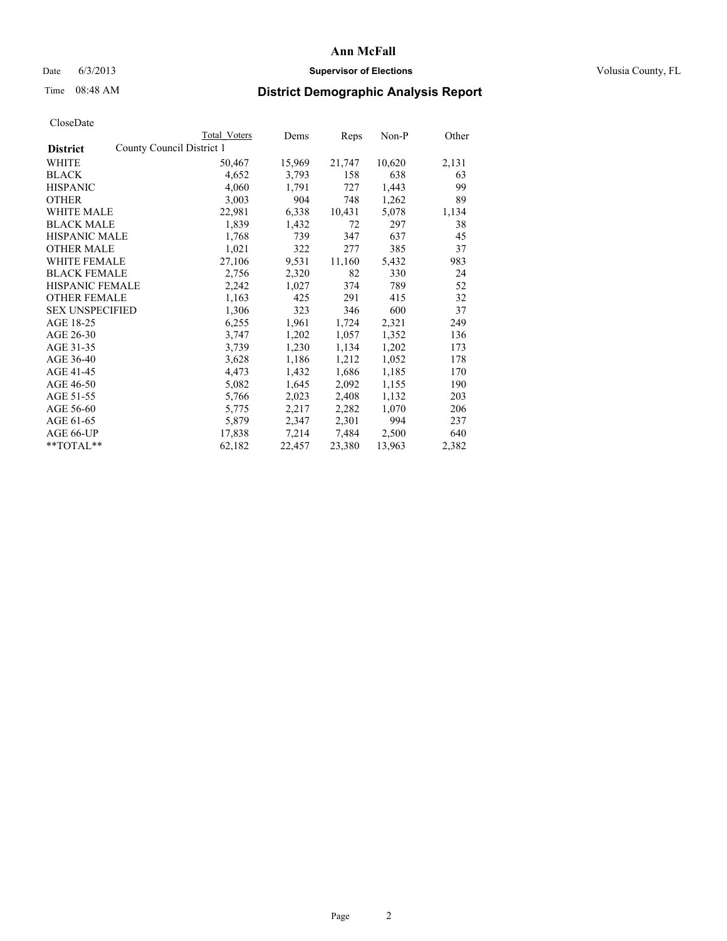### Date 6/3/2013 **Supervisor of Elections Supervisor of Elections** Volusia County, FL

## Time 08:48 AM **District Demographic Analysis Report**

|                                              | <b>Total Voters</b> | Dems   | Reps   | Non-P  | Other |
|----------------------------------------------|---------------------|--------|--------|--------|-------|
| County Council District 1<br><b>District</b> |                     |        |        |        |       |
| WHITE                                        | 50,467              | 15,969 | 21,747 | 10,620 | 2,131 |
| <b>BLACK</b>                                 | 4,652               | 3,793  | 158    | 638    | 63    |
| <b>HISPANIC</b>                              | 4,060               | 1,791  | 727    | 1,443  | 99    |
| <b>OTHER</b>                                 | 3,003               | 904    | 748    | 1,262  | 89    |
| WHITE MALE                                   | 22,981              | 6,338  | 10,431 | 5,078  | 1,134 |
| <b>BLACK MALE</b>                            | 1,839               | 1,432  | 72     | 297    | 38    |
| <b>HISPANIC MALE</b>                         | 1,768               | 739    | 347    | 637    | 45    |
| <b>OTHER MALE</b>                            | 1,021               | 322    | 277    | 385    | 37    |
| <b>WHITE FEMALE</b>                          | 27,106              | 9,531  | 11,160 | 5,432  | 983   |
| <b>BLACK FEMALE</b>                          | 2,756               | 2,320  | 82     | 330    | 24    |
| <b>HISPANIC FEMALE</b>                       | 2,242               | 1,027  | 374    | 789    | 52    |
| <b>OTHER FEMALE</b>                          | 1,163               | 425    | 291    | 415    | 32    |
| <b>SEX UNSPECIFIED</b>                       | 1,306               | 323    | 346    | 600    | 37    |
| AGE 18-25                                    | 6,255               | 1,961  | 1,724  | 2,321  | 249   |
| AGE 26-30                                    | 3,747               | 1,202  | 1,057  | 1,352  | 136   |
| AGE 31-35                                    | 3,739               | 1,230  | 1,134  | 1,202  | 173   |
| AGE 36-40                                    | 3,628               | 1,186  | 1,212  | 1,052  | 178   |
| AGE 41-45                                    | 4,473               | 1,432  | 1,686  | 1,185  | 170   |
| AGE 46-50                                    | 5,082               | 1,645  | 2,092  | 1,155  | 190   |
| AGE 51-55                                    | 5,766               | 2,023  | 2,408  | 1,132  | 203   |
| AGE 56-60                                    | 5,775               | 2,217  | 2,282  | 1,070  | 206   |
| AGE 61-65                                    | 5,879               | 2,347  | 2,301  | 994    | 237   |
| AGE 66-UP                                    | 17,838              | 7,214  | 7,484  | 2,500  | 640   |
| **TOTAL**                                    | 62,182              | 22,457 | 23,380 | 13,963 | 2,382 |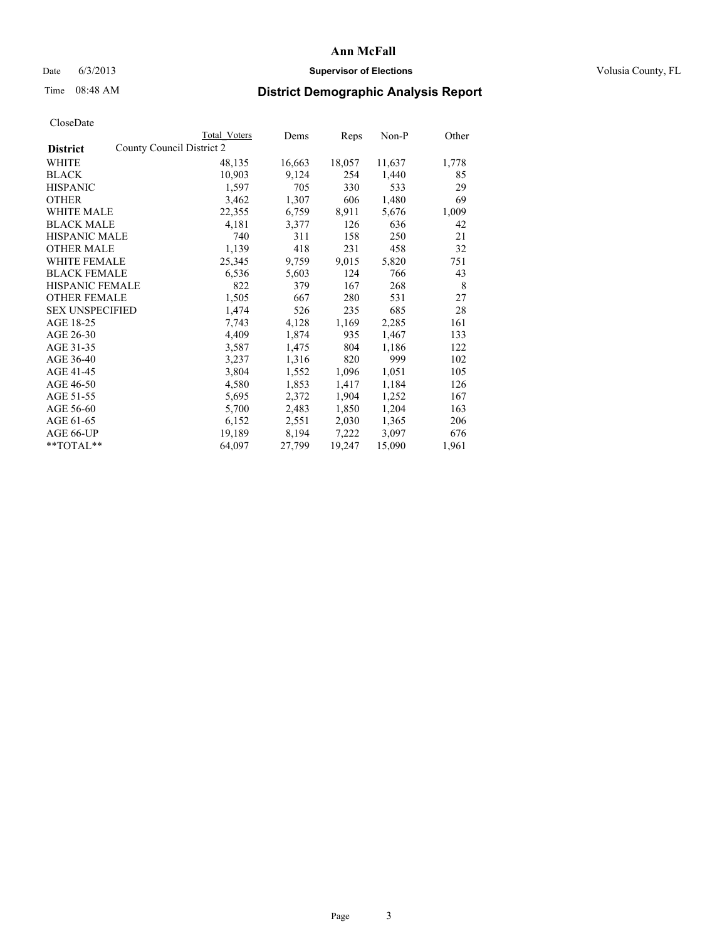### Date 6/3/2013 **Supervisor of Elections Supervisor of Elections** Volusia County, FL

## Time 08:48 AM **District Demographic Analysis Report**

|                                              | Total Voters | Dems   | <b>Reps</b> | Non-P  | Other |
|----------------------------------------------|--------------|--------|-------------|--------|-------|
| County Council District 2<br><b>District</b> |              |        |             |        |       |
| WHITE                                        | 48,135       | 16,663 | 18,057      | 11,637 | 1,778 |
| <b>BLACK</b>                                 | 10,903       | 9,124  | 254         | 1,440  | 85    |
| <b>HISPANIC</b>                              | 1,597        | 705    | 330         | 533    | 29    |
| <b>OTHER</b>                                 | 3,462        | 1,307  | 606         | 1,480  | 69    |
| WHITE MALE                                   | 22,355       | 6,759  | 8,911       | 5,676  | 1,009 |
| <b>BLACK MALE</b>                            | 4,181        | 3,377  | 126         | 636    | 42    |
| <b>HISPANIC MALE</b>                         | 740          | 311    | 158         | 250    | 21    |
| <b>OTHER MALE</b>                            | 1,139        | 418    | 231         | 458    | 32    |
| <b>WHITE FEMALE</b>                          | 25,345       | 9,759  | 9,015       | 5,820  | 751   |
| <b>BLACK FEMALE</b>                          | 6,536        | 5,603  | 124         | 766    | 43    |
| <b>HISPANIC FEMALE</b>                       | 822          | 379    | 167         | 268    | 8     |
| <b>OTHER FEMALE</b>                          | 1,505        | 667    | 280         | 531    | 27    |
| <b>SEX UNSPECIFIED</b>                       | 1,474        | 526    | 235         | 685    | 28    |
| AGE 18-25                                    | 7,743        | 4,128  | 1,169       | 2,285  | 161   |
| AGE 26-30                                    | 4,409        | 1,874  | 935         | 1,467  | 133   |
| AGE 31-35                                    | 3,587        | 1,475  | 804         | 1,186  | 122   |
| AGE 36-40                                    | 3,237        | 1,316  | 820         | 999    | 102   |
| AGE 41-45                                    | 3,804        | 1,552  | 1,096       | 1,051  | 105   |
| AGE 46-50                                    | 4,580        | 1,853  | 1,417       | 1,184  | 126   |
| AGE 51-55                                    | 5,695        | 2,372  | 1,904       | 1,252  | 167   |
| AGE 56-60                                    | 5,700        | 2,483  | 1,850       | 1,204  | 163   |
| AGE 61-65                                    | 6,152        | 2,551  | 2,030       | 1,365  | 206   |
| AGE 66-UP                                    | 19,189       | 8,194  | 7,222       | 3,097  | 676   |
| $*$ TOTAL $*$                                | 64,097       | 27,799 | 19,247      | 15,090 | 1,961 |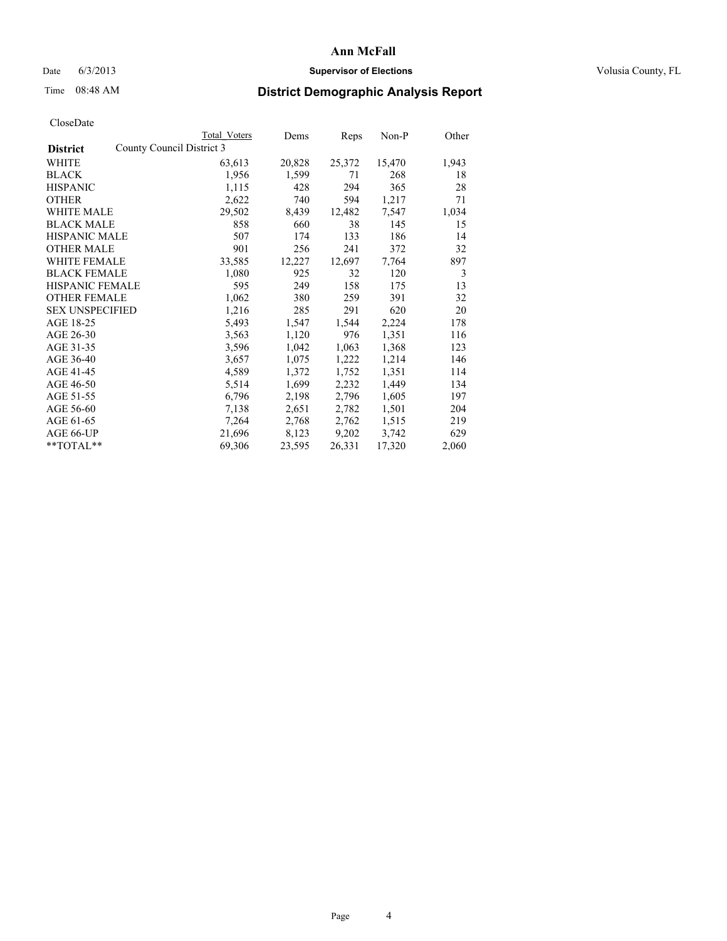### Date 6/3/2013 **Supervisor of Elections Supervisor of Elections** Volusia County, FL

## Time 08:48 AM **District Demographic Analysis Report**

|                        | Total Voters              | Dems   | <b>Reps</b> | $Non-P$ | Other |
|------------------------|---------------------------|--------|-------------|---------|-------|
| <b>District</b>        | County Council District 3 |        |             |         |       |
| WHITE                  | 63,613                    | 20,828 | 25,372      | 15,470  | 1,943 |
| <b>BLACK</b>           | 1,956                     | 1,599  | 71          | 268     | 18    |
| <b>HISPANIC</b>        | 1,115                     | 428    | 294         | 365     | 28    |
| <b>OTHER</b>           | 2,622                     | 740    | 594         | 1,217   | 71    |
| <b>WHITE MALE</b>      | 29,502                    | 8,439  | 12,482      | 7,547   | 1,034 |
| <b>BLACK MALE</b>      | 858                       | 660    | 38          | 145     | 15    |
| <b>HISPANIC MALE</b>   | 507                       | 174    | 133         | 186     | 14    |
| <b>OTHER MALE</b>      | 901                       | 256    | 241         | 372     | 32    |
| <b>WHITE FEMALE</b>    | 33,585                    | 12,227 | 12,697      | 7.764   | 897   |
| <b>BLACK FEMALE</b>    | 1,080                     | 925    | 32          | 120     | 3     |
| <b>HISPANIC FEMALE</b> | 595                       | 249    | 158         | 175     | 13    |
| <b>OTHER FEMALE</b>    | 1,062                     | 380    | 259         | 391     | 32    |
| <b>SEX UNSPECIFIED</b> | 1,216                     | 285    | 291         | 620     | 20    |
| AGE 18-25              | 5,493                     | 1,547  | 1,544       | 2,224   | 178   |
| AGE 26-30              | 3,563                     | 1,120  | 976         | 1,351   | 116   |
| AGE 31-35              | 3,596                     | 1,042  | 1,063       | 1,368   | 123   |
| AGE 36-40              | 3,657                     | 1,075  | 1,222       | 1,214   | 146   |
| AGE 41-45              | 4,589                     | 1,372  | 1,752       | 1,351   | 114   |
| AGE 46-50              | 5,514                     | 1,699  | 2,232       | 1,449   | 134   |
| AGE 51-55              | 6,796                     | 2,198  | 2,796       | 1,605   | 197   |
| AGE 56-60              | 7,138                     | 2,651  | 2,782       | 1,501   | 204   |
| AGE 61-65              | 7.264                     | 2,768  | 2,762       | 1,515   | 219   |
| AGE 66-UP              | 21,696                    | 8,123  | 9,202       | 3,742   | 629   |
| $*$ TOTAL $*$          | 69,306                    | 23,595 | 26,331      | 17,320  | 2,060 |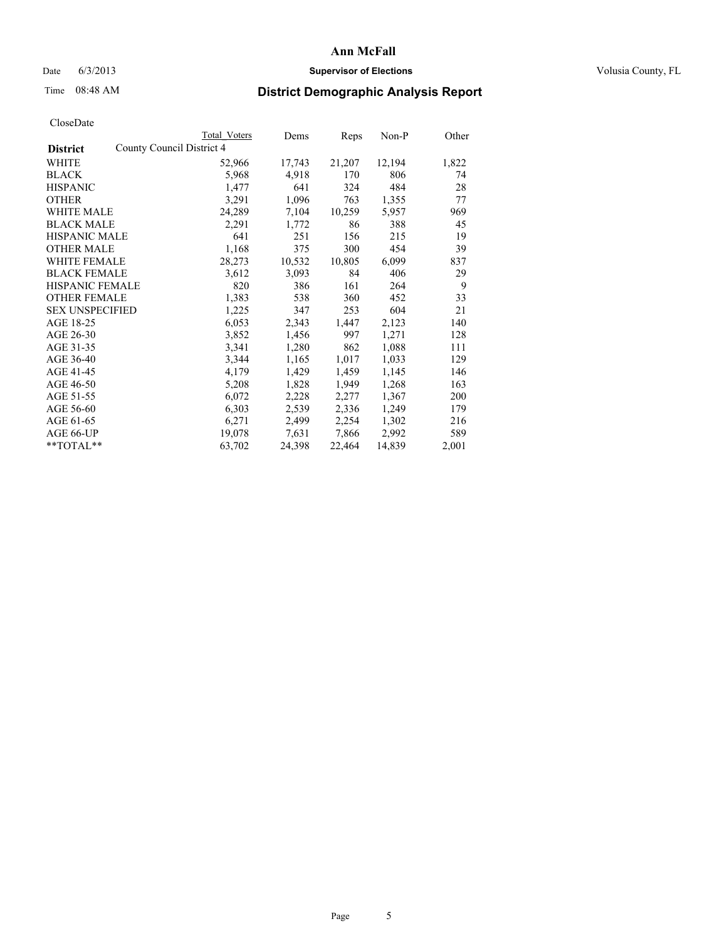### Date 6/3/2013 **Supervisor of Elections Supervisor of Elections** Volusia County, FL

## Time 08:48 AM **District Demographic Analysis Report**

|                                              | <b>Total Voters</b> | Dems   | Reps   | $Non-P$ | Other |
|----------------------------------------------|---------------------|--------|--------|---------|-------|
| County Council District 4<br><b>District</b> |                     |        |        |         |       |
| WHITE                                        | 52,966              | 17,743 | 21,207 | 12,194  | 1,822 |
| <b>BLACK</b>                                 | 5,968               | 4,918  | 170    | 806     | 74    |
| <b>HISPANIC</b>                              | 1,477               | 641    | 324    | 484     | 28    |
| <b>OTHER</b>                                 | 3,291               | 1,096  | 763    | 1,355   | 77    |
| WHITE MALE                                   | 24,289              | 7,104  | 10,259 | 5,957   | 969   |
| <b>BLACK MALE</b>                            | 2,291               | 1,772  | 86     | 388     | 45    |
| <b>HISPANIC MALE</b>                         | 641                 | 251    | 156    | 215     | 19    |
| <b>OTHER MALE</b>                            | 1,168               | 375    | 300    | 454     | 39    |
| <b>WHITE FEMALE</b>                          | 28,273              | 10,532 | 10,805 | 6,099   | 837   |
| <b>BLACK FEMALE</b>                          | 3,612               | 3,093  | 84     | 406     | 29    |
| HISPANIC FEMALE                              | 820                 | 386    | 161    | 264     | 9     |
| <b>OTHER FEMALE</b>                          | 1,383               | 538    | 360    | 452     | 33    |
| <b>SEX UNSPECIFIED</b>                       | 1,225               | 347    | 253    | 604     | 21    |
| AGE 18-25                                    | 6,053               | 2,343  | 1,447  | 2,123   | 140   |
| AGE 26-30                                    | 3,852               | 1,456  | 997    | 1,271   | 128   |
| AGE 31-35                                    | 3,341               | 1,280  | 862    | 1,088   | 111   |
| AGE 36-40                                    | 3,344               | 1,165  | 1,017  | 1,033   | 129   |
| AGE 41-45                                    | 4,179               | 1,429  | 1,459  | 1,145   | 146   |
| AGE 46-50                                    | 5,208               | 1,828  | 1,949  | 1,268   | 163   |
| AGE 51-55                                    | 6,072               | 2,228  | 2,277  | 1,367   | 200   |
| AGE 56-60                                    | 6,303               | 2,539  | 2,336  | 1,249   | 179   |
| AGE 61-65                                    | 6,271               | 2,499  | 2,254  | 1,302   | 216   |
| AGE 66-UP                                    | 19,078              | 7,631  | 7,866  | 2,992   | 589   |
| $*$ $TOTAL**$                                | 63,702              | 24,398 | 22,464 | 14,839  | 2,001 |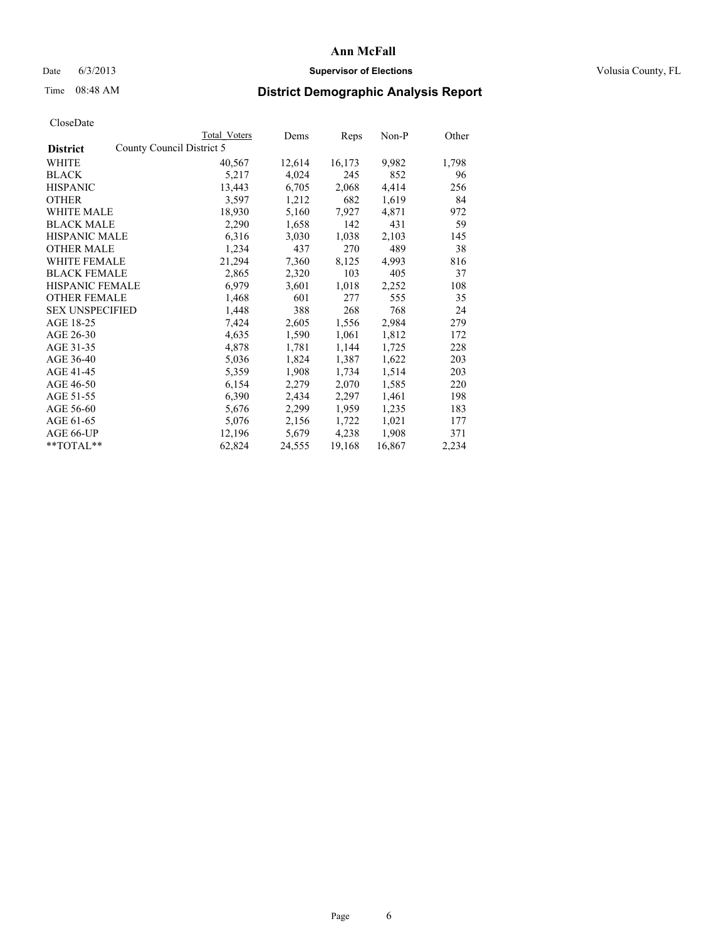### Date 6/3/2013 **Supervisor of Elections Supervisor of Elections** Volusia County, FL

## Time 08:48 AM **District Demographic Analysis Report**

|                        |                           | Total Voters | Dems   | Reps   | Non-P  | Other |
|------------------------|---------------------------|--------------|--------|--------|--------|-------|
| <b>District</b>        | County Council District 5 |              |        |        |        |       |
| WHITE                  |                           | 40,567       | 12,614 | 16,173 | 9,982  | 1,798 |
| <b>BLACK</b>           |                           | 5,217        | 4,024  | 245    | 852    | 96    |
| <b>HISPANIC</b>        |                           | 13,443       | 6,705  | 2,068  | 4,414  | 256   |
| <b>OTHER</b>           |                           | 3,597        | 1,212  | 682    | 1,619  | 84    |
| <b>WHITE MALE</b>      |                           | 18,930       | 5,160  | 7,927  | 4,871  | 972   |
| <b>BLACK MALE</b>      |                           | 2,290        | 1,658  | 142    | 431    | 59    |
| <b>HISPANIC MALE</b>   |                           | 6,316        | 3,030  | 1,038  | 2,103  | 145   |
| <b>OTHER MALE</b>      |                           | 1,234        | 437    | 270    | 489    | 38    |
| <b>WHITE FEMALE</b>    |                           | 21,294       | 7,360  | 8,125  | 4,993  | 816   |
| <b>BLACK FEMALE</b>    |                           | 2,865        | 2,320  | 103    | 405    | 37    |
| HISPANIC FEMALE        |                           | 6,979        | 3,601  | 1,018  | 2,252  | 108   |
| <b>OTHER FEMALE</b>    |                           | 1,468        | 601    | 277    | 555    | 35    |
| <b>SEX UNSPECIFIED</b> |                           | 1,448        | 388    | 268    | 768    | 24    |
| AGE 18-25              |                           | 7,424        | 2,605  | 1,556  | 2,984  | 279   |
| AGE 26-30              |                           | 4,635        | 1,590  | 1,061  | 1,812  | 172   |
| AGE 31-35              |                           | 4,878        | 1,781  | 1,144  | 1,725  | 228   |
| AGE 36-40              |                           | 5,036        | 1,824  | 1,387  | 1,622  | 203   |
| AGE 41-45              |                           | 5,359        | 1,908  | 1,734  | 1,514  | 203   |
| AGE 46-50              |                           | 6,154        | 2,279  | 2,070  | 1,585  | 220   |
| AGE 51-55              |                           | 6,390        | 2,434  | 2,297  | 1,461  | 198   |
| AGE 56-60              |                           | 5,676        | 2,299  | 1,959  | 1,235  | 183   |
| AGE 61-65              |                           | 5,076        | 2,156  | 1,722  | 1,021  | 177   |
| AGE 66-UP              |                           | 12,196       | 5,679  | 4,238  | 1,908  | 371   |
| $*$ $TOTAL**$          |                           | 62,824       | 24,555 | 19,168 | 16,867 | 2,234 |
|                        |                           |              |        |        |        |       |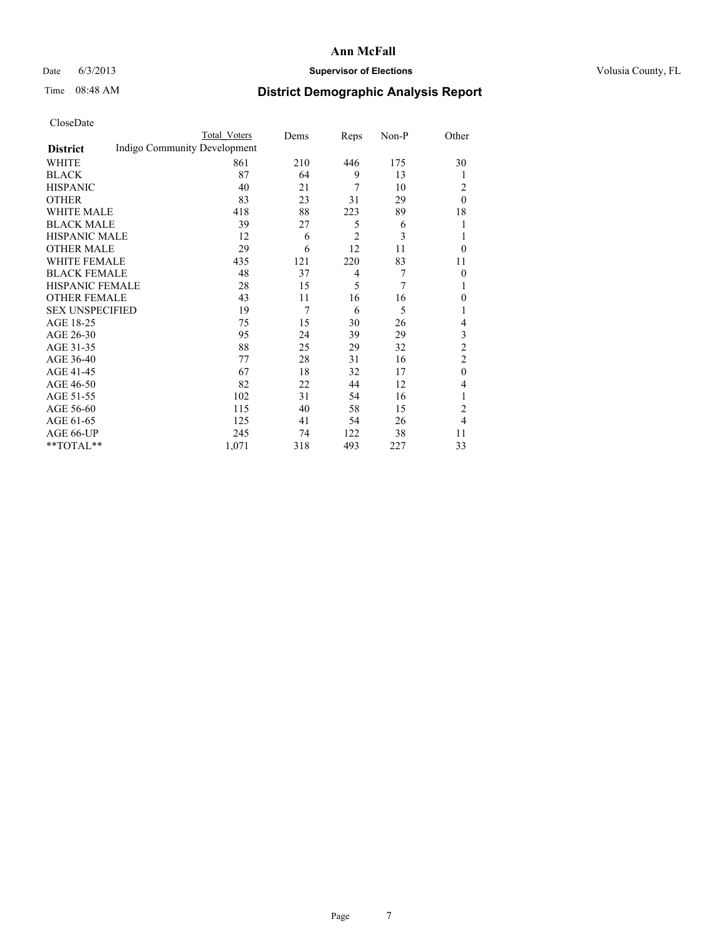### Date 6/3/2013 **Supervisor of Elections Supervisor of Elections** Volusia County, FL

## Time 08:48 AM **District Demographic Analysis Report**

|                        |                              | <b>Total Voters</b> | Dems | Reps           | Non-P | Other          |
|------------------------|------------------------------|---------------------|------|----------------|-------|----------------|
| <b>District</b>        | Indigo Community Development |                     |      |                |       |                |
| WHITE                  |                              | 861                 | 210  | 446            | 175   | 30             |
| <b>BLACK</b>           |                              | 87                  | 64   | 9              | 13    | 1              |
| <b>HISPANIC</b>        |                              | 40                  | 21   | 7              | 10    | 2              |
| <b>OTHER</b>           |                              | 83                  | 23   | 31             | 29    | $\theta$       |
| WHITE MALE             |                              | 418                 | 88   | 223            | 89    | 18             |
| <b>BLACK MALE</b>      |                              | 39                  | 27   | 5              | 6     | 1              |
| <b>HISPANIC MALE</b>   |                              | 12                  | 6    | $\overline{2}$ | 3     | 1              |
| <b>OTHER MALE</b>      |                              | 29                  | 6    | 12             | 11    | $\theta$       |
| WHITE FEMALE           |                              | 435                 | 121  | 220            | 83    | 11             |
| <b>BLACK FEMALE</b>    |                              | 48                  | 37   | $\overline{4}$ | 7     | $\overline{0}$ |
| <b>HISPANIC FEMALE</b> |                              | 28                  | 15   | 5              | 7     | 1              |
| <b>OTHER FEMALE</b>    |                              | 43                  | 11   | 16             | 16    | $\theta$       |
| <b>SEX UNSPECIFIED</b> |                              | 19                  | 7    | 6              | 5     | 1              |
| AGE 18-25              |                              | 75                  | 15   | 30             | 26    | 4              |
| AGE 26-30              |                              | 95                  | 24   | 39             | 29    | 3              |
| AGE 31-35              |                              | 88                  | 25   | 29             | 32    | $\overline{c}$ |
| AGE 36-40              |                              | 77                  | 28   | 31             | 16    | $\overline{2}$ |
| AGE 41-45              |                              | 67                  | 18   | 32             | 17    | $\theta$       |
| AGE 46-50              |                              | 82                  | 22   | 44             | 12    | 4              |
| AGE 51-55              |                              | 102                 | 31   | 54             | 16    | 1              |
| AGE 56-60              |                              | 115                 | 40   | 58             | 15    | $\overline{2}$ |
| AGE 61-65              |                              | 125                 | 41   | 54             | 26    | $\overline{4}$ |
| AGE 66-UP              |                              | 245                 | 74   | 122            | 38    | 11             |
| **TOTAL**              |                              | 1,071               | 318  | 493            | 227   | 33             |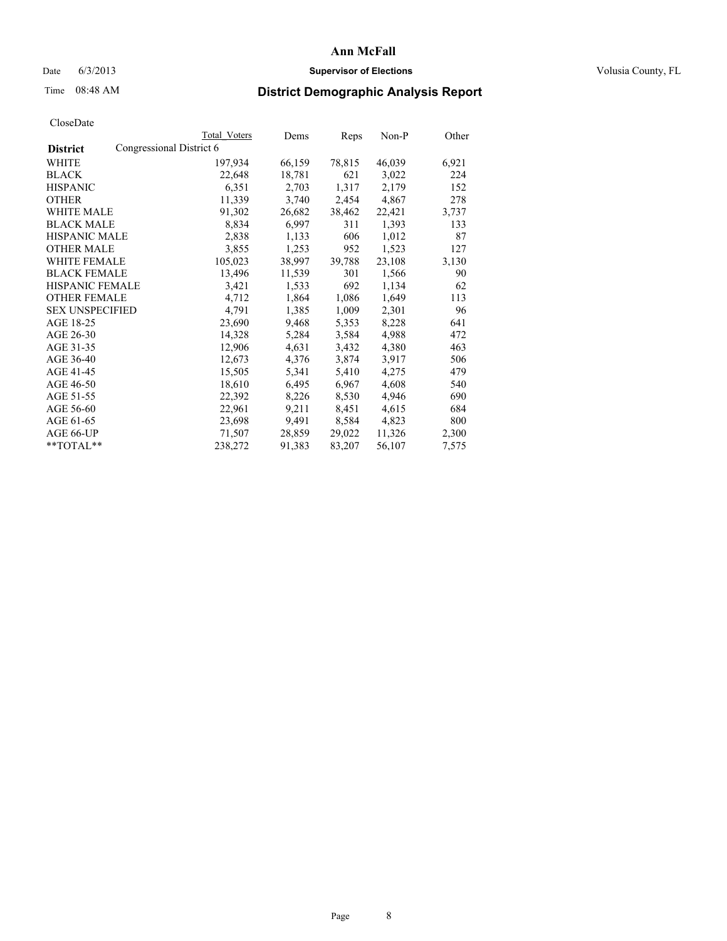#### Date 6/3/2013 **Supervisor of Elections Supervisor of Elections** Volusia County, FL

## Time 08:48 AM **District Demographic Analysis Report**

|                                             | Total Voters | Dems   | <b>Reps</b> | Non-P  | Other |
|---------------------------------------------|--------------|--------|-------------|--------|-------|
| Congressional District 6<br><b>District</b> |              |        |             |        |       |
| WHITE                                       | 197,934      | 66,159 | 78,815      | 46,039 | 6,921 |
| <b>BLACK</b>                                | 22,648       | 18,781 | 621         | 3,022  | 224   |
| <b>HISPANIC</b>                             | 6,351        | 2,703  | 1,317       | 2,179  | 152   |
| <b>OTHER</b>                                | 11,339       | 3,740  | 2,454       | 4,867  | 278   |
| WHITE MALE                                  | 91,302       | 26,682 | 38,462      | 22,421 | 3,737 |
| <b>BLACK MALE</b>                           | 8,834        | 6,997  | 311         | 1,393  | 133   |
| <b>HISPANIC MALE</b>                        | 2,838        | 1,133  | 606         | 1,012  | 87    |
| <b>OTHER MALE</b>                           | 3,855        | 1,253  | 952         | 1,523  | 127   |
| WHITE FEMALE                                | 105,023      | 38,997 | 39,788      | 23,108 | 3,130 |
| <b>BLACK FEMALE</b>                         | 13,496       | 11,539 | 301         | 1,566  | 90    |
| <b>HISPANIC FEMALE</b>                      | 3,421        | 1,533  | 692         | 1,134  | 62    |
| <b>OTHER FEMALE</b>                         | 4,712        | 1,864  | 1,086       | 1,649  | 113   |
| <b>SEX UNSPECIFIED</b>                      | 4,791        | 1,385  | 1,009       | 2,301  | 96    |
| AGE 18-25                                   | 23,690       | 9,468  | 5,353       | 8,228  | 641   |
| AGE 26-30                                   | 14,328       | 5,284  | 3,584       | 4,988  | 472   |
| AGE 31-35                                   | 12,906       | 4,631  | 3,432       | 4,380  | 463   |
| AGE 36-40                                   | 12,673       | 4,376  | 3,874       | 3,917  | 506   |
| AGE 41-45                                   | 15,505       | 5,341  | 5,410       | 4,275  | 479   |
| AGE 46-50                                   | 18,610       | 6,495  | 6,967       | 4,608  | 540   |
| AGE 51-55                                   | 22,392       | 8,226  | 8,530       | 4,946  | 690   |
| AGE 56-60                                   | 22,961       | 9,211  | 8,451       | 4,615  | 684   |
| AGE 61-65                                   | 23,698       | 9,491  | 8,584       | 4,823  | 800   |
| AGE 66-UP                                   | 71,507       | 28,859 | 29,022      | 11,326 | 2,300 |
| $*$ TOTAL $*$                               | 238,272      | 91,383 | 83,207      | 56,107 | 7,575 |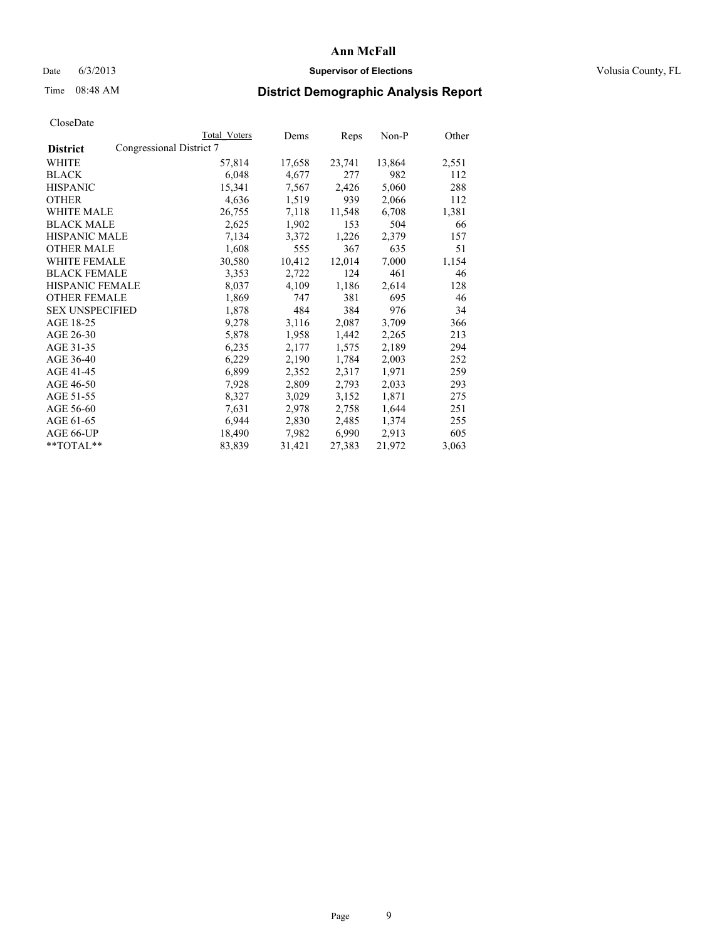### Date 6/3/2013 **Supervisor of Elections Supervisor of Elections** Volusia County, FL

## Time 08:48 AM **District Demographic Analysis Report**

|                                             | Total Voters | Dems   | Reps   | Non-P  | Other |
|---------------------------------------------|--------------|--------|--------|--------|-------|
| Congressional District 7<br><b>District</b> |              |        |        |        |       |
| WHITE                                       | 57,814       | 17,658 | 23,741 | 13,864 | 2,551 |
| <b>BLACK</b>                                | 6,048        | 4,677  | 277    | 982    | 112   |
| <b>HISPANIC</b>                             | 15,341       | 7,567  | 2,426  | 5,060  | 288   |
| <b>OTHER</b>                                | 4,636        | 1,519  | 939    | 2,066  | 112   |
| WHITE MALE                                  | 26,755       | 7,118  | 11,548 | 6,708  | 1,381 |
| <b>BLACK MALE</b>                           | 2,625        | 1,902  | 153    | 504    | 66    |
| <b>HISPANIC MALE</b>                        | 7,134        | 3,372  | 1,226  | 2,379  | 157   |
| <b>OTHER MALE</b>                           | 1,608        | 555    | 367    | 635    | 51    |
| WHITE FEMALE                                | 30,580       | 10,412 | 12,014 | 7,000  | 1,154 |
| <b>BLACK FEMALE</b>                         | 3,353        | 2,722  | 124    | 461    | 46    |
| <b>HISPANIC FEMALE</b>                      | 8,037        | 4,109  | 1,186  | 2,614  | 128   |
| <b>OTHER FEMALE</b>                         | 1,869        | 747    | 381    | 695    | 46    |
| <b>SEX UNSPECIFIED</b>                      | 1,878        | 484    | 384    | 976    | 34    |
| AGE 18-25                                   | 9,278        | 3,116  | 2,087  | 3,709  | 366   |
| AGE 26-30                                   | 5,878        | 1,958  | 1,442  | 2,265  | 213   |
| AGE 31-35                                   | 6,235        | 2,177  | 1,575  | 2,189  | 294   |
| AGE 36-40                                   | 6,229        | 2,190  | 1,784  | 2,003  | 252   |
| AGE 41-45                                   | 6,899        | 2,352  | 2,317  | 1,971  | 259   |
| AGE 46-50                                   | 7,928        | 2,809  | 2,793  | 2,033  | 293   |
| AGE 51-55                                   | 8,327        | 3,029  | 3,152  | 1,871  | 275   |
| AGE 56-60                                   | 7,631        | 2,978  | 2,758  | 1,644  | 251   |
| AGE 61-65                                   | 6,944        | 2,830  | 2,485  | 1,374  | 255   |
| AGE 66-UP                                   | 18,490       | 7,982  | 6,990  | 2,913  | 605   |
| **TOTAL**                                   | 83,839       | 31,421 | 27,383 | 21,972 | 3,063 |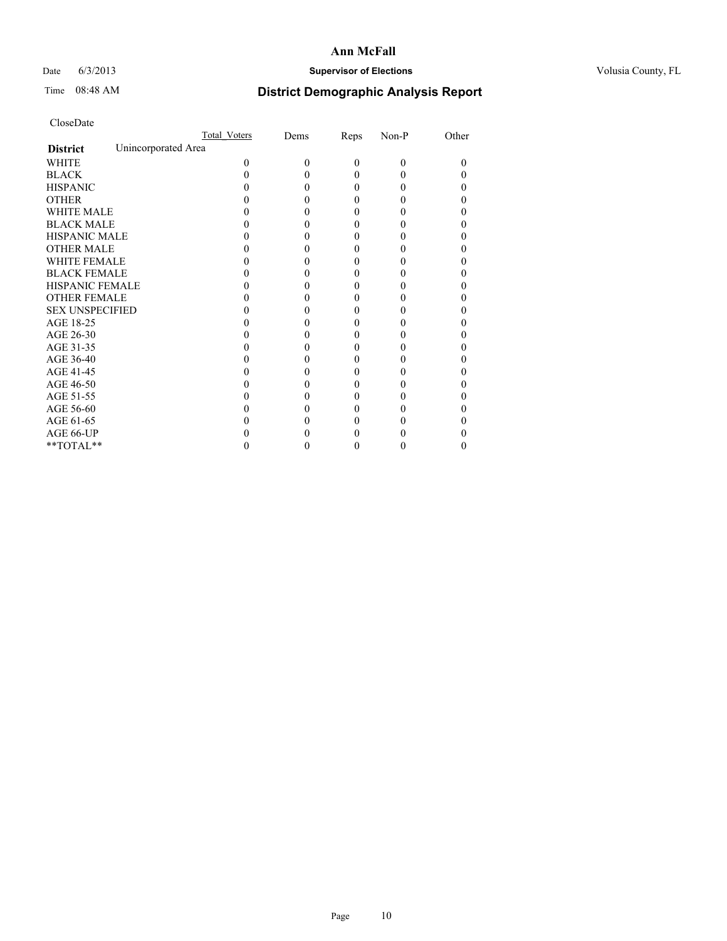### Date 6/3/2013 **Supervisor of Elections Supervisor of Elections** Volusia County, FL

## Time 08:48 AM **District Demographic Analysis Report**

|                        |                     | <b>Total Voters</b> | Dems     | Reps     | Non-P    | Other |
|------------------------|---------------------|---------------------|----------|----------|----------|-------|
| <b>District</b>        | Unincorporated Area |                     |          |          |          |       |
| <b>WHITE</b>           |                     | 0                   | $\theta$ | $\theta$ | $\Omega$ | 0     |
| <b>BLACK</b>           |                     |                     |          | 0        | 0        |       |
| <b>HISPANIC</b>        |                     |                     |          | 0        | 0        |       |
| <b>OTHER</b>           |                     |                     |          |          |          |       |
| <b>WHITE MALE</b>      |                     |                     |          |          |          |       |
| <b>BLACK MALE</b>      |                     |                     |          |          |          |       |
| <b>HISPANIC MALE</b>   |                     |                     |          |          |          |       |
| <b>OTHER MALE</b>      |                     |                     |          |          |          |       |
| <b>WHITE FEMALE</b>    |                     |                     |          |          |          |       |
| <b>BLACK FEMALE</b>    |                     |                     |          | 0        |          |       |
| <b>HISPANIC FEMALE</b> |                     |                     |          |          |          |       |
| <b>OTHER FEMALE</b>    |                     |                     |          |          |          |       |
| <b>SEX UNSPECIFIED</b> |                     |                     |          |          |          |       |
| AGE 18-25              |                     |                     |          |          |          |       |
| AGE 26-30              |                     |                     |          |          |          |       |
| AGE 31-35              |                     |                     |          |          |          |       |
| AGE 36-40              |                     |                     |          | 0        |          |       |
| AGE 41-45              |                     |                     |          |          |          |       |
| AGE 46-50              |                     |                     |          | 0        |          |       |
| AGE 51-55              |                     |                     |          |          |          |       |
| AGE 56-60              |                     |                     |          |          |          |       |
| AGE 61-65              |                     |                     |          |          |          |       |
| AGE 66-UP              |                     |                     |          |          |          |       |
| **TOTAL**              |                     |                     |          | 0        | 0        | 0     |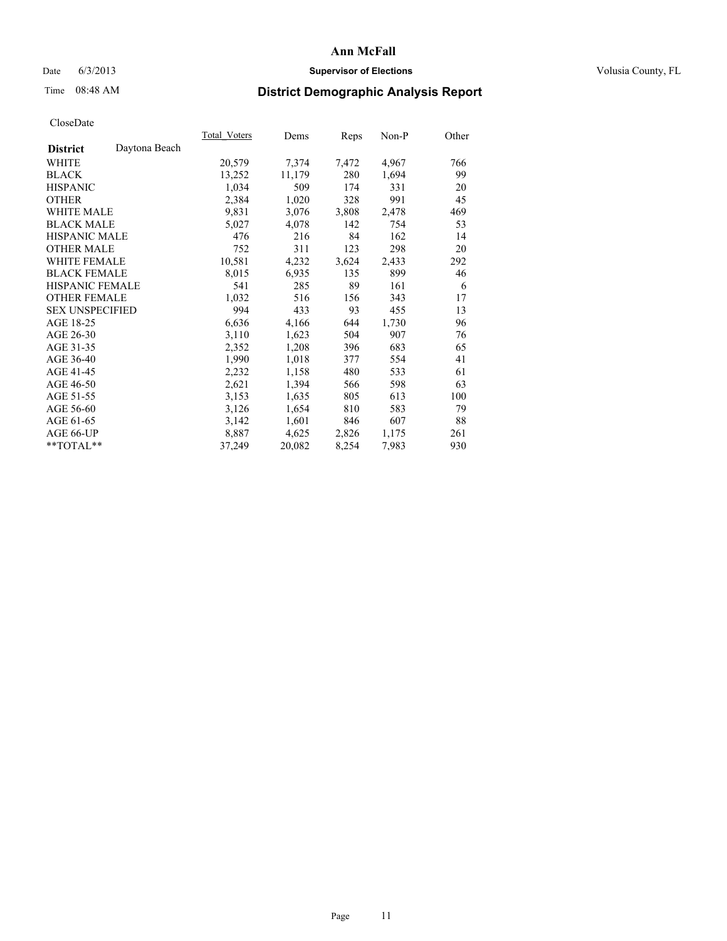### Date 6/3/2013 **Supervisor of Elections Supervisor of Elections** Volusia County, FL

## Time 08:48 AM **District Demographic Analysis Report**

| Total Voters | Dems   | Reps  | Non-P | Other |
|--------------|--------|-------|-------|-------|
|              |        |       |       |       |
| 20,579       | 7,374  | 7,472 | 4,967 | 766   |
| 13,252       | 11,179 | 280   | 1,694 | 99    |
| 1,034        | 509    | 174   | 331   | 20    |
| 2,384        | 1,020  | 328   | 991   | 45    |
| 9,831        | 3,076  | 3,808 | 2,478 | 469   |
| 5,027        | 4,078  | 142   | 754   | 53    |
| 476          | 216    | 84    | 162   | 14    |
| 752          | 311    | 123   | 298   | 20    |
| 10,581       | 4,232  | 3,624 | 2,433 | 292   |
| 8,015        | 6,935  | 135   | 899   | 46    |
| 541          | 285    | 89    | 161   | 6     |
| 1,032        | 516    | 156   | 343   | 17    |
| 994          | 433    | 93    | 455   | 13    |
| 6,636        | 4,166  | 644   | 1,730 | 96    |
| 3,110        | 1,623  | 504   | 907   | 76    |
| 2,352        | 1,208  | 396   | 683   | 65    |
| 1,990        | 1,018  | 377   | 554   | 41    |
| 2,232        | 1,158  | 480   | 533   | 61    |
| 2,621        | 1,394  | 566   | 598   | 63    |
| 3,153        | 1,635  | 805   | 613   | 100   |
| 3,126        | 1,654  | 810   | 583   | 79    |
| 3,142        | 1,601  | 846   | 607   | 88    |
| 8,887        | 4,625  | 2,826 | 1,175 | 261   |
| 37,249       | 20,082 | 8,254 | 7,983 | 930   |
|              |        |       |       |       |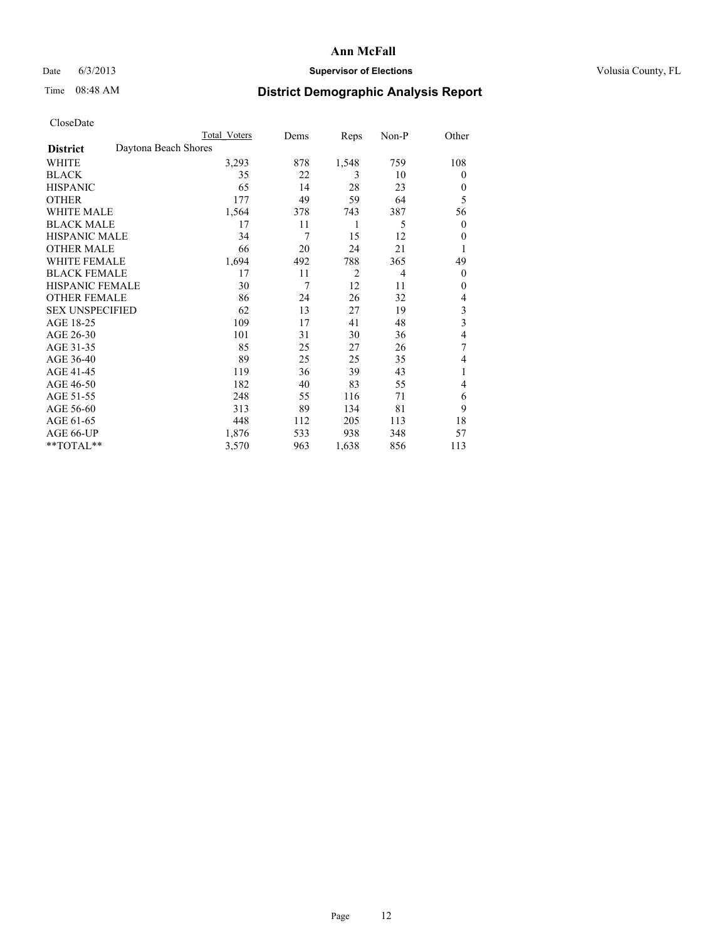### Date 6/3/2013 **Supervisor of Elections Supervisor of Elections** Volusia County, FL

# Time 08:48 AM **District Demographic Analysis Report**

|                        | Total Voters         | Dems | Reps           | Non-P          | Other                   |
|------------------------|----------------------|------|----------------|----------------|-------------------------|
| <b>District</b>        | Daytona Beach Shores |      |                |                |                         |
| WHITE                  | 3,293                | 878  | 1,548          | 759            | 108                     |
| <b>BLACK</b>           | 35                   | 22   | 3              | 10             | $\theta$                |
| <b>HISPANIC</b>        | 65                   | 14   | 28             | 23             | $\theta$                |
| <b>OTHER</b>           | 177                  | 49   | 59             | 64             | 5                       |
| <b>WHITE MALE</b>      | 1,564                | 378  | 743            | 387            | 56                      |
| <b>BLACK MALE</b>      | 17                   | 11   | 1              | 5              | $\theta$                |
| <b>HISPANIC MALE</b>   | 34                   | 7    | 15             | 12             | $\theta$                |
| <b>OTHER MALE</b>      | 66                   | 20   | 24             | 21             | 1                       |
| <b>WHITE FEMALE</b>    | 1,694                | 492  | 788            | 365            | 49                      |
| <b>BLACK FEMALE</b>    | 17                   | 11   | $\overline{2}$ | $\overline{4}$ | $\theta$                |
| <b>HISPANIC FEMALE</b> | 30                   | 7    | 12             | 11             | $\theta$                |
| <b>OTHER FEMALE</b>    | 86                   | 24   | 26             | 32             | 4                       |
| <b>SEX UNSPECIFIED</b> | 62                   | 13   | 27             | 19             | 3                       |
| AGE 18-25              | 109                  | 17   | 41             | 48             | $\overline{\mathbf{3}}$ |
| AGE 26-30              | 101                  | 31   | 30             | 36             | 4                       |
| AGE 31-35              | 85                   | 25   | 27             | 26             | 7                       |
| AGE 36-40              | 89                   | 25   | 25             | 35             | 4                       |
| AGE 41-45              | 119                  | 36   | 39             | 43             | 1                       |
| AGE 46-50              | 182                  | 40   | 83             | 55             | 4                       |
| AGE 51-55              | 248                  | 55   | 116            | 71             | 6                       |
| AGE 56-60              | 313                  | 89   | 134            | 81             | 9                       |
| AGE 61-65              | 448                  | 112  | 205            | 113            | 18                      |
| AGE 66-UP              | 1,876                | 533  | 938            | 348            | 57                      |
| $*$ TOTAL $**$         | 3,570                | 963  | 1,638          | 856            | 113                     |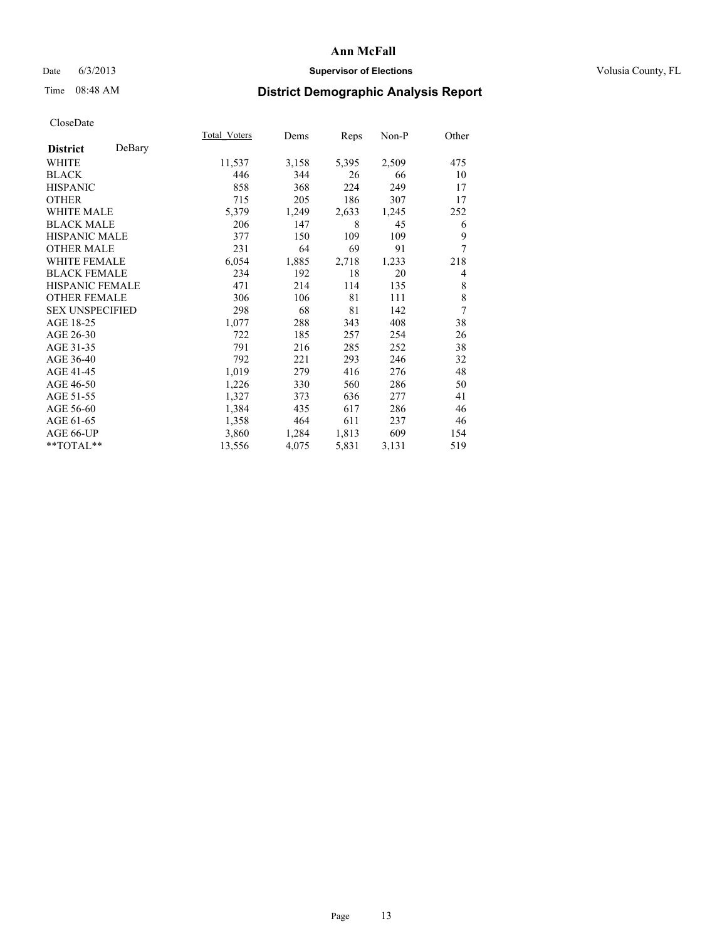### Date 6/3/2013 **Supervisor of Elections Supervisor of Elections** Volusia County, FL

## Time 08:48 AM **District Demographic Analysis Report**

|                           | Total Voters | Dems  | Reps  | Non-P | Other |
|---------------------------|--------------|-------|-------|-------|-------|
| DeBary<br><b>District</b> |              |       |       |       |       |
| <b>WHITE</b>              | 11,537       | 3,158 | 5,395 | 2,509 | 475   |
| <b>BLACK</b>              | 446          | 344   | 26    | 66    | 10    |
| <b>HISPANIC</b>           | 858          | 368   | 224   | 249   | 17    |
| <b>OTHER</b>              | 715          | 205   | 186   | 307   | 17    |
| <b>WHITE MALE</b>         | 5,379        | 1,249 | 2,633 | 1,245 | 252   |
| <b>BLACK MALE</b>         | 206          | 147   | 8     | 45    | 6     |
| HISPANIC MALE             | 377          | 150   | 109   | 109   | 9     |
| <b>OTHER MALE</b>         | 231          | 64    | 69    | 91    | 7     |
| <b>WHITE FEMALE</b>       | 6,054        | 1,885 | 2,718 | 1,233 | 218   |
| <b>BLACK FEMALE</b>       | 234          | 192   | 18    | 20    | 4     |
| <b>HISPANIC FEMALE</b>    | 471          | 214   | 114   | 135   | 8     |
| <b>OTHER FEMALE</b>       | 306          | 106   | 81    | 111   | 8     |
| <b>SEX UNSPECIFIED</b>    | 298          | 68    | 81    | 142   | 7     |
| AGE 18-25                 | 1,077        | 288   | 343   | 408   | 38    |
| AGE 26-30                 | 722          | 185   | 257   | 254   | 26    |
| AGE 31-35                 | 791          | 216   | 285   | 252   | 38    |
| AGE 36-40                 | 792          | 221   | 293   | 246   | 32    |
| AGE 41-45                 | 1,019        | 279   | 416   | 276   | 48    |
| AGE 46-50                 | 1,226        | 330   | 560   | 286   | 50    |
| AGE 51-55                 | 1,327        | 373   | 636   | 277   | 41    |
| AGE 56-60                 | 1,384        | 435   | 617   | 286   | 46    |
| AGE 61-65                 | 1,358        | 464   | 611   | 237   | 46    |
| AGE 66-UP                 | 3,860        | 1,284 | 1,813 | 609   | 154   |
| **TOTAL**                 | 13,556       | 4,075 | 5,831 | 3,131 | 519   |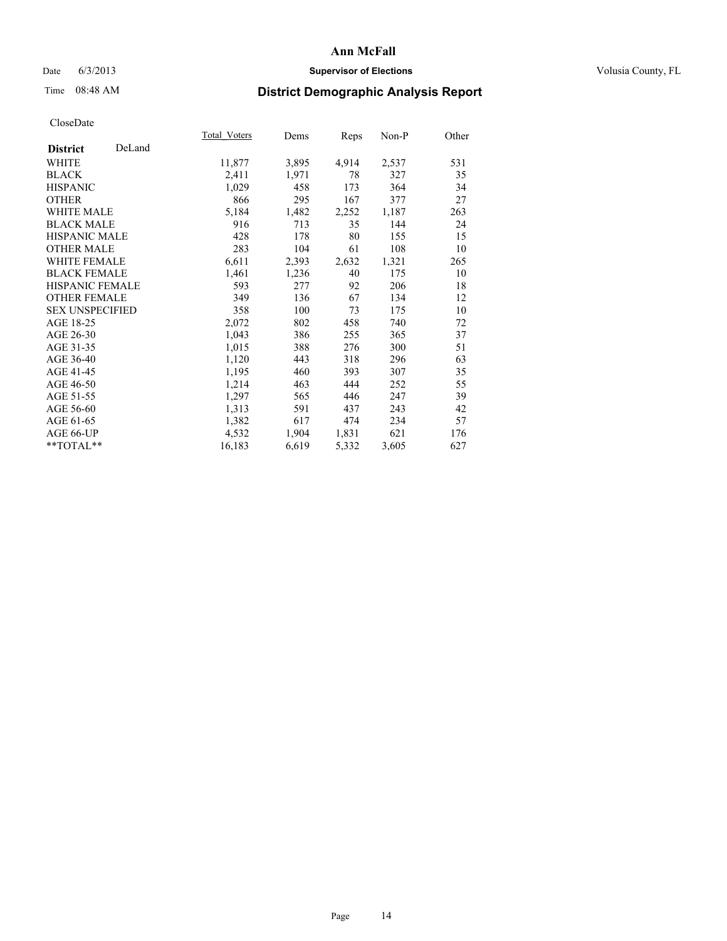### Date 6/3/2013 **Supervisor of Elections Supervisor of Elections** Volusia County, FL

# Time 08:48 AM **District Demographic Analysis Report**

|                        |        | Total Voters | Dems  | <b>Reps</b> | Non-P | Other |
|------------------------|--------|--------------|-------|-------------|-------|-------|
| <b>District</b>        | DeLand |              |       |             |       |       |
| WHITE                  |        | 11,877       | 3,895 | 4,914       | 2,537 | 531   |
| <b>BLACK</b>           |        | 2,411        | 1,971 | 78          | 327   | 35    |
| <b>HISPANIC</b>        |        | 1,029        | 458   | 173         | 364   | 34    |
| <b>OTHER</b>           |        | 866          | 295   | 167         | 377   | 27    |
| <b>WHITE MALE</b>      |        | 5,184        | 1,482 | 2,252       | 1,187 | 263   |
| <b>BLACK MALE</b>      |        | 916          | 713   | 35          | 144   | 24    |
| <b>HISPANIC MALE</b>   |        | 428          | 178   | 80          | 155   | 15    |
| <b>OTHER MALE</b>      |        | 283          | 104   | 61          | 108   | 10    |
| <b>WHITE FEMALE</b>    |        | 6,611        | 2,393 | 2,632       | 1,321 | 265   |
| <b>BLACK FEMALE</b>    |        | 1,461        | 1,236 | 40          | 175   | 10    |
| <b>HISPANIC FEMALE</b> |        | 593          | 277   | 92          | 206   | 18    |
| <b>OTHER FEMALE</b>    |        | 349          | 136   | 67          | 134   | 12    |
| <b>SEX UNSPECIFIED</b> |        | 358          | 100   | 73          | 175   | 10    |
| AGE 18-25              |        | 2,072        | 802   | 458         | 740   | 72    |
| AGE 26-30              |        | 1,043        | 386   | 255         | 365   | 37    |
| AGE 31-35              |        | 1,015        | 388   | 276         | 300   | 51    |
| AGE 36-40              |        | 1,120        | 443   | 318         | 296   | 63    |
| AGE 41-45              |        | 1,195        | 460   | 393         | 307   | 35    |
| AGE 46-50              |        | 1,214        | 463   | 444         | 252   | 55    |
| AGE 51-55              |        | 1,297        | 565   | 446         | 247   | 39    |
| AGE 56-60              |        | 1,313        | 591   | 437         | 243   | 42    |
| AGE 61-65              |        | 1,382        | 617   | 474         | 234   | 57    |
| AGE 66-UP              |        | 4,532        | 1,904 | 1,831       | 621   | 176   |
| **TOTAL**              |        | 16,183       | 6,619 | 5,332       | 3,605 | 627   |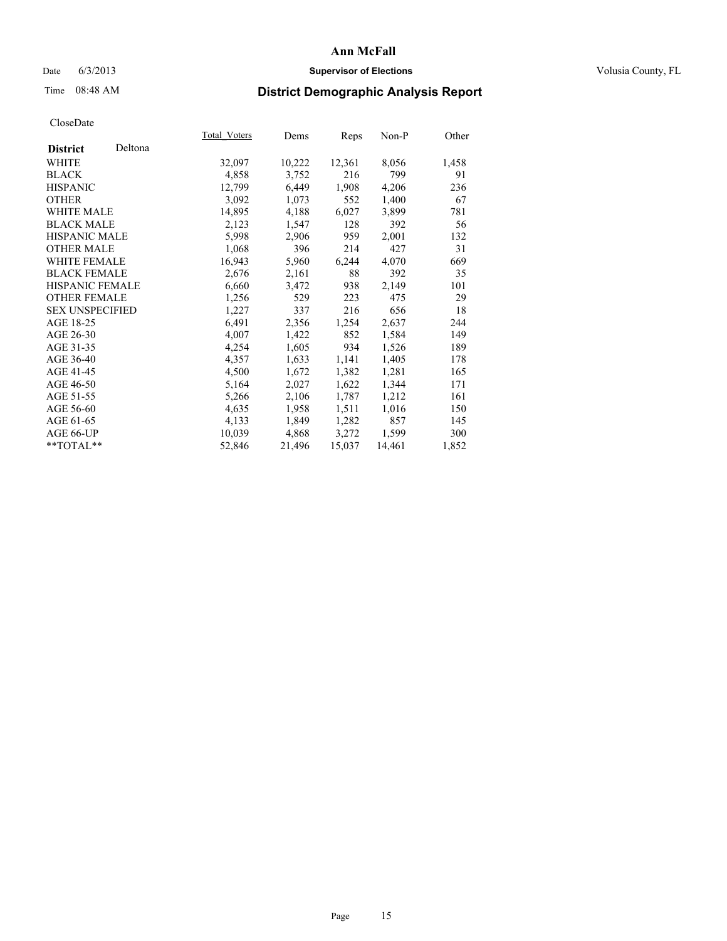### Date 6/3/2013 **Supervisor of Elections Supervisor of Elections** Volusia County, FL

## Time 08:48 AM **District Demographic Analysis Report**

|                        |         | <b>Total Voters</b> | Dems   | Reps   | Non-P  | Other |
|------------------------|---------|---------------------|--------|--------|--------|-------|
| <b>District</b>        | Deltona |                     |        |        |        |       |
| WHITE                  |         | 32,097              | 10,222 | 12,361 | 8,056  | 1,458 |
| <b>BLACK</b>           |         | 4,858               | 3,752  | 216    | 799    | 91    |
| <b>HISPANIC</b>        |         | 12,799              | 6,449  | 1,908  | 4,206  | 236   |
| <b>OTHER</b>           |         | 3,092               | 1,073  | 552    | 1,400  | 67    |
| WHITE MALE             |         | 14,895              | 4,188  | 6,027  | 3,899  | 781   |
| <b>BLACK MALE</b>      |         | 2,123               | 1,547  | 128    | 392    | 56    |
| <b>HISPANIC MALE</b>   |         | 5,998               | 2,906  | 959    | 2,001  | 132   |
| <b>OTHER MALE</b>      |         | 1,068               | 396    | 214    | 427    | 31    |
| <b>WHITE FEMALE</b>    |         | 16,943              | 5,960  | 6,244  | 4,070  | 669   |
| <b>BLACK FEMALE</b>    |         | 2,676               | 2,161  | 88     | 392    | 35    |
| HISPANIC FEMALE        |         | 6,660               | 3,472  | 938    | 2,149  | 101   |
| <b>OTHER FEMALE</b>    |         | 1,256               | 529    | 223    | 475    | 29    |
| <b>SEX UNSPECIFIED</b> |         | 1,227               | 337    | 216    | 656    | 18    |
| AGE 18-25              |         | 6,491               | 2,356  | 1,254  | 2,637  | 244   |
| AGE 26-30              |         | 4,007               | 1,422  | 852    | 1,584  | 149   |
| AGE 31-35              |         | 4,254               | 1,605  | 934    | 1,526  | 189   |
| AGE 36-40              |         | 4,357               | 1,633  | 1,141  | 1,405  | 178   |
| AGE 41-45              |         | 4,500               | 1,672  | 1,382  | 1,281  | 165   |
| AGE 46-50              |         | 5,164               | 2,027  | 1,622  | 1,344  | 171   |
| AGE 51-55              |         | 5,266               | 2,106  | 1,787  | 1,212  | 161   |
| AGE 56-60              |         | 4,635               | 1,958  | 1,511  | 1,016  | 150   |
| AGE 61-65              |         | 4,133               | 1,849  | 1,282  | 857    | 145   |
| AGE 66-UP              |         | 10,039              | 4,868  | 3,272  | 1,599  | 300   |
| **TOTAL**              |         | 52,846              | 21,496 | 15,037 | 14,461 | 1,852 |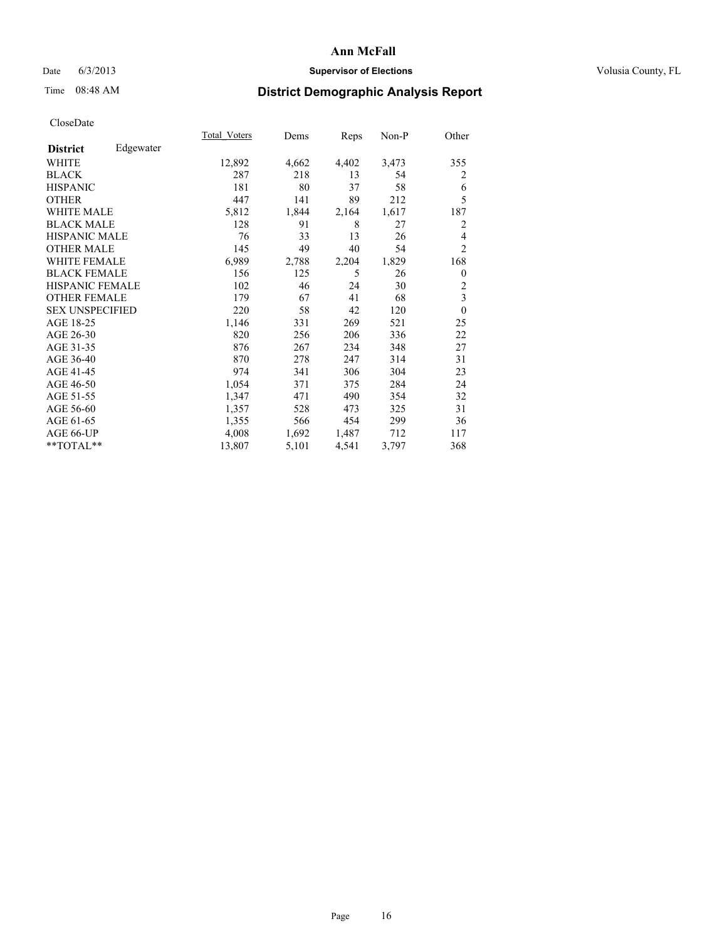### Date 6/3/2013 **Supervisor of Elections Supervisor of Elections** Volusia County, FL

## Time 08:48 AM **District Demographic Analysis Report**

|                        |           | Total Voters | Dems  | Reps  | $Non-P$ | Other          |
|------------------------|-----------|--------------|-------|-------|---------|----------------|
| <b>District</b>        | Edgewater |              |       |       |         |                |
| WHITE                  |           | 12,892       | 4,662 | 4,402 | 3,473   | 355            |
| <b>BLACK</b>           |           | 287          | 218   | 13    | 54      | 2              |
| <b>HISPANIC</b>        |           | 181          | 80    | 37    | 58      | 6              |
| <b>OTHER</b>           |           | 447          | 141   | 89    | 212     | 5              |
| WHITE MALE             |           | 5,812        | 1,844 | 2,164 | 1,617   | 187            |
| <b>BLACK MALE</b>      |           | 128          | 91    | 8     | 27      | 2              |
| <b>HISPANIC MALE</b>   |           | 76           | 33    | 13    | 26      | 4              |
| <b>OTHER MALE</b>      |           | 145          | 49    | 40    | 54      | $\overline{2}$ |
| <b>WHITE FEMALE</b>    |           | 6,989        | 2,788 | 2,204 | 1,829   | 168            |
| <b>BLACK FEMALE</b>    |           | 156          | 125   | 5     | 26      | $\theta$       |
| <b>HISPANIC FEMALE</b> |           | 102          | 46    | 24    | 30      | $\overline{c}$ |
| <b>OTHER FEMALE</b>    |           | 179          | 67    | 41    | 68      | 3              |
| <b>SEX UNSPECIFIED</b> |           | 220          | 58    | 42    | 120     | $\theta$       |
| AGE 18-25              |           | 1,146        | 331   | 269   | 521     | 25             |
| AGE 26-30              |           | 820          | 256   | 206   | 336     | 22             |
| AGE 31-35              |           | 876          | 267   | 234   | 348     | 27             |
| AGE 36-40              |           | 870          | 278   | 247   | 314     | 31             |
| AGE 41-45              |           | 974          | 341   | 306   | 304     | 23             |
| AGE 46-50              |           | 1,054        | 371   | 375   | 284     | 24             |
| AGE 51-55              |           | 1,347        | 471   | 490   | 354     | 32             |
| AGE 56-60              |           | 1,357        | 528   | 473   | 325     | 31             |
| AGE 61-65              |           | 1,355        | 566   | 454   | 299     | 36             |
| AGE 66-UP              |           | 4,008        | 1,692 | 1,487 | 712     | 117            |
| **TOTAL**              |           | 13,807       | 5,101 | 4,541 | 3,797   | 368            |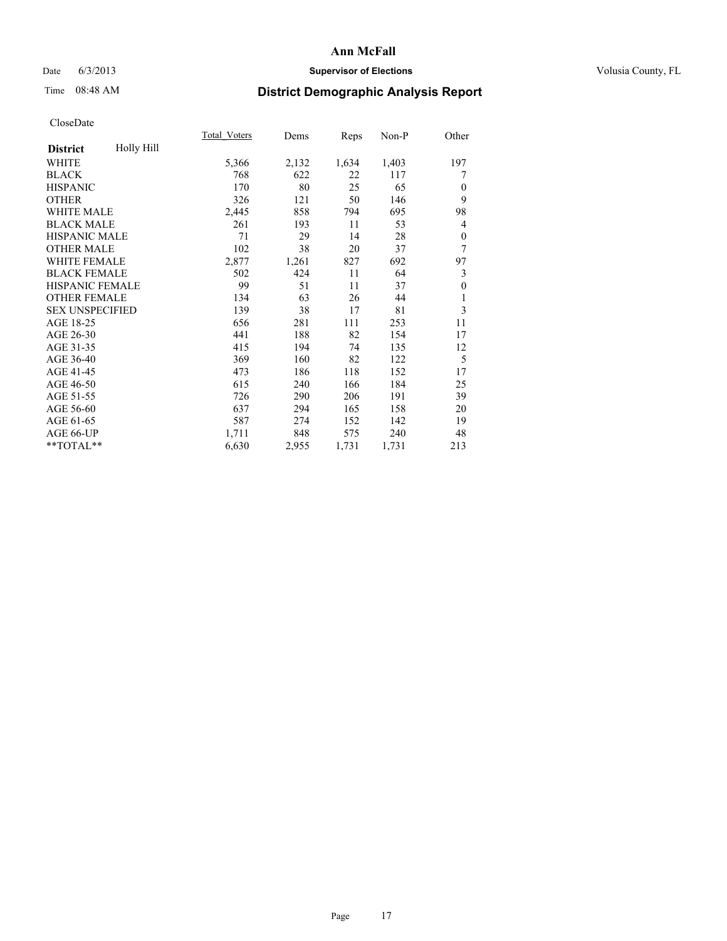### Date 6/3/2013 **Supervisor of Elections Supervisor of Elections** Volusia County, FL

## Time 08:48 AM **District Demographic Analysis Report**

|                        |            | <b>Total Voters</b> | Dems  | Reps  | Non-P | Other        |
|------------------------|------------|---------------------|-------|-------|-------|--------------|
| <b>District</b>        | Holly Hill |                     |       |       |       |              |
| WHITE                  |            | 5,366               | 2,132 | 1,634 | 1,403 | 197          |
| <b>BLACK</b>           |            | 768                 | 622   | 22    | 117   | 7            |
| <b>HISPANIC</b>        |            | 170                 | 80    | 25    | 65    | $\mathbf{0}$ |
| <b>OTHER</b>           |            | 326                 | 121   | 50    | 146   | 9            |
| <b>WHITE MALE</b>      |            | 2,445               | 858   | 794   | 695   | 98           |
| <b>BLACK MALE</b>      |            | 261                 | 193   | 11    | 53    | 4            |
| <b>HISPANIC MALE</b>   |            | 71                  | 29    | 14    | 28    | $\theta$     |
| <b>OTHER MALE</b>      |            | 102                 | 38    | 20    | 37    | 7            |
| <b>WHITE FEMALE</b>    |            | 2,877               | 1,261 | 827   | 692   | 97           |
| <b>BLACK FEMALE</b>    |            | 502                 | 424   | 11    | 64    | 3            |
| <b>HISPANIC FEMALE</b> |            | 99                  | 51    | 11    | 37    | $\theta$     |
| <b>OTHER FEMALE</b>    |            | 134                 | 63    | 26    | 44    | 1            |
| <b>SEX UNSPECIFIED</b> |            | 139                 | 38    | 17    | 81    | 3            |
| AGE 18-25              |            | 656                 | 281   | 111   | 253   | 11           |
| AGE 26-30              |            | 441                 | 188   | 82    | 154   | 17           |
| AGE 31-35              |            | 415                 | 194   | 74    | 135   | 12           |
| AGE 36-40              |            | 369                 | 160   | 82    | 122   | 5            |
| AGE 41-45              |            | 473                 | 186   | 118   | 152   | 17           |
| AGE 46-50              |            | 615                 | 240   | 166   | 184   | 25           |
| AGE 51-55              |            | 726                 | 290   | 206   | 191   | 39           |
| AGE 56-60              |            | 637                 | 294   | 165   | 158   | 20           |
| AGE 61-65              |            | 587                 | 274   | 152   | 142   | 19           |
| AGE 66-UP              |            | 1,711               | 848   | 575   | 240   | 48           |
| **TOTAL**              |            | 6,630               | 2,955 | 1,731 | 1,731 | 213          |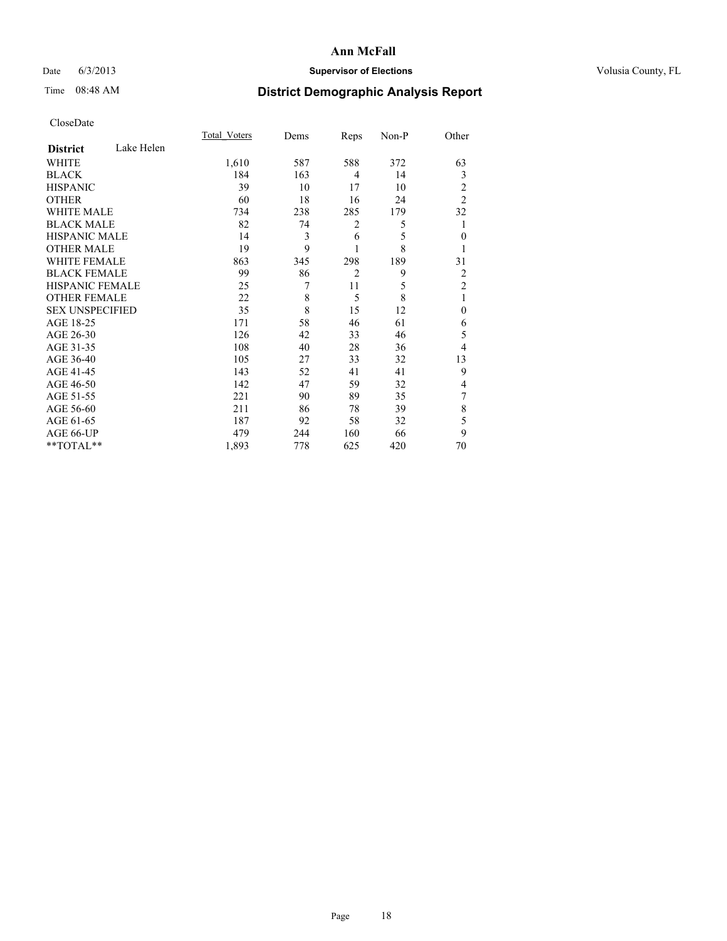### Date 6/3/2013 **Supervisor of Elections Supervisor of Elections** Volusia County, FL

# Time 08:48 AM **District Demographic Analysis Report**

|                        |            | <b>Total Voters</b> | Dems | Reps           | Non-P | Other          |
|------------------------|------------|---------------------|------|----------------|-------|----------------|
| <b>District</b>        | Lake Helen |                     |      |                |       |                |
| <b>WHITE</b>           |            | 1,610               | 587  | 588            | 372   | 63             |
| <b>BLACK</b>           |            | 184                 | 163  | 4              | 14    | 3              |
| <b>HISPANIC</b>        |            | 39                  | 10   | 17             | 10    | 2              |
| <b>OTHER</b>           |            | 60                  | 18   | 16             | 24    | $\overline{2}$ |
| WHITE MALE             |            | 734                 | 238  | 285            | 179   | 32             |
| <b>BLACK MALE</b>      |            | 82                  | 74   | 2              | 5     |                |
| <b>HISPANIC MALE</b>   |            | 14                  | 3    | 6              | 5     | $\mathbf{0}$   |
| <b>OTHER MALE</b>      |            | 19                  | 9    | 1              | 8     |                |
| <b>WHITE FEMALE</b>    |            | 863                 | 345  | 298            | 189   | 31             |
| <b>BLACK FEMALE</b>    |            | 99                  | 86   | $\overline{2}$ | 9     | 2              |
| HISPANIC FEMALE        |            | 25                  | 7    | 11             | 5     | $\overline{2}$ |
| <b>OTHER FEMALE</b>    |            | 22                  | 8    | 5              | 8     | 1              |
| <b>SEX UNSPECIFIED</b> |            | 35                  | 8    | 15             | 12    | $\mathbf{0}$   |
| AGE 18-25              |            | 171                 | 58   | 46             | 61    | 6              |
| AGE 26-30              |            | 126                 | 42   | 33             | 46    | 5              |
| AGE 31-35              |            | 108                 | 40   | 28             | 36    | 4              |
| AGE 36-40              |            | 105                 | 27   | 33             | 32    | 13             |
| AGE 41-45              |            | 143                 | 52   | 41             | 41    | 9              |
| AGE 46-50              |            | 142                 | 47   | 59             | 32    | 4              |
| AGE 51-55              |            | 221                 | 90   | 89             | 35    | 7              |
| AGE 56-60              |            | 211                 | 86   | 78             | 39    | 8              |
| AGE 61-65              |            | 187                 | 92   | 58             | 32    | 5              |
| AGE 66-UP              |            | 479                 | 244  | 160            | 66    | 9              |
| **TOTAL**              |            | 1,893               | 778  | 625            | 420   | 70             |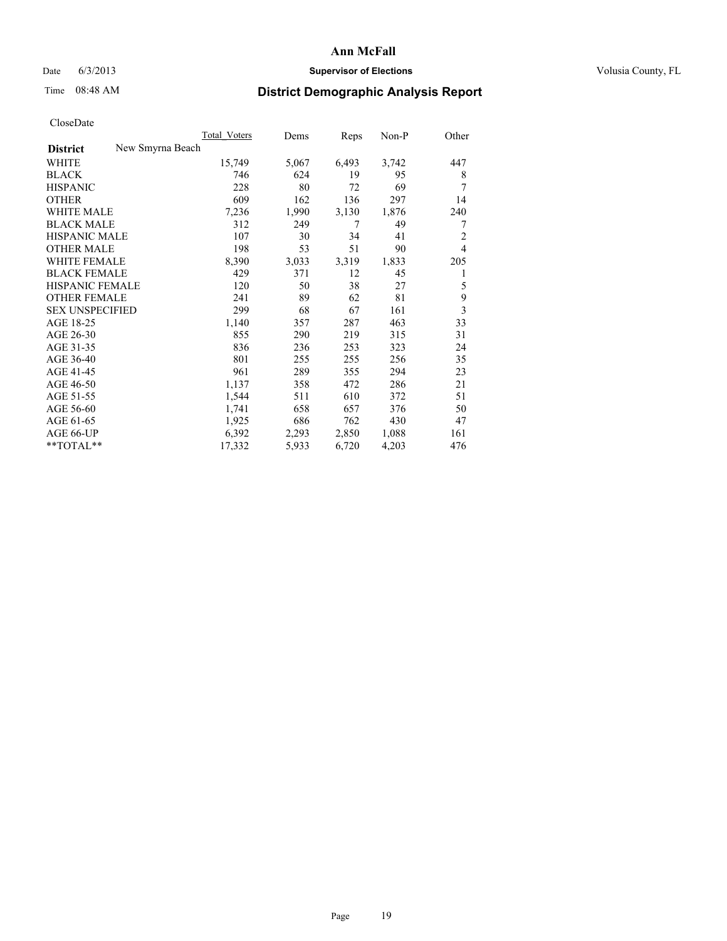### Date 6/3/2013 **Supervisor of Elections Supervisor of Elections** Volusia County, FL

## Time 08:48 AM **District Demographic Analysis Report**

|                                     | <b>Total Voters</b> | Dems  | Reps  | Non-P | Other          |
|-------------------------------------|---------------------|-------|-------|-------|----------------|
| New Smyrna Beach<br><b>District</b> |                     |       |       |       |                |
| <b>WHITE</b>                        | 15,749              | 5,067 | 6,493 | 3,742 | 447            |
| <b>BLACK</b>                        | 746                 | 624   | 19    | 95    | 8              |
| <b>HISPANIC</b>                     | 228                 | 80    | 72    | 69    | 7              |
| <b>OTHER</b>                        | 609                 | 162   | 136   | 297   | 14             |
| <b>WHITE MALE</b>                   | 7,236               | 1,990 | 3,130 | 1,876 | 240            |
| <b>BLACK MALE</b>                   | 312                 | 249   | 7     | 49    | 7              |
| <b>HISPANIC MALE</b>                | 107                 | 30    | 34    | 41    | $\overline{c}$ |
| <b>OTHER MALE</b>                   | 198                 | 53    | 51    | 90    | $\overline{4}$ |
| <b>WHITE FEMALE</b>                 | 8,390               | 3,033 | 3,319 | 1,833 | 205            |
| <b>BLACK FEMALE</b>                 | 429                 | 371   | 12    | 45    | 1              |
| <b>HISPANIC FEMALE</b>              | 120                 | 50    | 38    | 27    | 5              |
| <b>OTHER FEMALE</b>                 | 241                 | 89    | 62    | 81    | 9              |
| <b>SEX UNSPECIFIED</b>              | 299                 | 68    | 67    | 161   | $\overline{3}$ |
| AGE 18-25                           | 1,140               | 357   | 287   | 463   | 33             |
| AGE 26-30                           | 855                 | 290   | 219   | 315   | 31             |
| AGE 31-35                           | 836                 | 236   | 253   | 323   | 24             |
| AGE 36-40                           | 801                 | 255   | 255   | 256   | 35             |
| AGE 41-45                           | 961                 | 289   | 355   | 294   | 23             |
| AGE 46-50                           | 1,137               | 358   | 472   | 286   | 21             |
| AGE 51-55                           | 1,544               | 511   | 610   | 372   | 51             |
| AGE 56-60                           | 1,741               | 658   | 657   | 376   | 50             |
| AGE 61-65                           | 1,925               | 686   | 762   | 430   | 47             |
| AGE 66-UP                           | 6,392               | 2,293 | 2,850 | 1,088 | 161            |
| **TOTAL**                           | 17,332              | 5,933 | 6,720 | 4,203 | 476            |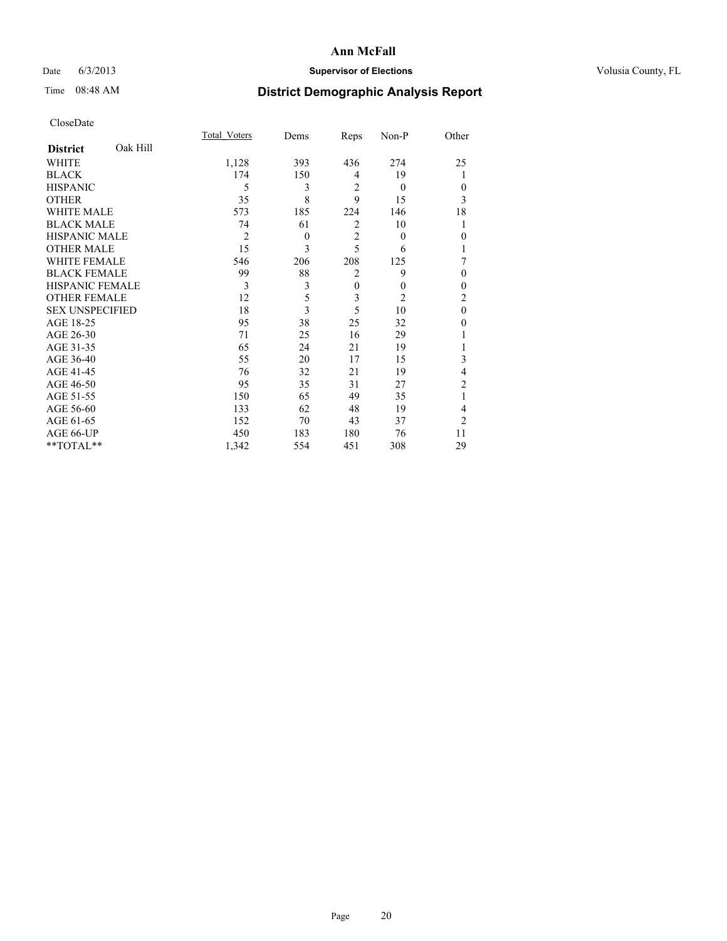### Date 6/3/2013 **Supervisor of Elections Supervisor of Elections** Volusia County, FL

# Time 08:48 AM **District Demographic Analysis Report**

|                        |          | <b>Total Voters</b> | Dems     | Reps           | Non-P          | Other            |
|------------------------|----------|---------------------|----------|----------------|----------------|------------------|
| <b>District</b>        | Oak Hill |                     |          |                |                |                  |
| <b>WHITE</b>           |          | 1,128               | 393      | 436            | 274            | 25               |
| <b>BLACK</b>           |          | 174                 | 150      | 4              | 19             |                  |
| <b>HISPANIC</b>        |          | 5                   | 3        | $\overline{2}$ | $\theta$       | $\theta$         |
| <b>OTHER</b>           |          | 35                  | 8        | 9              | 15             | 3                |
| WHITE MALE             |          | 573                 | 185      | 224            | 146            | 18               |
| <b>BLACK MALE</b>      |          | 74                  | 61       | $\overline{2}$ | 10             |                  |
| <b>HISPANIC MALE</b>   |          | $\overline{c}$      | $\theta$ | $\overline{2}$ | $\theta$       | $\boldsymbol{0}$ |
| <b>OTHER MALE</b>      |          | 15                  | 3        | 5              | 6              |                  |
| WHITE FEMALE           |          | 546                 | 206      | 208            | 125            | 7                |
| <b>BLACK FEMALE</b>    |          | 99                  | 88       | $\overline{2}$ | 9              | $\theta$         |
| <b>HISPANIC FEMALE</b> |          | 3                   | 3        | $\mathbf{0}$   | $\theta$       | $\theta$         |
| <b>OTHER FEMALE</b>    |          | 12                  | 5        | 3              | $\overline{2}$ | 2                |
| <b>SEX UNSPECIFIED</b> |          | 18                  | 3        | 5              | 10             | $\mathbf{0}$     |
| AGE 18-25              |          | 95                  | 38       | 25             | 32             | 0                |
| AGE 26-30              |          | 71                  | 25       | 16             | 29             |                  |
| AGE 31-35              |          | 65                  | 24       | 21             | 19             |                  |
| AGE 36-40              |          | 55                  | 20       | 17             | 15             | 3                |
| AGE 41-45              |          | 76                  | 32       | 21             | 19             | 4                |
| AGE 46-50              |          | 95                  | 35       | 31             | 27             | 2                |
| AGE 51-55              |          | 150                 | 65       | 49             | 35             | 1                |
| AGE 56-60              |          | 133                 | 62       | 48             | 19             | 4                |
| AGE 61-65              |          | 152                 | 70       | 43             | 37             | $\overline{2}$   |
| AGE 66-UP              |          | 450                 | 183      | 180            | 76             | 11               |
| **TOTAL**              |          | 1,342               | 554      | 451            | 308            | 29               |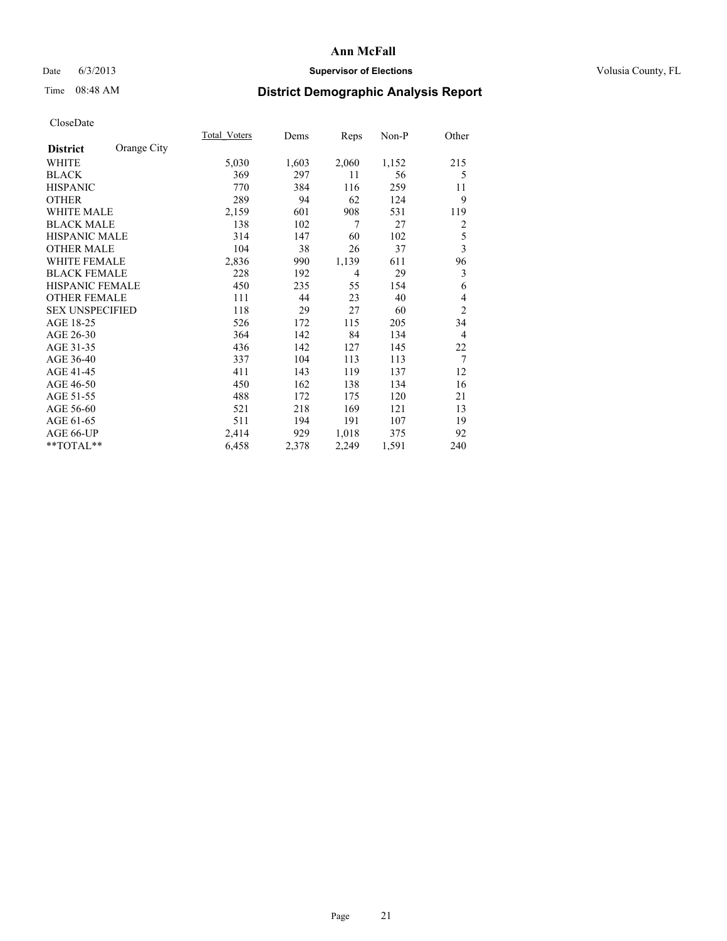### Date 6/3/2013 **Supervisor of Elections Supervisor of Elections** Volusia County, FL

# Time 08:48 AM **District Demographic Analysis Report**

|                        |             | Total Voters | Dems  | Reps           | $Non-P$ | Other                   |
|------------------------|-------------|--------------|-------|----------------|---------|-------------------------|
| <b>District</b>        | Orange City |              |       |                |         |                         |
| WHITE                  |             | 5,030        | 1,603 | 2,060          | 1,152   | 215                     |
| <b>BLACK</b>           |             | 369          | 297   | 11             | 56      | 5                       |
| <b>HISPANIC</b>        |             | 770          | 384   | 116            | 259     | 11                      |
| <b>OTHER</b>           |             | 289          | 94    | 62             | 124     | 9                       |
| <b>WHITE MALE</b>      |             | 2,159        | 601   | 908            | 531     | 119                     |
| <b>BLACK MALE</b>      |             | 138          | 102   | 7              | 27      | 2                       |
| <b>HISPANIC MALE</b>   |             | 314          | 147   | 60             | 102     | 5                       |
| <b>OTHER MALE</b>      |             | 104          | 38    | 26             | 37      | $\overline{\mathbf{3}}$ |
| WHITE FEMALE           |             | 2,836        | 990   | 1,139          | 611     | 96                      |
| <b>BLACK FEMALE</b>    |             | 228          | 192   | $\overline{4}$ | 29      | 3                       |
| <b>HISPANIC FEMALE</b> |             | 450          | 235   | 55             | 154     | 6                       |
| <b>OTHER FEMALE</b>    |             | 111          | 44    | 23             | 40      | 4                       |
| <b>SEX UNSPECIFIED</b> |             | 118          | 29    | 27             | 60      | $\overline{2}$          |
| AGE 18-25              |             | 526          | 172   | 115            | 205     | 34                      |
| AGE 26-30              |             | 364          | 142   | 84             | 134     | $\overline{4}$          |
| AGE 31-35              |             | 436          | 142   | 127            | 145     | 22                      |
| AGE 36-40              |             | 337          | 104   | 113            | 113     | 7                       |
| AGE 41-45              |             | 411          | 143   | 119            | 137     | 12                      |
| AGE 46-50              |             | 450          | 162   | 138            | 134     | 16                      |
| AGE 51-55              |             | 488          | 172   | 175            | 120     | 21                      |
| AGE 56-60              |             | 521          | 218   | 169            | 121     | 13                      |
| AGE 61-65              |             | 511          | 194   | 191            | 107     | 19                      |
| AGE 66-UP              |             | 2,414        | 929   | 1,018          | 375     | 92                      |
| **TOTAL**              |             | 6,458        | 2,378 | 2,249          | 1,591   | 240                     |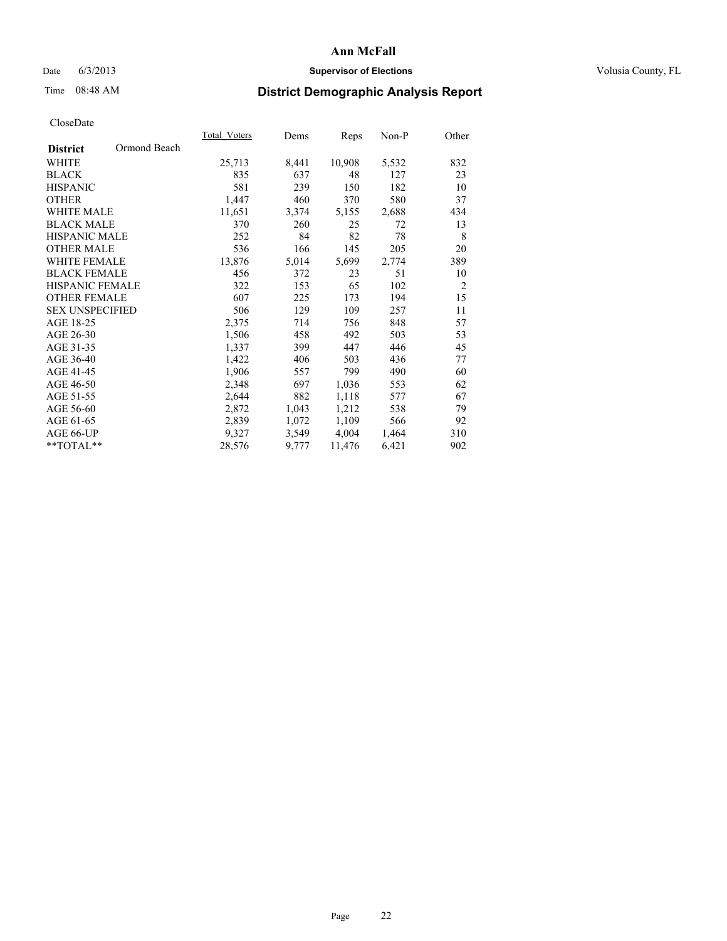### Date 6/3/2013 **Supervisor of Elections Supervisor of Elections** Volusia County, FL

# Time 08:48 AM **District Demographic Analysis Report**

|                        |              | <b>Total Voters</b> | Dems  | Reps   | Non-P | Other          |
|------------------------|--------------|---------------------|-------|--------|-------|----------------|
| <b>District</b>        | Ormond Beach |                     |       |        |       |                |
| WHITE                  |              | 25,713              | 8,441 | 10,908 | 5,532 | 832            |
| <b>BLACK</b>           |              | 835                 | 637   | 48     | 127   | 23             |
| <b>HISPANIC</b>        |              | 581                 | 239   | 150    | 182   | 10             |
| <b>OTHER</b>           |              | 1,447               | 460   | 370    | 580   | 37             |
| WHITE MALE             |              | 11,651              | 3,374 | 5,155  | 2,688 | 434            |
| <b>BLACK MALE</b>      |              | 370                 | 260   | 25     | 72    | 13             |
| <b>HISPANIC MALE</b>   |              | 252                 | 84    | 82     | 78    | 8              |
| <b>OTHER MALE</b>      |              | 536                 | 166   | 145    | 205   | 20             |
| <b>WHITE FEMALE</b>    |              | 13,876              | 5,014 | 5,699  | 2,774 | 389            |
| <b>BLACK FEMALE</b>    |              | 456                 | 372   | 23     | 51    | 10             |
| HISPANIC FEMALE        |              | 322                 | 153   | 65     | 102   | $\overline{c}$ |
| <b>OTHER FEMALE</b>    |              | 607                 | 225   | 173    | 194   | 15             |
| <b>SEX UNSPECIFIED</b> |              | 506                 | 129   | 109    | 257   | 11             |
| AGE 18-25              |              | 2,375               | 714   | 756    | 848   | 57             |
| AGE 26-30              |              | 1,506               | 458   | 492    | 503   | 53             |
| AGE 31-35              |              | 1,337               | 399   | 447    | 446   | 45             |
| AGE 36-40              |              | 1,422               | 406   | 503    | 436   | 77             |
| AGE 41-45              |              | 1,906               | 557   | 799    | 490   | 60             |
| AGE 46-50              |              | 2,348               | 697   | 1,036  | 553   | 62             |
| AGE 51-55              |              | 2,644               | 882   | 1,118  | 577   | 67             |
| AGE 56-60              |              | 2,872               | 1,043 | 1,212  | 538   | 79             |
| AGE 61-65              |              | 2,839               | 1,072 | 1,109  | 566   | 92             |
| AGE 66-UP              |              | 9,327               | 3,549 | 4,004  | 1,464 | 310            |
| **TOTAL**              |              | 28,576              | 9,777 | 11,476 | 6,421 | 902            |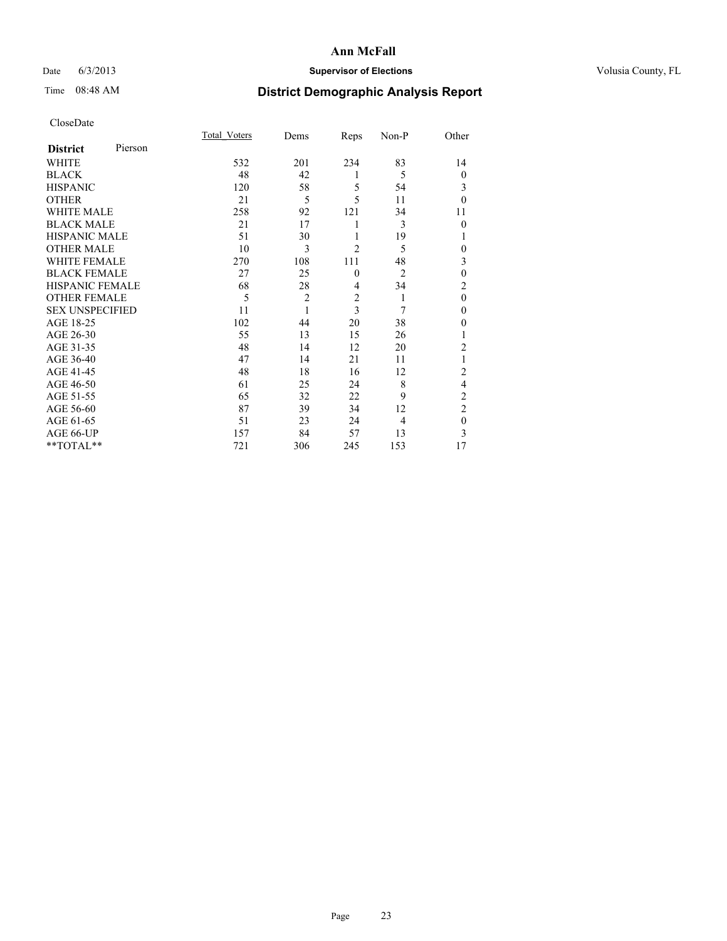### Date 6/3/2013 **Supervisor of Elections Supervisor of Elections** Volusia County, FL

## Time 08:48 AM **District Demographic Analysis Report**

|                        |         | Total Voters | Dems           | Reps                    | Non-P          | Other          |
|------------------------|---------|--------------|----------------|-------------------------|----------------|----------------|
| <b>District</b>        | Pierson |              |                |                         |                |                |
| <b>WHITE</b>           |         | 532          | 201            | 234                     | 83             | 14             |
| <b>BLACK</b>           |         | 48           | 42             | 1                       | 5              | $\theta$       |
| <b>HISPANIC</b>        |         | 120          | 58             | 5                       | 54             | 3              |
| <b>OTHER</b>           |         | 21           | 5              | 5                       | 11             | $\theta$       |
| WHITE MALE             |         | 258          | 92             | 121                     | 34             | 11             |
| <b>BLACK MALE</b>      |         | 21           | 17             | 1                       | 3              | $\theta$       |
| <b>HISPANIC MALE</b>   |         | 51           | 30             | 1                       | 19             | 1              |
| <b>OTHER MALE</b>      |         | 10           | 3              | $\overline{2}$          | 5              | 0              |
| WHITE FEMALE           |         | 270          | 108            | 111                     | 48             | 3              |
| <b>BLACK FEMALE</b>    |         | 27           | 25             | $\mathbf{0}$            | $\overline{2}$ | $\mathbf{0}$   |
| <b>HISPANIC FEMALE</b> |         | 68           | 28             | $\overline{4}$          | 34             | $\overline{c}$ |
| <b>OTHER FEMALE</b>    |         | 5            | $\overline{c}$ | $\overline{\mathbf{c}}$ | 1              | $\theta$       |
| <b>SEX UNSPECIFIED</b> |         | 11           | 1              | 3                       | 7              | $\mathbf{0}$   |
| AGE 18-25              |         | 102          | 44             | 20                      | 38             | $\theta$       |
| AGE 26-30              |         | 55           | 13             | 15                      | 26             | 1              |
| AGE 31-35              |         | 48           | 14             | 12                      | 20             | $\overline{c}$ |
| AGE 36-40              |         | 47           | 14             | 21                      | 11             |                |
| AGE 41-45              |         | 48           | 18             | 16                      | 12             | $\overline{c}$ |
| AGE 46-50              |         | 61           | 25             | 24                      | 8              | 4              |
| AGE 51-55              |         | 65           | 32             | 22                      | 9              | $\overline{c}$ |
| AGE 56-60              |         | 87           | 39             | 34                      | 12             | $\overline{c}$ |
| AGE 61-65              |         | 51           | 23             | 24                      | $\overline{4}$ | $\mathbf{0}$   |
| AGE 66-UP              |         | 157          | 84             | 57                      | 13             | 3              |
| $**TOTAL**$            |         | 721          | 306            | 245                     | 153            | 17             |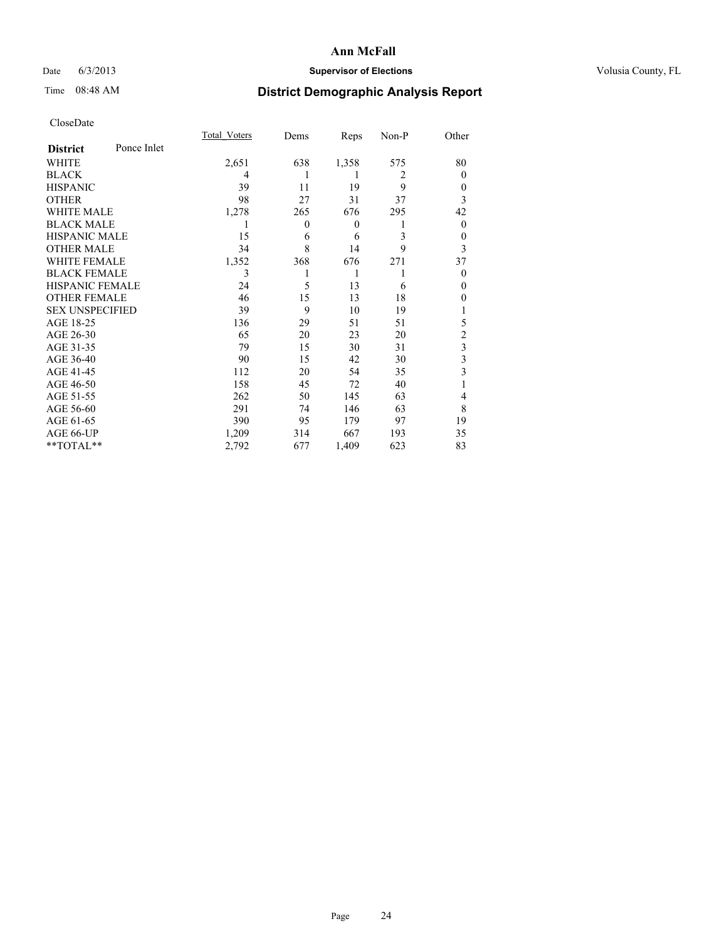### Date 6/3/2013 **Supervisor of Elections Supervisor of Elections** Volusia County, FL

## Time 08:48 AM **District Demographic Analysis Report**

|                        |             | <b>Total Voters</b> | Dems     | Reps             | Non-P          | Other                   |
|------------------------|-------------|---------------------|----------|------------------|----------------|-------------------------|
| <b>District</b>        | Ponce Inlet |                     |          |                  |                |                         |
| WHITE                  |             | 2,651               | 638      | 1,358            | 575            | 80                      |
| <b>BLACK</b>           |             | 4                   |          | 1                | $\overline{2}$ | $\Omega$                |
| <b>HISPANIC</b>        |             | 39                  | 11       | 19               | 9              | $\Omega$                |
| <b>OTHER</b>           |             | 98                  | 27       | 31               | 37             | 3                       |
| WHITE MALE             |             | 1,278               | 265      | 676              | 295            | 42                      |
| <b>BLACK MALE</b>      |             | 1                   | $\theta$ | $\boldsymbol{0}$ | 1              | $\overline{0}$          |
| <b>HISPANIC MALE</b>   |             | 15                  | 6        | 6                | 3              | 0                       |
| <b>OTHER MALE</b>      |             | 34                  | 8        | 14               | 9              | 3                       |
| <b>WHITE FEMALE</b>    |             | 1,352               | 368      | 676              | 271            | 37                      |
| <b>BLACK FEMALE</b>    |             | 3                   |          | 1                | 1              | $\Omega$                |
| <b>HISPANIC FEMALE</b> |             | 24                  | 5        | 13               | 6              | $\Omega$                |
| <b>OTHER FEMALE</b>    |             | 46                  | 15       | 13               | 18             | $\theta$                |
| <b>SEX UNSPECIFIED</b> |             | 39                  | 9        | 10               | 19             |                         |
| AGE 18-25              |             | 136                 | 29       | 51               | 51             | 5                       |
| AGE 26-30              |             | 65                  | 20       | 23               | 20             | $\overline{c}$          |
| AGE 31-35              |             | 79                  | 15       | 30               | 31             | $\overline{\mathbf{3}}$ |
| AGE 36-40              |             | 90                  | 15       | 42               | 30             | 3                       |
| AGE 41-45              |             | 112                 | 20       | 54               | 35             | 3                       |
| AGE 46-50              |             | 158                 | 45       | 72               | 40             | 1                       |
| AGE 51-55              |             | 262                 | 50       | 145              | 63             | $\overline{4}$          |
| AGE 56-60              |             | 291                 | 74       | 146              | 63             | 8                       |
| AGE 61-65              |             | 390                 | 95       | 179              | 97             | 19                      |
| AGE 66-UP              |             | 1,209               | 314      | 667              | 193            | 35                      |
| **TOTAL**              |             | 2,792               | 677      | 1,409            | 623            | 83                      |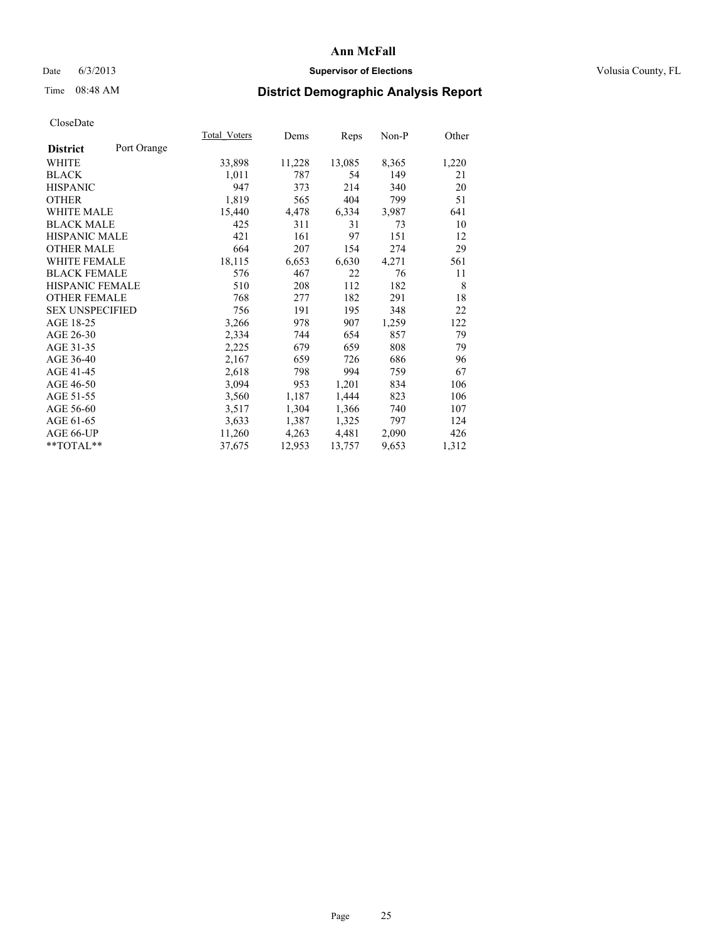### Date 6/3/2013 **Supervisor of Elections Supervisor of Elections** Volusia County, FL

## Time 08:48 AM **District Demographic Analysis Report**

| Total Voters | Dems   | <b>Reps</b> | Non-P | Other |
|--------------|--------|-------------|-------|-------|
|              |        |             |       |       |
| 33,898       | 11,228 | 13,085      | 8,365 | 1,220 |
| 1,011        | 787    | 54          | 149   | 21    |
| 947          | 373    | 214         | 340   | 20    |
| 1,819        | 565    | 404         | 799   | 51    |
| 15,440       | 4,478  | 6,334       | 3,987 | 641   |
| 425          | 311    | 31          | 73    | 10    |
| 421          | 161    | 97          | 151   | 12    |
| 664          | 207    | 154         | 274   | 29    |
| 18,115       | 6,653  | 6,630       | 4,271 | 561   |
| 576          | 467    | 22          | 76    | 11    |
| 510          | 208    | 112         | 182   | 8     |
| 768          | 277    | 182         | 291   | 18    |
| 756          | 191    | 195         | 348   | 22    |
| 3,266        | 978    | 907         | 1,259 | 122   |
| 2,334        | 744    | 654         | 857   | 79    |
| 2,225        | 679    | 659         | 808   | 79    |
| 2,167        | 659    | 726         | 686   | 96    |
| 2,618        | 798    | 994         | 759   | 67    |
| 3,094        | 953    | 1,201       | 834   | 106   |
| 3,560        | 1,187  | 1,444       | 823   | 106   |
| 3,517        | 1,304  | 1,366       | 740   | 107   |
| 3,633        | 1,387  | 1,325       | 797   | 124   |
| 11,260       | 4,263  | 4,481       | 2,090 | 426   |
| 37,675       | 12,953 | 13,757      | 9,653 | 1,312 |
|              |        |             |       |       |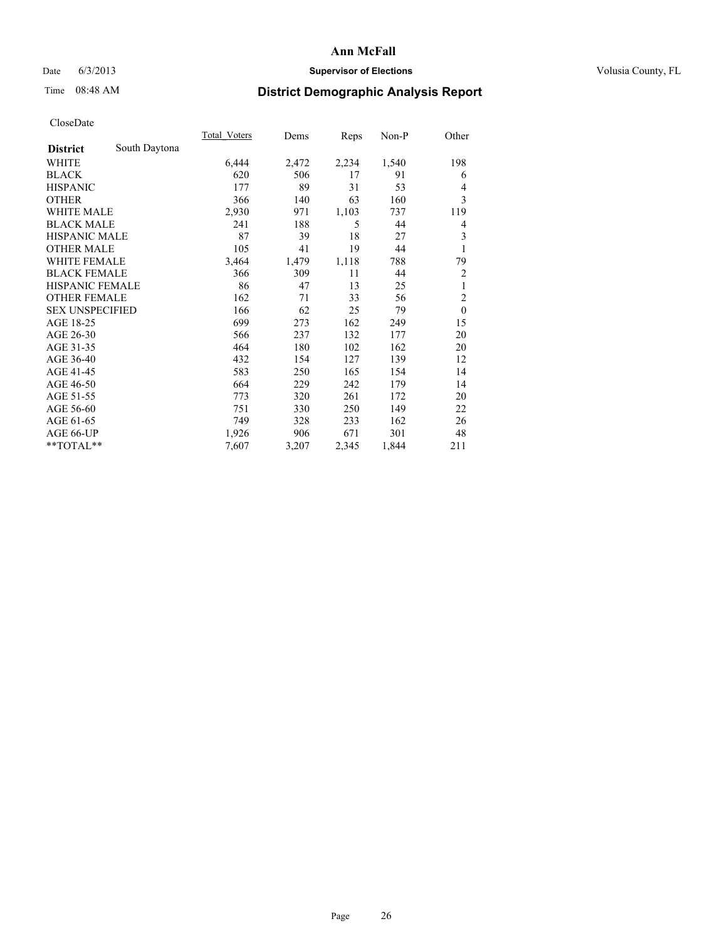### Date 6/3/2013 **Supervisor of Elections Supervisor of Elections** Volusia County, FL

## Time 08:48 AM **District Demographic Analysis Report**

|                        |               | <b>Total Voters</b> | Dems  | Reps  | Non-P | Other          |
|------------------------|---------------|---------------------|-------|-------|-------|----------------|
| <b>District</b>        | South Daytona |                     |       |       |       |                |
| WHITE                  |               | 6,444               | 2,472 | 2,234 | 1,540 | 198            |
| <b>BLACK</b>           |               | 620                 | 506   | 17    | 91    | 6              |
| <b>HISPANIC</b>        |               | 177                 | 89    | 31    | 53    | $\overline{4}$ |
| <b>OTHER</b>           |               | 366                 | 140   | 63    | 160   | 3              |
| <b>WHITE MALE</b>      |               | 2,930               | 971   | 1,103 | 737   | 119            |
| <b>BLACK MALE</b>      |               | 241                 | 188   | 5     | 44    | 4              |
| <b>HISPANIC MALE</b>   |               | 87                  | 39    | 18    | 27    | 3              |
| <b>OTHER MALE</b>      |               | 105                 | 41    | 19    | 44    | 1              |
| <b>WHITE FEMALE</b>    |               | 3,464               | 1,479 | 1,118 | 788   | 79             |
| <b>BLACK FEMALE</b>    |               | 366                 | 309   | 11    | 44    | $\overline{2}$ |
| <b>HISPANIC FEMALE</b> |               | 86                  | 47    | 13    | 25    | 1              |
| <b>OTHER FEMALE</b>    |               | 162                 | 71    | 33    | 56    | $\overline{2}$ |
| <b>SEX UNSPECIFIED</b> |               | 166                 | 62    | 25    | 79    | $\mathbf{0}$   |
| AGE 18-25              |               | 699                 | 273   | 162   | 249   | 15             |
| AGE 26-30              |               | 566                 | 237   | 132   | 177   | 20             |
| AGE 31-35              |               | 464                 | 180   | 102   | 162   | 20             |
| AGE 36-40              |               | 432                 | 154   | 127   | 139   | 12             |
| AGE 41-45              |               | 583                 | 250   | 165   | 154   | 14             |
| AGE 46-50              |               | 664                 | 229   | 242   | 179   | 14             |
| AGE 51-55              |               | 773                 | 320   | 261   | 172   | 20             |
| AGE 56-60              |               | 751                 | 330   | 250   | 149   | 22             |
| AGE 61-65              |               | 749                 | 328   | 233   | 162   | 26             |
| AGE 66-UP              |               | 1,926               | 906   | 671   | 301   | 48             |
| **TOTAL**              |               | 7,607               | 3,207 | 2,345 | 1,844 | 211            |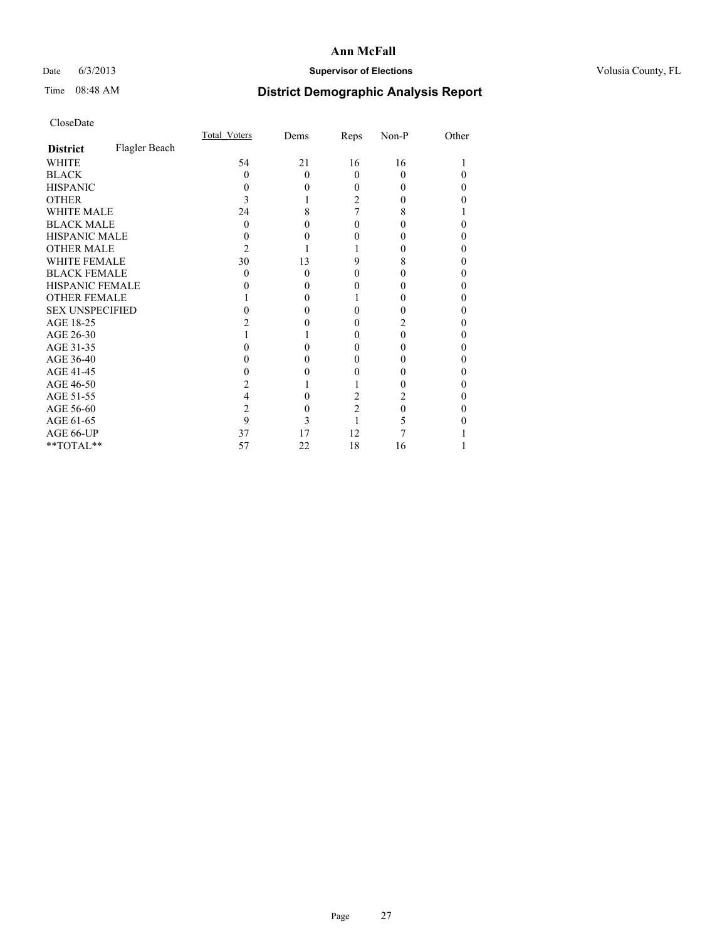### Date 6/3/2013 **Supervisor of Elections Supervisor of Elections** Volusia County, FL

# Time 08:48 AM **District Demographic Analysis Report**

|                        |               | Total Voters | Dems     | Reps           | Non-P | Other |
|------------------------|---------------|--------------|----------|----------------|-------|-------|
| <b>District</b>        | Flagler Beach |              |          |                |       |       |
| <b>WHITE</b>           |               | 54           | 21       | 16             | 16    |       |
| <b>BLACK</b>           |               | 0            | $\Omega$ | $\Omega$       | 0     |       |
| <b>HISPANIC</b>        |               | 0            | 0        | 0              | 0     | 0     |
| <b>OTHER</b>           |               |              |          | 2              |       |       |
| WHITE MALE             |               | 24           | 8        | 7              | 8     |       |
| <b>BLACK MALE</b>      |               | 0            | 0        | 0              |       | 0     |
| <b>HISPANIC MALE</b>   |               |              |          | 0              |       | 0     |
| <b>OTHER MALE</b>      |               | 2            |          |                |       | 0     |
| <b>WHITE FEMALE</b>    |               | 30           | 13       | 9              | 8     |       |
| <b>BLACK FEMALE</b>    |               | 0            | $\Omega$ | 0              | 0     | 0     |
| <b>HISPANIC FEMALE</b> |               |              | $\theta$ |                |       |       |
| <b>OTHER FEMALE</b>    |               |              | 0        |                |       | 0     |
| <b>SEX UNSPECIFIED</b> |               |              |          | 0              |       | 0     |
| AGE 18-25              |               |              |          | 0              |       | 0     |
| AGE 26-30              |               |              |          | 0              | 0     | 0     |
| AGE 31-35              |               |              |          | 0              |       |       |
| AGE 36-40              |               |              | $\theta$ | 0              |       | 0     |
| AGE 41-45              |               |              |          | 0              |       | 0     |
| AGE 46-50              |               |              |          |                |       | 0     |
| AGE 51-55              |               | 4            |          | 2              |       |       |
| AGE 56-60              |               | 2            | 0        | $\overline{c}$ | 0     | 0     |
| AGE 61-65              |               | 9            | 3        |                |       |       |
| AGE 66-UP              |               | 37           | 17       | 12             |       |       |
| **TOTAL**              |               | 57           | 22       | 18             | 16    |       |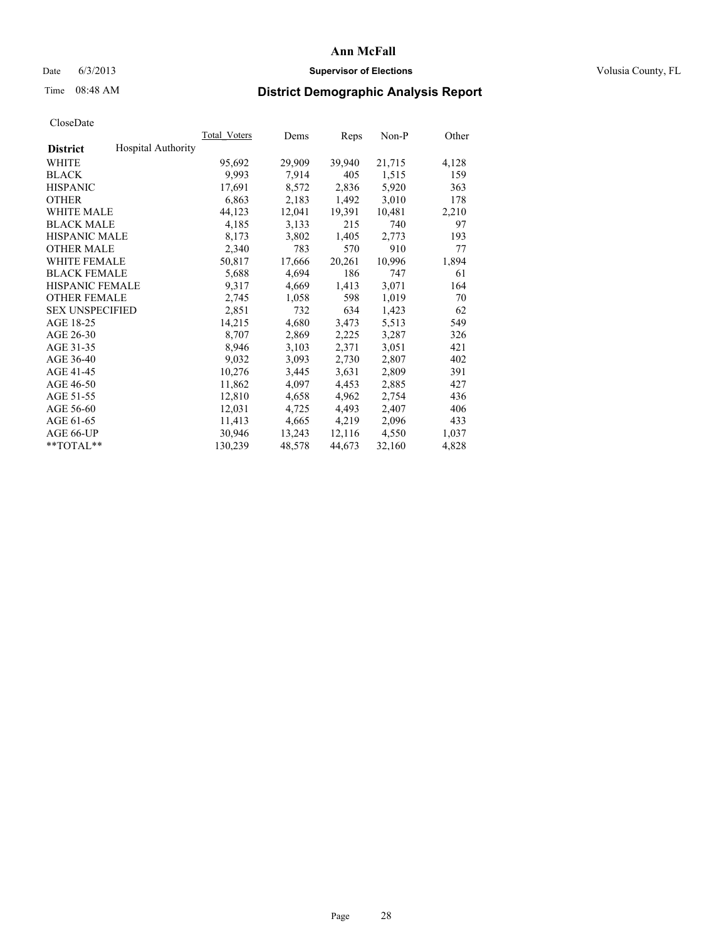### Date 6/3/2013 **Supervisor of Elections Supervisor of Elections** Volusia County, FL

## Time 08:48 AM **District Demographic Analysis Report**

|                        |                           | Total Voters | Dems   | Reps   | Non-P  | Other |
|------------------------|---------------------------|--------------|--------|--------|--------|-------|
| <b>District</b>        | <b>Hospital Authority</b> |              |        |        |        |       |
| <b>WHITE</b>           |                           | 95,692       | 29,909 | 39,940 | 21,715 | 4,128 |
| <b>BLACK</b>           |                           | 9,993        | 7,914  | 405    | 1,515  | 159   |
| <b>HISPANIC</b>        |                           | 17,691       | 8,572  | 2,836  | 5,920  | 363   |
| <b>OTHER</b>           |                           | 6,863        | 2,183  | 1,492  | 3,010  | 178   |
| <b>WHITE MALE</b>      |                           | 44,123       | 12,041 | 19,391 | 10,481 | 2,210 |
| <b>BLACK MALE</b>      |                           | 4,185        | 3,133  | 215    | 740    | 97    |
| <b>HISPANIC MALE</b>   |                           | 8,173        | 3,802  | 1,405  | 2,773  | 193   |
| <b>OTHER MALE</b>      |                           | 2,340        | 783    | 570    | 910    | 77    |
| <b>WHITE FEMALE</b>    |                           | 50,817       | 17,666 | 20,261 | 10,996 | 1,894 |
| <b>BLACK FEMALE</b>    |                           | 5,688        | 4,694  | 186    | 747    | 61    |
| <b>HISPANIC FEMALE</b> |                           | 9,317        | 4,669  | 1,413  | 3,071  | 164   |
| <b>OTHER FEMALE</b>    |                           | 2,745        | 1,058  | 598    | 1,019  | 70    |
| <b>SEX UNSPECIFIED</b> |                           | 2,851        | 732    | 634    | 1,423  | 62    |
| AGE 18-25              |                           | 14,215       | 4,680  | 3,473  | 5,513  | 549   |
| AGE 26-30              |                           | 8,707        | 2,869  | 2,225  | 3,287  | 326   |
| AGE 31-35              |                           | 8,946        | 3,103  | 2,371  | 3,051  | 421   |
| AGE 36-40              |                           | 9,032        | 3,093  | 2,730  | 2,807  | 402   |
| AGE 41-45              |                           | 10,276       | 3,445  | 3,631  | 2,809  | 391   |
| AGE 46-50              |                           | 11,862       | 4,097  | 4,453  | 2,885  | 427   |
| AGE 51-55              |                           | 12,810       | 4,658  | 4,962  | 2,754  | 436   |
| AGE 56-60              |                           | 12,031       | 4,725  | 4,493  | 2,407  | 406   |
| AGE 61-65              |                           | 11,413       | 4,665  | 4,219  | 2,096  | 433   |
| AGE 66-UP              |                           | 30,946       | 13,243 | 12,116 | 4,550  | 1,037 |
| $*$ $TOTAL**$          |                           | 130,239      | 48,578 | 44,673 | 32,160 | 4,828 |
|                        |                           |              |        |        |        |       |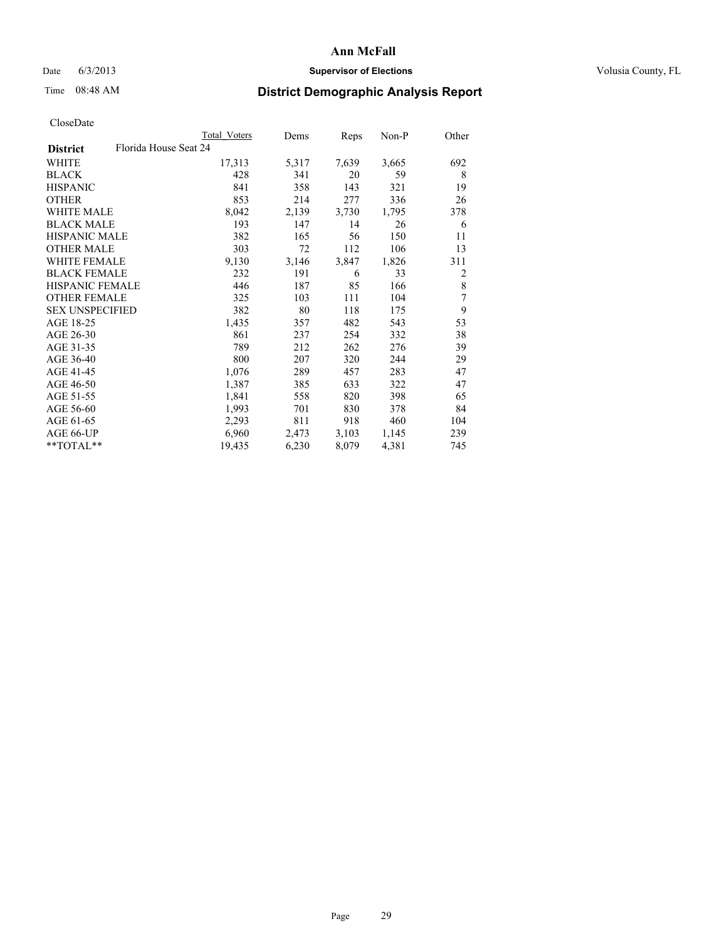### Date 6/3/2013 **Supervisor of Elections Supervisor of Elections** Volusia County, FL

## Time 08:48 AM **District Demographic Analysis Report**

|                                          | <b>Total Voters</b> | Dems  | Reps  | Non-P | Other |
|------------------------------------------|---------------------|-------|-------|-------|-------|
| Florida House Seat 24<br><b>District</b> |                     |       |       |       |       |
| WHITE                                    | 17,313              | 5,317 | 7,639 | 3,665 | 692   |
| <b>BLACK</b>                             | 428                 | 341   | 20    | 59    | 8     |
| <b>HISPANIC</b>                          | 841                 | 358   | 143   | 321   | 19    |
| <b>OTHER</b>                             | 853                 | 214   | 277   | 336   | 26    |
| WHITE MALE                               | 8,042               | 2,139 | 3,730 | 1,795 | 378   |
| <b>BLACK MALE</b>                        | 193                 | 147   | 14    | 26    | 6     |
| <b>HISPANIC MALE</b>                     | 382                 | 165   | 56    | 150   | 11    |
| <b>OTHER MALE</b>                        | 303                 | 72    | 112   | 106   | 13    |
| <b>WHITE FEMALE</b>                      | 9,130               | 3,146 | 3,847 | 1,826 | 311   |
| <b>BLACK FEMALE</b>                      | 232                 | 191   | 6     | 33    | 2     |
| <b>HISPANIC FEMALE</b>                   | 446                 | 187   | 85    | 166   | 8     |
| <b>OTHER FEMALE</b>                      | 325                 | 103   | 111   | 104   | 7     |
| <b>SEX UNSPECIFIED</b>                   | 382                 | 80    | 118   | 175   | 9     |
| AGE 18-25                                | 1,435               | 357   | 482   | 543   | 53    |
| AGE 26-30                                | 861                 | 237   | 254   | 332   | 38    |
| AGE 31-35                                | 789                 | 212   | 262   | 276   | 39    |
| AGE 36-40                                | 800                 | 207   | 320   | 244   | 29    |
| AGE 41-45                                | 1,076               | 289   | 457   | 283   | 47    |
| AGE 46-50                                | 1,387               | 385   | 633   | 322   | 47    |
| AGE 51-55                                | 1,841               | 558   | 820   | 398   | 65    |
| AGE 56-60                                | 1,993               | 701   | 830   | 378   | 84    |
| AGE 61-65                                | 2,293               | 811   | 918   | 460   | 104   |
| AGE 66-UP                                | 6,960               | 2,473 | 3,103 | 1,145 | 239   |
| **TOTAL**                                | 19,435              | 6,230 | 8,079 | 4,381 | 745   |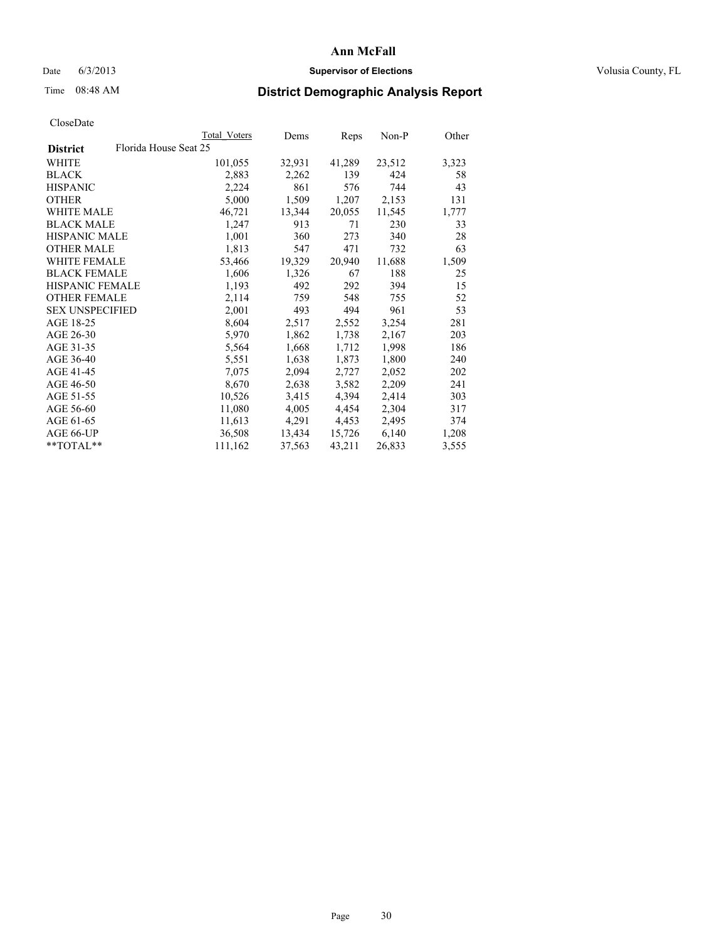### Date 6/3/2013 **Supervisor of Elections Supervisor of Elections** Volusia County, FL

## Time 08:48 AM **District Demographic Analysis Report**

|                                          | Total Voters | Dems   | <b>Reps</b> | Non-P  | Other |
|------------------------------------------|--------------|--------|-------------|--------|-------|
| Florida House Seat 25<br><b>District</b> |              |        |             |        |       |
| WHITE                                    | 101,055      | 32,931 | 41,289      | 23,512 | 3,323 |
| <b>BLACK</b>                             | 2,883        | 2,262  | 139         | 424    | 58    |
| <b>HISPANIC</b>                          | 2,224        | 861    | 576         | 744    | 43    |
| <b>OTHER</b>                             | 5,000        | 1,509  | 1,207       | 2,153  | 131   |
| <b>WHITE MALE</b>                        | 46,721       | 13,344 | 20,055      | 11,545 | 1,777 |
| <b>BLACK MALE</b>                        | 1,247        | 913    | 71          | 230    | 33    |
| <b>HISPANIC MALE</b>                     | 1,001        | 360    | 273         | 340    | 28    |
| <b>OTHER MALE</b>                        | 1,813        | 547    | 471         | 732    | 63    |
| <b>WHITE FEMALE</b>                      | 53,466       | 19,329 | 20,940      | 11,688 | 1,509 |
| <b>BLACK FEMALE</b>                      | 1,606        | 1,326  | 67          | 188    | 25    |
| <b>HISPANIC FEMALE</b>                   | 1,193        | 492    | 292         | 394    | 15    |
| <b>OTHER FEMALE</b>                      | 2,114        | 759    | 548         | 755    | 52    |
| <b>SEX UNSPECIFIED</b>                   | 2,001        | 493    | 494         | 961    | 53    |
| AGE 18-25                                | 8,604        | 2,517  | 2,552       | 3,254  | 281   |
| AGE 26-30                                | 5,970        | 1,862  | 1,738       | 2,167  | 203   |
| AGE 31-35                                | 5,564        | 1,668  | 1,712       | 1,998  | 186   |
| AGE 36-40                                | 5,551        | 1,638  | 1,873       | 1,800  | 240   |
| AGE 41-45                                | 7,075        | 2,094  | 2,727       | 2,052  | 202   |
| AGE 46-50                                | 8,670        | 2,638  | 3,582       | 2,209  | 241   |
| AGE 51-55                                | 10,526       | 3,415  | 4,394       | 2,414  | 303   |
| AGE 56-60                                | 11,080       | 4,005  | 4,454       | 2,304  | 317   |
| AGE 61-65                                | 11,613       | 4,291  | 4,453       | 2,495  | 374   |
| AGE 66-UP                                | 36,508       | 13,434 | 15,726      | 6,140  | 1,208 |
| $*$ TOTAL $*$                            | 111,162      | 37,563 | 43,211      | 26,833 | 3,555 |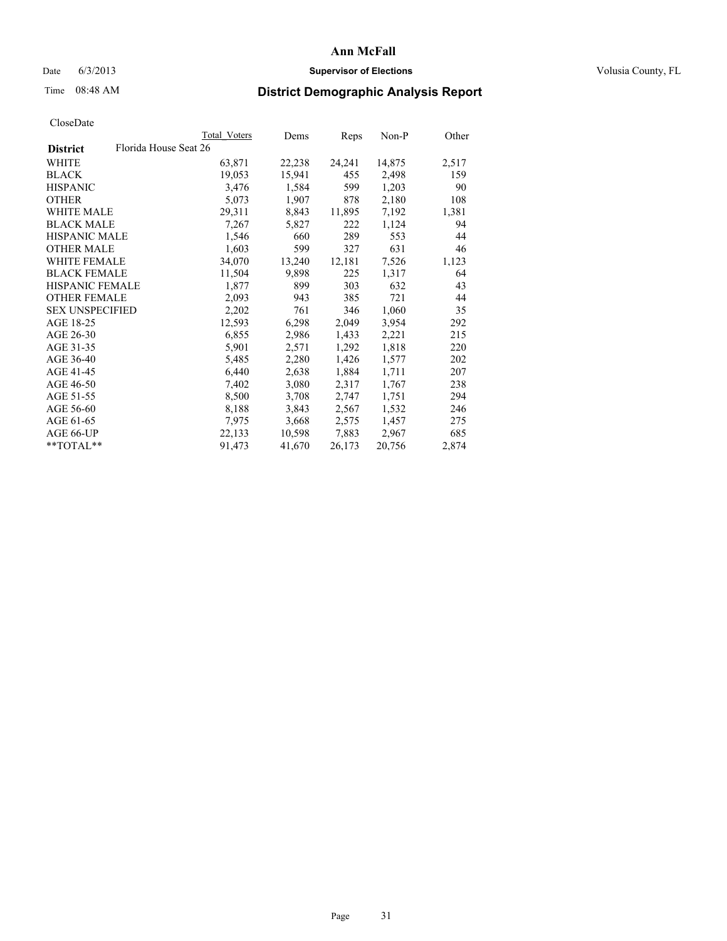### Date 6/3/2013 **Supervisor of Elections Supervisor of Elections** Volusia County, FL

## Time 08:48 AM **District Demographic Analysis Report**

|                        |                       | Total Voters | Dems   | Reps   | Non-P  | Other |
|------------------------|-----------------------|--------------|--------|--------|--------|-------|
| <b>District</b>        | Florida House Seat 26 |              |        |        |        |       |
| <b>WHITE</b>           |                       | 63,871       | 22,238 | 24,241 | 14,875 | 2,517 |
| <b>BLACK</b>           |                       | 19,053       | 15,941 | 455    | 2,498  | 159   |
| <b>HISPANIC</b>        |                       | 3,476        | 1,584  | 599    | 1,203  | 90    |
| <b>OTHER</b>           |                       | 5,073        | 1,907  | 878    | 2,180  | 108   |
| <b>WHITE MALE</b>      |                       | 29,311       | 8,843  | 11,895 | 7,192  | 1,381 |
| <b>BLACK MALE</b>      |                       | 7,267        | 5,827  | 222    | 1,124  | 94    |
| <b>HISPANIC MALE</b>   |                       | 1,546        | 660    | 289    | 553    | 44    |
| <b>OTHER MALE</b>      |                       | 1,603        | 599    | 327    | 631    | 46    |
| WHITE FEMALE           |                       | 34,070       | 13,240 | 12,181 | 7,526  | 1,123 |
| <b>BLACK FEMALE</b>    |                       | 11,504       | 9,898  | 225    | 1,317  | 64    |
| HISPANIC FEMALE        |                       | 1,877        | 899    | 303    | 632    | 43    |
| <b>OTHER FEMALE</b>    |                       | 2,093        | 943    | 385    | 721    | 44    |
| <b>SEX UNSPECIFIED</b> |                       | 2,202        | 761    | 346    | 1,060  | 35    |
| AGE 18-25              |                       | 12,593       | 6,298  | 2,049  | 3,954  | 292   |
| AGE 26-30              |                       | 6,855        | 2,986  | 1,433  | 2,221  | 215   |
| AGE 31-35              |                       | 5,901        | 2,571  | 1,292  | 1,818  | 220   |
| AGE 36-40              |                       | 5,485        | 2,280  | 1,426  | 1,577  | 202   |
| AGE 41-45              |                       | 6,440        | 2,638  | 1,884  | 1,711  | 207   |
| AGE 46-50              |                       | 7,402        | 3,080  | 2,317  | 1,767  | 238   |
| AGE 51-55              |                       | 8,500        | 3,708  | 2,747  | 1,751  | 294   |
| AGE 56-60              |                       | 8,188        | 3,843  | 2,567  | 1,532  | 246   |
| AGE 61-65              |                       | 7.975        | 3,668  | 2,575  | 1,457  | 275   |
| AGE 66-UP              |                       | 22,133       | 10,598 | 7,883  | 2,967  | 685   |
| **TOTAL**              |                       | 91,473       | 41,670 | 26,173 | 20,756 | 2,874 |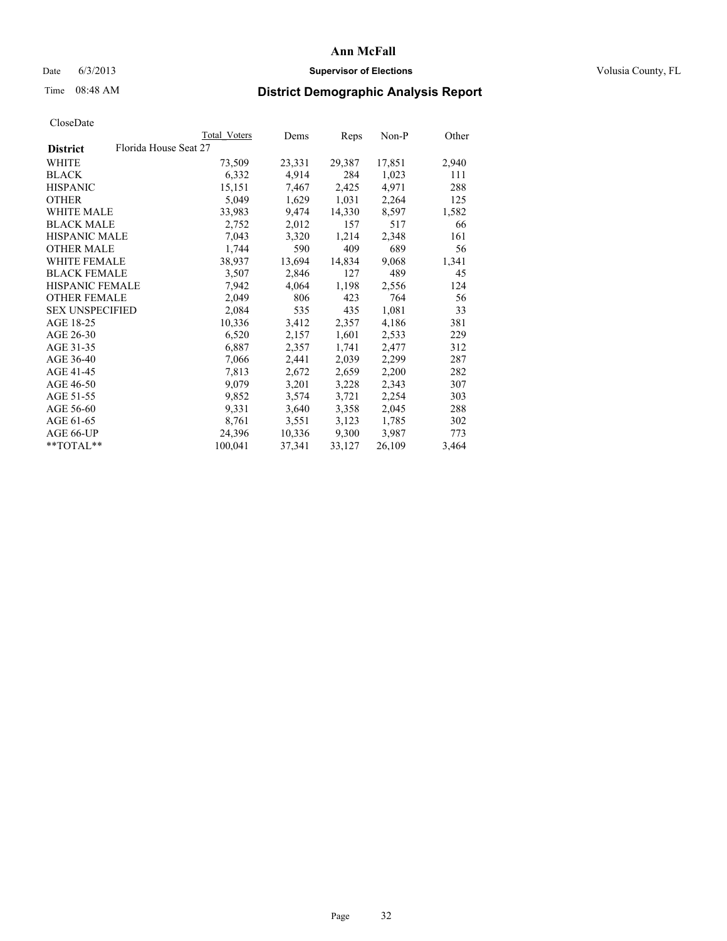### Date 6/3/2013 **Supervisor of Elections Supervisor of Elections** Volusia County, FL

## Time 08:48 AM **District Demographic Analysis Report**

|                                          | <b>Total Voters</b> | Dems   | Reps   | Non-P  | Other |
|------------------------------------------|---------------------|--------|--------|--------|-------|
| Florida House Seat 27<br><b>District</b> |                     |        |        |        |       |
| WHITE                                    | 73,509              | 23,331 | 29,387 | 17,851 | 2,940 |
| <b>BLACK</b>                             | 6,332               | 4,914  | 284    | 1,023  | 111   |
| <b>HISPANIC</b>                          | 15,151              | 7,467  | 2,425  | 4,971  | 288   |
| <b>OTHER</b>                             | 5,049               | 1,629  | 1,031  | 2,264  | 125   |
| <b>WHITE MALE</b>                        | 33,983              | 9,474  | 14,330 | 8,597  | 1,582 |
| <b>BLACK MALE</b>                        | 2,752               | 2,012  | 157    | 517    | 66    |
| <b>HISPANIC MALE</b>                     | 7,043               | 3,320  | 1,214  | 2,348  | 161   |
| <b>OTHER MALE</b>                        | 1,744               | 590    | 409    | 689    | 56    |
| <b>WHITE FEMALE</b>                      | 38,937              | 13,694 | 14,834 | 9,068  | 1,341 |
| <b>BLACK FEMALE</b>                      | 3,507               | 2,846  | 127    | 489    | 45    |
| <b>HISPANIC FEMALE</b>                   | 7,942               | 4,064  | 1,198  | 2,556  | 124   |
| <b>OTHER FEMALE</b>                      | 2,049               | 806    | 423    | 764    | 56    |
| <b>SEX UNSPECIFIED</b>                   | 2,084               | 535    | 435    | 1,081  | 33    |
| AGE 18-25                                | 10,336              | 3,412  | 2,357  | 4,186  | 381   |
| AGE 26-30                                | 6,520               | 2,157  | 1,601  | 2,533  | 229   |
| AGE 31-35                                | 6,887               | 2,357  | 1,741  | 2,477  | 312   |
| AGE 36-40                                | 7,066               | 2,441  | 2,039  | 2,299  | 287   |
| AGE 41-45                                | 7,813               | 2,672  | 2,659  | 2,200  | 282   |
| AGE 46-50                                | 9,079               | 3,201  | 3,228  | 2,343  | 307   |
| AGE 51-55                                | 9,852               | 3,574  | 3,721  | 2,254  | 303   |
| AGE 56-60                                | 9,331               | 3,640  | 3,358  | 2,045  | 288   |
| AGE 61-65                                | 8,761               | 3,551  | 3,123  | 1,785  | 302   |
| AGE 66-UP                                | 24,396              | 10,336 | 9,300  | 3,987  | 773   |
| **TOTAL**                                | 100,041             | 37,341 | 33,127 | 26,109 | 3,464 |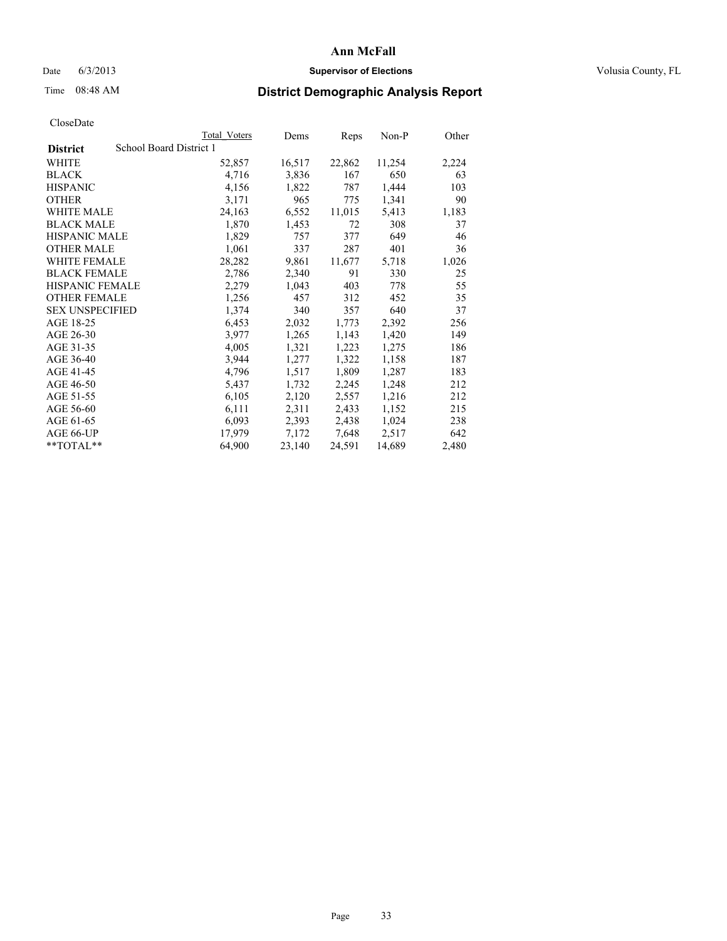### Date 6/3/2013 **Supervisor of Elections Supervisor of Elections** Volusia County, FL

## Time 08:48 AM **District Demographic Analysis Report**

|                        |                         | Total Voters | Dems   | Reps   | Non-P  | Other |
|------------------------|-------------------------|--------------|--------|--------|--------|-------|
| <b>District</b>        | School Board District 1 |              |        |        |        |       |
| <b>WHITE</b>           |                         | 52,857       | 16,517 | 22,862 | 11,254 | 2,224 |
| <b>BLACK</b>           |                         | 4,716        | 3,836  | 167    | 650    | 63    |
| <b>HISPANIC</b>        |                         | 4,156        | 1,822  | 787    | 1,444  | 103   |
| <b>OTHER</b>           |                         | 3,171        | 965    | 775    | 1,341  | 90    |
| <b>WHITE MALE</b>      |                         | 24,163       | 6,552  | 11,015 | 5,413  | 1,183 |
| <b>BLACK MALE</b>      |                         | 1,870        | 1,453  | 72     | 308    | 37    |
| <b>HISPANIC MALE</b>   |                         | 1,829        | 757    | 377    | 649    | 46    |
| <b>OTHER MALE</b>      |                         | 1,061        | 337    | 287    | 401    | 36    |
| <b>WHITE FEMALE</b>    |                         | 28,282       | 9,861  | 11,677 | 5,718  | 1,026 |
| <b>BLACK FEMALE</b>    |                         | 2,786        | 2,340  | 91     | 330    | 25    |
| <b>HISPANIC FEMALE</b> |                         | 2,279        | 1,043  | 403    | 778    | 55    |
| <b>OTHER FEMALE</b>    |                         | 1,256        | 457    | 312    | 452    | 35    |
| <b>SEX UNSPECIFIED</b> |                         | 1,374        | 340    | 357    | 640    | 37    |
| AGE 18-25              |                         | 6,453        | 2,032  | 1,773  | 2,392  | 256   |
| AGE 26-30              |                         | 3,977        | 1,265  | 1,143  | 1,420  | 149   |
| AGE 31-35              |                         | 4,005        | 1,321  | 1,223  | 1,275  | 186   |
| AGE 36-40              |                         | 3,944        | 1,277  | 1,322  | 1,158  | 187   |
| AGE 41-45              |                         | 4,796        | 1,517  | 1,809  | 1,287  | 183   |
| AGE 46-50              |                         | 5,437        | 1,732  | 2,245  | 1,248  | 212   |
| AGE 51-55              |                         | 6,105        | 2,120  | 2,557  | 1,216  | 212   |
| AGE 56-60              |                         | 6,111        | 2,311  | 2,433  | 1,152  | 215   |
| AGE 61-65              |                         | 6,093        | 2,393  | 2,438  | 1,024  | 238   |
| AGE 66-UP              |                         | 17,979       | 7,172  | 7,648  | 2,517  | 642   |
| $*$ $TOTAL**$          |                         | 64,900       | 23,140 | 24,591 | 14,689 | 2,480 |
|                        |                         |              |        |        |        |       |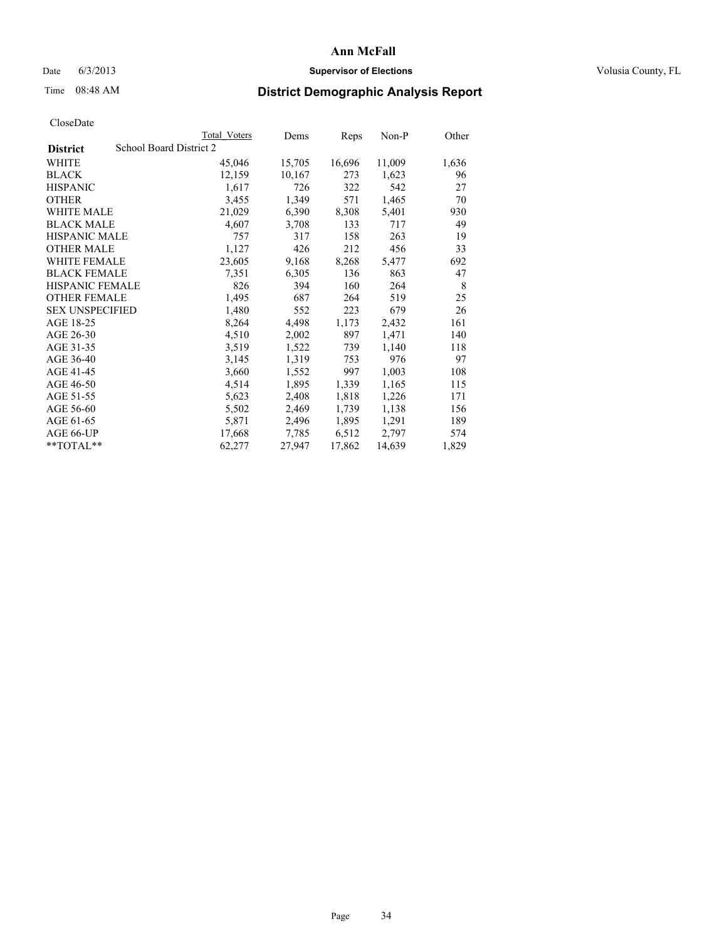### Date 6/3/2013 **Supervisor of Elections Supervisor of Elections** Volusia County, FL

## Time 08:48 AM **District Demographic Analysis Report**

|                        |                         | <b>Total Voters</b> | Dems   | Reps   | Non-P  | Other |
|------------------------|-------------------------|---------------------|--------|--------|--------|-------|
| <b>District</b>        | School Board District 2 |                     |        |        |        |       |
| WHITE                  |                         | 45,046              | 15,705 | 16,696 | 11,009 | 1,636 |
| <b>BLACK</b>           |                         | 12,159              | 10,167 | 273    | 1,623  | 96    |
| <b>HISPANIC</b>        |                         | 1,617               | 726    | 322    | 542    | 27    |
| <b>OTHER</b>           |                         | 3,455               | 1,349  | 571    | 1,465  | 70    |
| <b>WHITE MALE</b>      |                         | 21,029              | 6,390  | 8,308  | 5,401  | 930   |
| <b>BLACK MALE</b>      |                         | 4,607               | 3,708  | 133    | 717    | 49    |
| <b>HISPANIC MALE</b>   |                         | 757                 | 317    | 158    | 263    | 19    |
| <b>OTHER MALE</b>      |                         | 1,127               | 426    | 212    | 456    | 33    |
| WHITE FEMALE           |                         | 23,605              | 9,168  | 8,268  | 5,477  | 692   |
| <b>BLACK FEMALE</b>    |                         | 7,351               | 6,305  | 136    | 863    | 47    |
| <b>HISPANIC FEMALE</b> |                         | 826                 | 394    | 160    | 264    | 8     |
| <b>OTHER FEMALE</b>    |                         | 1,495               | 687    | 264    | 519    | 25    |
| <b>SEX UNSPECIFIED</b> |                         | 1,480               | 552    | 223    | 679    | 26    |
| AGE 18-25              |                         | 8,264               | 4,498  | 1,173  | 2,432  | 161   |
| AGE 26-30              |                         | 4,510               | 2,002  | 897    | 1,471  | 140   |
| AGE 31-35              |                         | 3,519               | 1,522  | 739    | 1,140  | 118   |
| AGE 36-40              |                         | 3,145               | 1,319  | 753    | 976    | 97    |
| AGE 41-45              |                         | 3,660               | 1,552  | 997    | 1,003  | 108   |
| AGE 46-50              |                         | 4,514               | 1,895  | 1,339  | 1,165  | 115   |
| AGE 51-55              |                         | 5,623               | 2,408  | 1,818  | 1,226  | 171   |
| AGE 56-60              |                         | 5,502               | 2,469  | 1,739  | 1,138  | 156   |
| AGE 61-65              |                         | 5,871               | 2,496  | 1,895  | 1,291  | 189   |
| AGE 66-UP              |                         | 17,668              | 7,785  | 6,512  | 2,797  | 574   |
| $*$ $TOTAI.**$         |                         | 62,277              | 27,947 | 17,862 | 14,639 | 1,829 |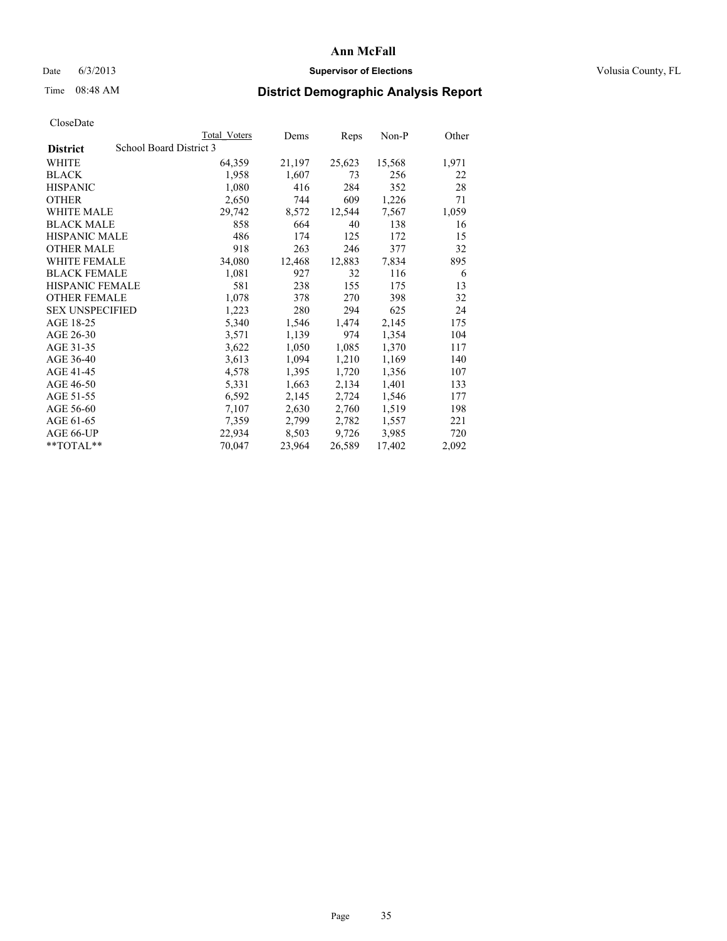### Date 6/3/2013 **Supervisor of Elections Supervisor of Elections** Volusia County, FL

## Time 08:48 AM **District Demographic Analysis Report**

|                                            | <b>Total Voters</b> | Dems   | Reps   | $Non-P$ | Other |
|--------------------------------------------|---------------------|--------|--------|---------|-------|
| School Board District 3<br><b>District</b> |                     |        |        |         |       |
| WHITE                                      | 64,359              | 21,197 | 25,623 | 15,568  | 1,971 |
| <b>BLACK</b>                               | 1,958               | 1,607  | 73     | 256     | 22    |
| <b>HISPANIC</b>                            | 1,080               | 416    | 284    | 352     | 28    |
| <b>OTHER</b>                               | 2,650               | 744    | 609    | 1,226   | 71    |
| <b>WHITE MALE</b>                          | 29,742              | 8,572  | 12,544 | 7,567   | 1,059 |
| <b>BLACK MALE</b>                          | 858                 | 664    | 40     | 138     | 16    |
| <b>HISPANIC MALE</b>                       | 486                 | 174    | 125    | 172     | 15    |
| <b>OTHER MALE</b>                          | 918                 | 263    | 246    | 377     | 32    |
| <b>WHITE FEMALE</b>                        | 34,080              | 12,468 | 12,883 | 7,834   | 895   |
| <b>BLACK FEMALE</b>                        | 1,081               | 927    | 32     | 116     | 6     |
| <b>HISPANIC FEMALE</b>                     | 581                 | 238    | 155    | 175     | 13    |
| <b>OTHER FEMALE</b>                        | 1,078               | 378    | 270    | 398     | 32    |
| <b>SEX UNSPECIFIED</b>                     | 1,223               | 280    | 294    | 625     | 24    |
| AGE 18-25                                  | 5,340               | 1,546  | 1,474  | 2,145   | 175   |
| AGE 26-30                                  | 3,571               | 1,139  | 974    | 1,354   | 104   |
| AGE 31-35                                  | 3,622               | 1,050  | 1,085  | 1,370   | 117   |
| AGE 36-40                                  | 3,613               | 1,094  | 1,210  | 1,169   | 140   |
| AGE 41-45                                  | 4,578               | 1,395  | 1,720  | 1,356   | 107   |
| AGE 46-50                                  | 5,331               | 1,663  | 2,134  | 1,401   | 133   |
| AGE 51-55                                  | 6,592               | 2,145  | 2,724  | 1,546   | 177   |
| AGE 56-60                                  | 7,107               | 2,630  | 2,760  | 1,519   | 198   |
| AGE 61-65                                  | 7,359               | 2,799  | 2,782  | 1,557   | 221   |
| AGE 66-UP                                  | 22,934              | 8,503  | 9,726  | 3,985   | 720   |
| $*$ $TOTAL**$                              | 70,047              | 23,964 | 26,589 | 17,402  | 2,092 |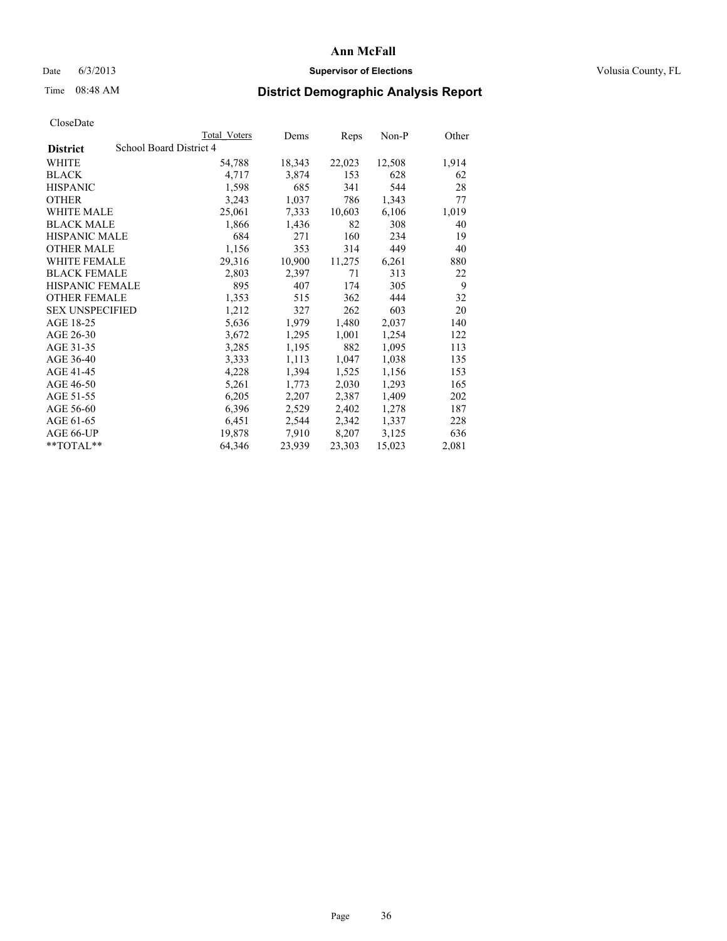### Date 6/3/2013 **Supervisor of Elections Supervisor of Elections** Volusia County, FL

## Time 08:48 AM **District Demographic Analysis Report**

|                                            | Total Voters | Dems   | <b>Reps</b> | $Non-P$ | Other |
|--------------------------------------------|--------------|--------|-------------|---------|-------|
| School Board District 4<br><b>District</b> |              |        |             |         |       |
| <b>WHITE</b>                               | 54,788       | 18,343 | 22,023      | 12,508  | 1,914 |
| <b>BLACK</b>                               | 4,717        | 3,874  | 153         | 628     | 62    |
| <b>HISPANIC</b>                            | 1,598        | 685    | 341         | 544     | 28    |
| <b>OTHER</b>                               | 3,243        | 1,037  | 786         | 1,343   | 77    |
| WHITE MALE                                 | 25,061       | 7,333  | 10,603      | 6,106   | 1,019 |
| <b>BLACK MALE</b>                          | 1,866        | 1,436  | 82          | 308     | 40    |
| <b>HISPANIC MALE</b>                       | 684          | 271    | 160         | 234     | 19    |
| <b>OTHER MALE</b>                          | 1,156        | 353    | 314         | 449     | 40    |
| WHITE FEMALE                               | 29,316       | 10,900 | 11,275      | 6,261   | 880   |
| <b>BLACK FEMALE</b>                        | 2,803        | 2,397  | 71          | 313     | 22    |
| HISPANIC FEMALE                            | 895          | 407    | 174         | 305     | 9     |
| <b>OTHER FEMALE</b>                        | 1,353        | 515    | 362         | 444     | 32    |
| <b>SEX UNSPECIFIED</b>                     | 1,212        | 327    | 262         | 603     | 20    |
| AGE 18-25                                  | 5,636        | 1,979  | 1,480       | 2,037   | 140   |
| AGE 26-30                                  | 3,672        | 1,295  | 1,001       | 1,254   | 122   |
| AGE 31-35                                  | 3,285        | 1,195  | 882         | 1,095   | 113   |
| AGE 36-40                                  | 3.333        | 1,113  | 1,047       | 1,038   | 135   |
| AGE 41-45                                  | 4,228        | 1,394  | 1,525       | 1,156   | 153   |
| AGE 46-50                                  | 5,261        | 1,773  | 2,030       | 1,293   | 165   |
| AGE 51-55                                  | 6,205        | 2,207  | 2,387       | 1,409   | 202   |
| AGE 56-60                                  | 6,396        | 2,529  | 2,402       | 1,278   | 187   |
| AGE 61-65                                  | 6,451        | 2,544  | 2,342       | 1,337   | 228   |
| AGE 66-UP                                  | 19,878       | 7,910  | 8,207       | 3,125   | 636   |
| $*$ TOTAL $*$                              | 64,346       | 23,939 | 23,303      | 15,023  | 2,081 |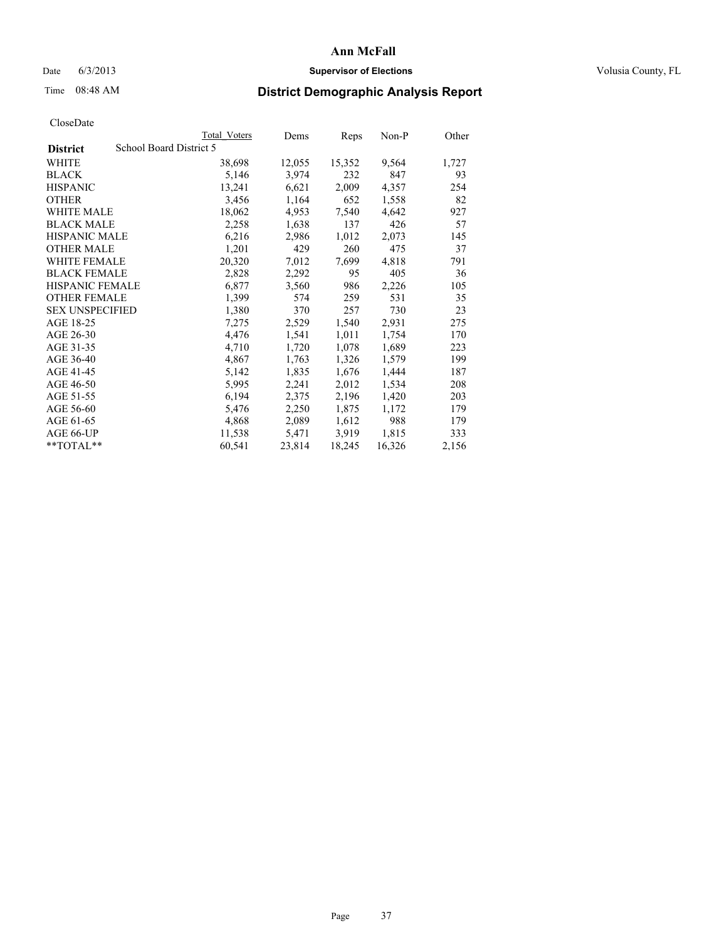## Date 6/3/2013 **Supervisor of Elections Supervisor of Elections** Volusia County, FL

# Time 08:48 AM **District Demographic Analysis Report**

|                                            | <b>Total Voters</b> | Dems   | Reps   | Non-P  | Other |
|--------------------------------------------|---------------------|--------|--------|--------|-------|
| School Board District 5<br><b>District</b> |                     |        |        |        |       |
| WHITE                                      | 38,698              | 12,055 | 15,352 | 9,564  | 1,727 |
| <b>BLACK</b>                               | 5,146               | 3,974  | 232    | 847    | 93    |
| <b>HISPANIC</b>                            | 13,241              | 6,621  | 2,009  | 4,357  | 254   |
| <b>OTHER</b>                               | 3,456               | 1,164  | 652    | 1,558  | 82    |
| WHITE MALE                                 | 18,062              | 4,953  | 7,540  | 4,642  | 927   |
| <b>BLACK MALE</b>                          | 2,258               | 1,638  | 137    | 426    | 57    |
| <b>HISPANIC MALE</b>                       | 6,216               | 2,986  | 1,012  | 2,073  | 145   |
| <b>OTHER MALE</b>                          | 1,201               | 429    | 260    | 475    | 37    |
| <b>WHITE FEMALE</b>                        | 20,320              | 7,012  | 7,699  | 4,818  | 791   |
| <b>BLACK FEMALE</b>                        | 2,828               | 2,292  | 95     | 405    | 36    |
| HISPANIC FEMALE                            | 6,877               | 3,560  | 986    | 2,226  | 105   |
| <b>OTHER FEMALE</b>                        | 1,399               | 574    | 259    | 531    | 35    |
| <b>SEX UNSPECIFIED</b>                     | 1,380               | 370    | 257    | 730    | 23    |
| AGE 18-25                                  | 7,275               | 2,529  | 1,540  | 2,931  | 275   |
| AGE 26-30                                  | 4,476               | 1,541  | 1,011  | 1,754  | 170   |
| AGE 31-35                                  | 4,710               | 1,720  | 1,078  | 1,689  | 223   |
| AGE 36-40                                  | 4,867               | 1,763  | 1,326  | 1,579  | 199   |
| AGE 41-45                                  | 5,142               | 1,835  | 1,676  | 1,444  | 187   |
| AGE 46-50                                  | 5,995               | 2,241  | 2,012  | 1,534  | 208   |
| AGE 51-55                                  | 6,194               | 2,375  | 2,196  | 1,420  | 203   |
| AGE 56-60                                  | 5,476               | 2,250  | 1,875  | 1,172  | 179   |
| AGE 61-65                                  | 4,868               | 2,089  | 1,612  | 988    | 179   |
| AGE 66-UP                                  | 11,538              | 5,471  | 3.919  | 1,815  | 333   |
| $*$ $TOTAL**$                              | 60,541              | 23,814 | 18,245 | 16,326 | 2,156 |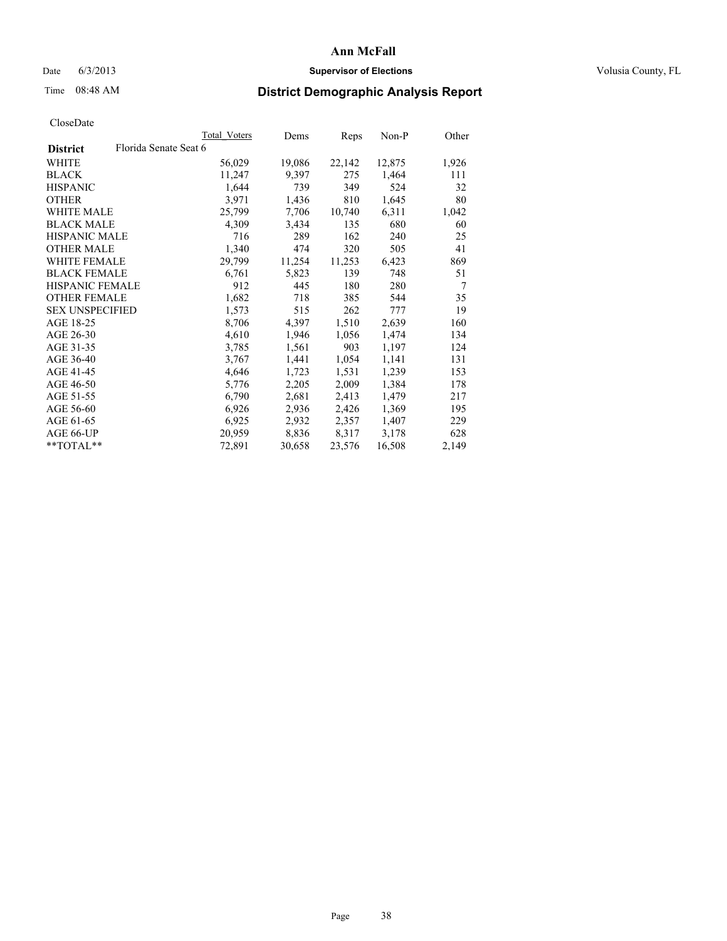## Date 6/3/2013 **Supervisor of Elections Supervisor of Elections** Volusia County, FL

# Time 08:48 AM **District Demographic Analysis Report**

|                        | Total Voters          | Dems   | Reps   | Non-P  | Other |
|------------------------|-----------------------|--------|--------|--------|-------|
| <b>District</b>        | Florida Senate Seat 6 |        |        |        |       |
| WHITE                  | 56,029                | 19,086 | 22,142 | 12,875 | 1,926 |
| <b>BLACK</b>           | 11,247                | 9,397  | 275    | 1,464  | 111   |
| <b>HISPANIC</b>        | 1,644                 | 739    | 349    | 524    | 32    |
| <b>OTHER</b>           | 3,971                 | 1,436  | 810    | 1,645  | 80    |
| <b>WHITE MALE</b>      | 25,799                | 7,706  | 10,740 | 6,311  | 1,042 |
| <b>BLACK MALE</b>      | 4,309                 | 3,434  | 135    | 680    | 60    |
| <b>HISPANIC MALE</b>   | 716                   | 289    | 162    | 240    | 25    |
| <b>OTHER MALE</b>      | 1,340                 | 474    | 320    | 505    | 41    |
| WHITE FEMALE           | 29,799                | 11,254 | 11,253 | 6,423  | 869   |
| <b>BLACK FEMALE</b>    | 6,761                 | 5,823  | 139    | 748    | 51    |
| <b>HISPANIC FEMALE</b> | 912                   | 445    | 180    | 280    | 7     |
| <b>OTHER FEMALE</b>    | 1,682                 | 718    | 385    | 544    | 35    |
| <b>SEX UNSPECIFIED</b> | 1,573                 | 515    | 262    | 777    | 19    |
| AGE 18-25              | 8,706                 | 4,397  | 1,510  | 2,639  | 160   |
| AGE 26-30              | 4,610                 | 1,946  | 1,056  | 1,474  | 134   |
| AGE 31-35              | 3,785                 | 1,561  | 903    | 1,197  | 124   |
| AGE 36-40              | 3,767                 | 1,441  | 1,054  | 1,141  | 131   |
| AGE 41-45              | 4,646                 | 1,723  | 1,531  | 1,239  | 153   |
| AGE 46-50              | 5,776                 | 2,205  | 2,009  | 1,384  | 178   |
| AGE 51-55              | 6,790                 | 2,681  | 2,413  | 1,479  | 217   |
| AGE 56-60              | 6,926                 | 2,936  | 2,426  | 1,369  | 195   |
| AGE 61-65              | 6,925                 | 2,932  | 2,357  | 1,407  | 229   |
| AGE 66-UP              | 20,959                | 8,836  | 8,317  | 3,178  | 628   |
| **TOTAL**              | 72,891                | 30,658 | 23,576 | 16,508 | 2,149 |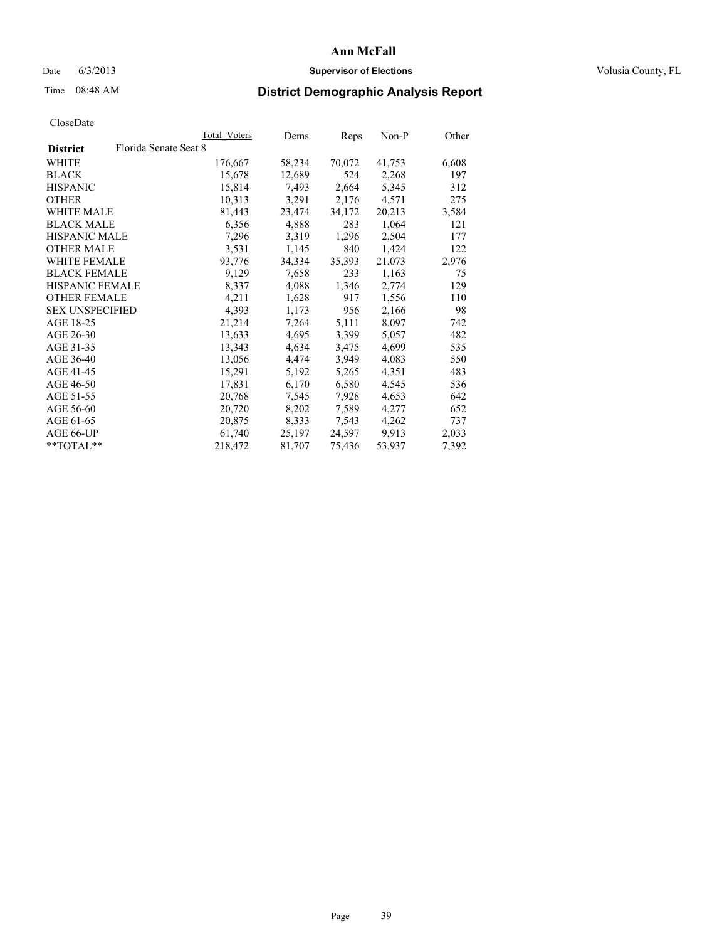## Date 6/3/2013 **Supervisor of Elections Supervisor of Elections** Volusia County, FL

# Time 08:48 AM **District Demographic Analysis Report**

|                                          | Total Voters | Dems   | <b>Reps</b> | Non-P  | Other |
|------------------------------------------|--------------|--------|-------------|--------|-------|
| Florida Senate Seat 8<br><b>District</b> |              |        |             |        |       |
| WHITE                                    | 176,667      | 58,234 | 70,072      | 41,753 | 6,608 |
| <b>BLACK</b>                             | 15,678       | 12,689 | 524         | 2,268  | 197   |
| <b>HISPANIC</b>                          | 15,814       | 7.493  | 2,664       | 5,345  | 312   |
| <b>OTHER</b>                             | 10,313       | 3,291  | 2,176       | 4,571  | 275   |
| <b>WHITE MALE</b>                        | 81,443       | 23,474 | 34,172      | 20,213 | 3,584 |
| <b>BLACK MALE</b>                        | 6,356        | 4,888  | 283         | 1,064  | 121   |
| <b>HISPANIC MALE</b>                     | 7,296        | 3,319  | 1,296       | 2,504  | 177   |
| <b>OTHER MALE</b>                        | 3,531        | 1,145  | 840         | 1,424  | 122   |
| <b>WHITE FEMALE</b>                      | 93,776       | 34,334 | 35,393      | 21,073 | 2,976 |
| <b>BLACK FEMALE</b>                      | 9,129        | 7,658  | 233         | 1,163  | 75    |
| HISPANIC FEMALE                          | 8,337        | 4,088  | 1,346       | 2,774  | 129   |
| <b>OTHER FEMALE</b>                      | 4,211        | 1,628  | 917         | 1,556  | 110   |
| <b>SEX UNSPECIFIED</b>                   | 4,393        | 1,173  | 956         | 2,166  | 98    |
| AGE 18-25                                | 21,214       | 7,264  | 5,111       | 8,097  | 742   |
| AGE 26-30                                | 13,633       | 4,695  | 3,399       | 5,057  | 482   |
| AGE 31-35                                | 13,343       | 4,634  | 3,475       | 4,699  | 535   |
| AGE 36-40                                | 13,056       | 4,474  | 3,949       | 4,083  | 550   |
| AGE 41-45                                | 15,291       | 5,192  | 5,265       | 4,351  | 483   |
| AGE 46-50                                | 17,831       | 6,170  | 6,580       | 4,545  | 536   |
| AGE 51-55                                | 20,768       | 7,545  | 7,928       | 4,653  | 642   |
| AGE 56-60                                | 20,720       | 8,202  | 7,589       | 4,277  | 652   |
| AGE 61-65                                | 20,875       | 8,333  | 7,543       | 4,262  | 737   |
| AGE 66-UP                                | 61,740       | 25,197 | 24,597      | 9.913  | 2,033 |
| $*$ $TOTAI.**$                           | 218,472      | 81,707 | 75,436      | 53,937 | 7,392 |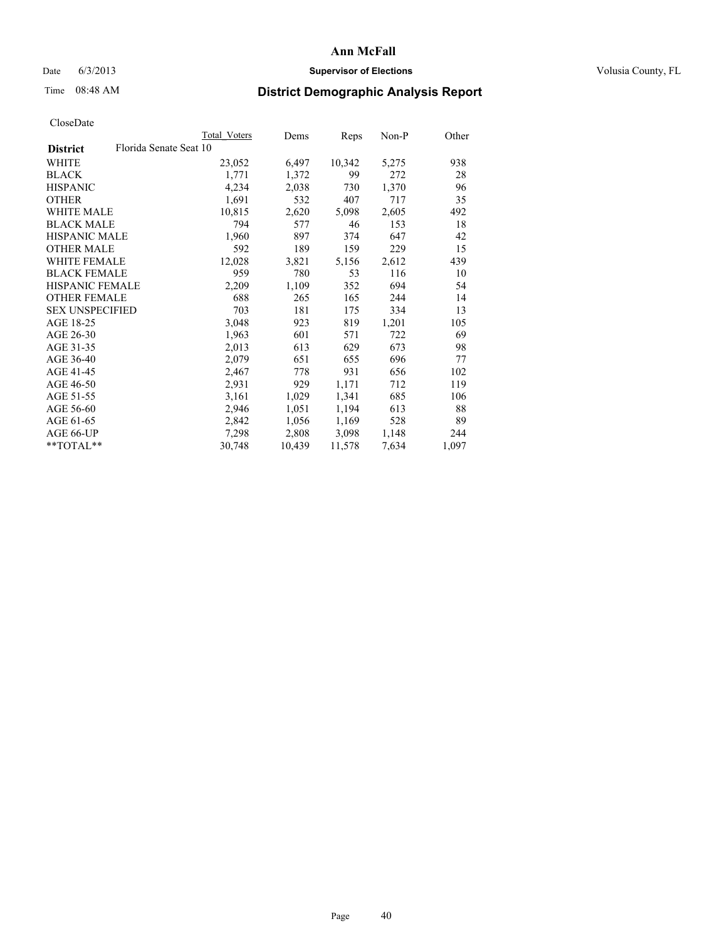## Date 6/3/2013 **Supervisor of Elections Supervisor of Elections** Volusia County, FL

# Time 08:48 AM **District Demographic Analysis Report**

|                        |                        | Total Voters | Dems   | Reps   | Non-P | Other |
|------------------------|------------------------|--------------|--------|--------|-------|-------|
| <b>District</b>        | Florida Senate Seat 10 |              |        |        |       |       |
| <b>WHITE</b>           |                        | 23,052       | 6,497  | 10,342 | 5,275 | 938   |
| <b>BLACK</b>           |                        | 1,771        | 1,372  | 99     | 272   | 28    |
| <b>HISPANIC</b>        |                        | 4,234        | 2,038  | 730    | 1,370 | 96    |
| <b>OTHER</b>           |                        | 1,691        | 532    | 407    | 717   | 35    |
| WHITE MALE             |                        | 10,815       | 2,620  | 5,098  | 2,605 | 492   |
| <b>BLACK MALE</b>      |                        | 794          | 577    | 46     | 153   | 18    |
| <b>HISPANIC MALE</b>   |                        | 1,960        | 897    | 374    | 647   | 42    |
| <b>OTHER MALE</b>      |                        | 592          | 189    | 159    | 229   | 15    |
| <b>WHITE FEMALE</b>    |                        | 12,028       | 3,821  | 5,156  | 2,612 | 439   |
| <b>BLACK FEMALE</b>    |                        | 959          | 780    | 53     | 116   | 10    |
| <b>HISPANIC FEMALE</b> |                        | 2,209        | 1,109  | 352    | 694   | 54    |
| <b>OTHER FEMALE</b>    |                        | 688          | 265    | 165    | 244   | 14    |
| <b>SEX UNSPECIFIED</b> |                        | 703          | 181    | 175    | 334   | 13    |
| AGE 18-25              |                        | 3,048        | 923    | 819    | 1,201 | 105   |
| AGE 26-30              |                        | 1,963        | 601    | 571    | 722   | 69    |
| AGE 31-35              |                        | 2,013        | 613    | 629    | 673   | 98    |
| AGE 36-40              |                        | 2,079        | 651    | 655    | 696   | 77    |
| AGE 41-45              |                        | 2,467        | 778    | 931    | 656   | 102   |
| AGE 46-50              |                        | 2,931        | 929    | 1,171  | 712   | 119   |
| AGE 51-55              |                        | 3,161        | 1,029  | 1,341  | 685   | 106   |
| AGE 56-60              |                        | 2,946        | 1,051  | 1,194  | 613   | 88    |
| AGE 61-65              |                        | 2,842        | 1,056  | 1,169  | 528   | 89    |
| AGE 66-UP              |                        | 7,298        | 2,808  | 3,098  | 1,148 | 244   |
| $*$ $TOTAL**$          |                        | 30,748       | 10,439 | 11,578 | 7,634 | 1,097 |
|                        |                        |              |        |        |       |       |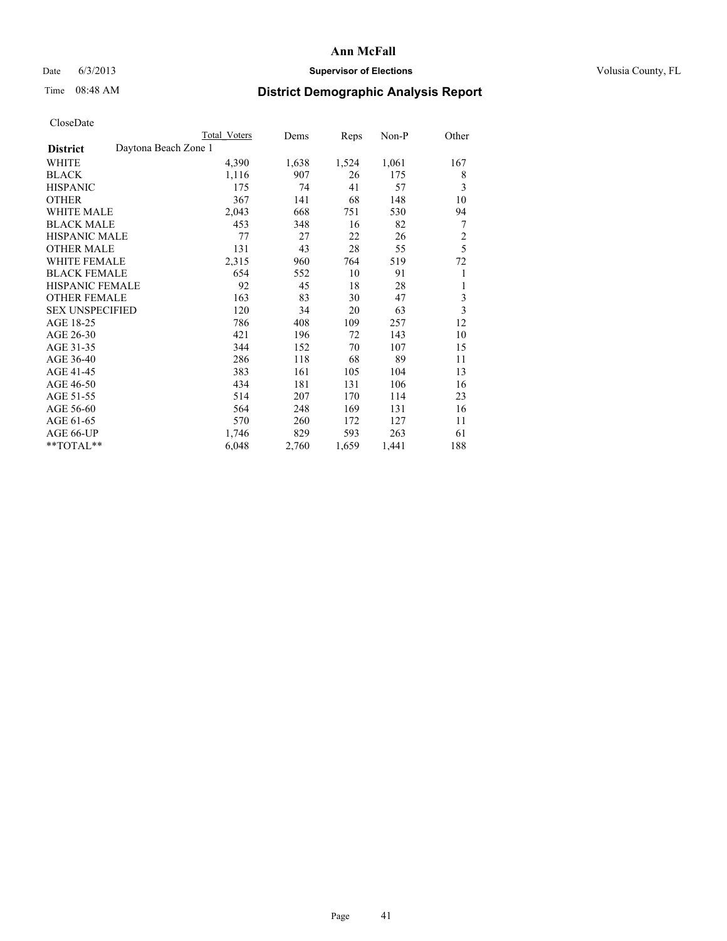# Date 6/3/2013 **Supervisor of Elections Supervisor of Elections** Volusia County, FL

# Time 08:48 AM **District Demographic Analysis Report**

|                                         | Total Voters | Dems  | Reps  | Non-P | Other                   |
|-----------------------------------------|--------------|-------|-------|-------|-------------------------|
| Daytona Beach Zone 1<br><b>District</b> |              |       |       |       |                         |
| WHITE                                   | 4,390        | 1,638 | 1,524 | 1,061 | 167                     |
| <b>BLACK</b>                            | 1,116        | 907   | 26    | 175   | 8                       |
| <b>HISPANIC</b>                         | 175          | 74    | 41    | 57    | 3                       |
| <b>OTHER</b>                            | 367          | 141   | 68    | 148   | 10                      |
| <b>WHITE MALE</b>                       | 2,043        | 668   | 751   | 530   | 94                      |
| <b>BLACK MALE</b>                       | 453          | 348   | 16    | 82    | 7                       |
| <b>HISPANIC MALE</b>                    | 77           | 27    | 22    | 26    | $\overline{c}$          |
| <b>OTHER MALE</b>                       | 131          | 43    | 28    | 55    | 5                       |
| WHITE FEMALE                            | 2,315        | 960   | 764   | 519   | 72                      |
| <b>BLACK FEMALE</b>                     | 654          | 552   | 10    | 91    | 1                       |
| <b>HISPANIC FEMALE</b>                  | 92           | 45    | 18    | 28    | 1                       |
| <b>OTHER FEMALE</b>                     | 163          | 83    | 30    | 47    | 3                       |
| <b>SEX UNSPECIFIED</b>                  | 120          | 34    | 20    | 63    | $\overline{\mathbf{3}}$ |
| AGE 18-25                               | 786          | 408   | 109   | 257   | 12                      |
| AGE 26-30                               | 421          | 196   | 72    | 143   | 10                      |
| AGE 31-35                               | 344          | 152   | 70    | 107   | 15                      |
| AGE 36-40                               | 286          | 118   | 68    | 89    | 11                      |
| AGE 41-45                               | 383          | 161   | 105   | 104   | 13                      |
| AGE 46-50                               | 434          | 181   | 131   | 106   | 16                      |
| AGE 51-55                               | 514          | 207   | 170   | 114   | 23                      |
| AGE 56-60                               | 564          | 248   | 169   | 131   | 16                      |
| AGE 61-65                               | 570          | 260   | 172   | 127   | 11                      |
| AGE 66-UP                               | 1,746        | 829   | 593   | 263   | 61                      |
| **TOTAL**                               | 6,048        | 2,760 | 1,659 | 1,441 | 188                     |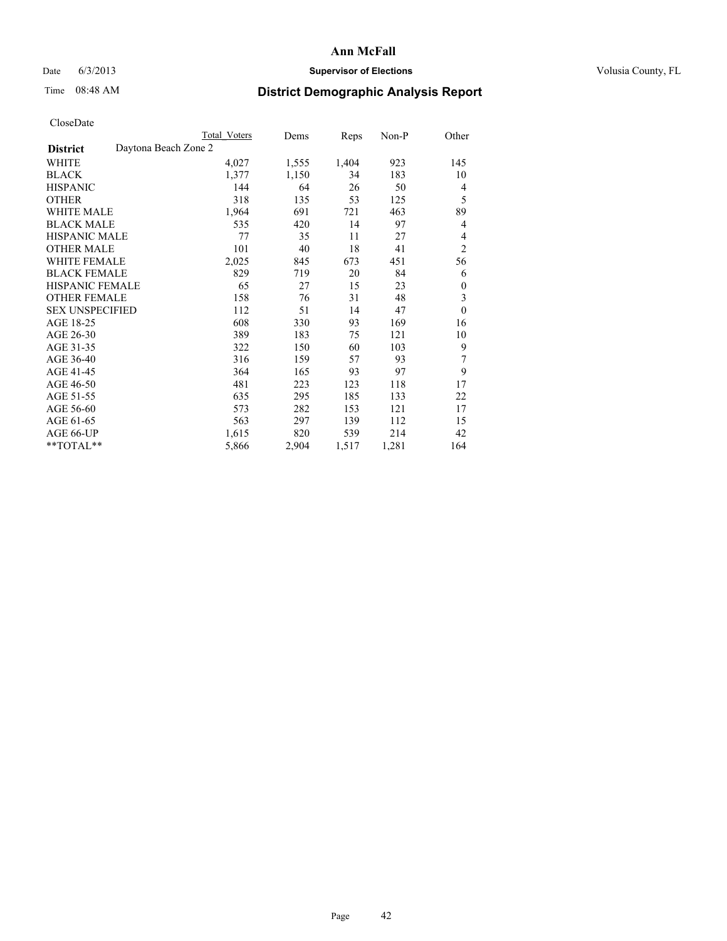# Date 6/3/2013 **Supervisor of Elections Supervisor of Elections** Volusia County, FL

# Time 08:48 AM **District Demographic Analysis Report**

|                        | Total Voters         | Dems  | Reps  | Non-P | Other          |
|------------------------|----------------------|-------|-------|-------|----------------|
| <b>District</b>        | Daytona Beach Zone 2 |       |       |       |                |
| WHITE                  | 4,027                | 1,555 | 1,404 | 923   | 145            |
| <b>BLACK</b>           | 1,377                | 1,150 | 34    | 183   | 10             |
| <b>HISPANIC</b>        | 144                  | 64    | 26    | 50    | 4              |
| <b>OTHER</b>           | 318                  | 135   | 53    | 125   | 5              |
| WHITE MALE             | 1,964                | 691   | 721   | 463   | 89             |
| <b>BLACK MALE</b>      | 535                  | 420   | 14    | 97    | 4              |
| <b>HISPANIC MALE</b>   | 77                   | 35    | 11    | 27    | 4              |
| <b>OTHER MALE</b>      | 101                  | 40    | 18    | 41    | $\overline{2}$ |
| WHITE FEMALE           | 2,025                | 845   | 673   | 451   | 56             |
| <b>BLACK FEMALE</b>    | 829                  | 719   | 20    | 84    | 6              |
| <b>HISPANIC FEMALE</b> | 65                   | 27    | 15    | 23    | $\theta$       |
| <b>OTHER FEMALE</b>    | 158                  | 76    | 31    | 48    | 3              |
| <b>SEX UNSPECIFIED</b> | 112                  | 51    | 14    | 47    | $\mathbf{0}$   |
| AGE 18-25              | 608                  | 330   | 93    | 169   | 16             |
| AGE 26-30              | 389                  | 183   | 75    | 121   | 10             |
| AGE 31-35              | 322                  | 150   | 60    | 103   | 9              |
| AGE 36-40              | 316                  | 159   | 57    | 93    | 7              |
| AGE 41-45              | 364                  | 165   | 93    | 97    | 9              |
| AGE 46-50              | 481                  | 223   | 123   | 118   | 17             |
| AGE 51-55              | 635                  | 295   | 185   | 133   | 22             |
| AGE 56-60              | 573                  | 282   | 153   | 121   | 17             |
| AGE 61-65              | 563                  | 297   | 139   | 112   | 15             |
| AGE 66-UP              | 1,615                | 820   | 539   | 214   | 42             |
| **TOTAL**              | 5,866                | 2,904 | 1,517 | 1,281 | 164            |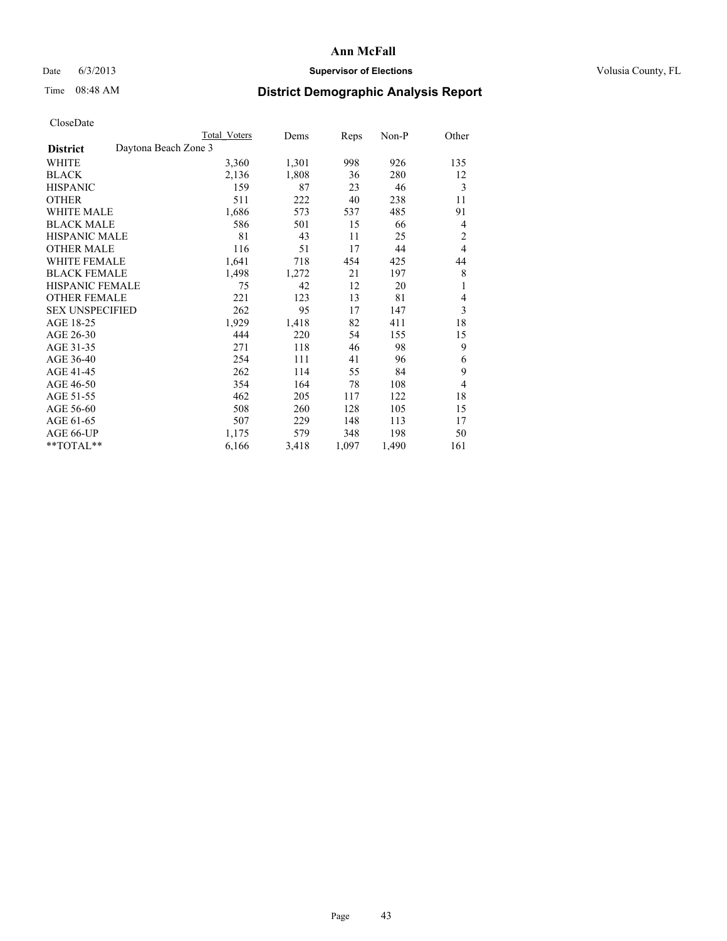# Date 6/3/2013 **Supervisor of Elections Supervisor of Elections** Volusia County, FL

# Time 08:48 AM **District Demographic Analysis Report**

|                                         | <b>Total Voters</b> | Dems  | Reps  | Non-P | Other          |
|-----------------------------------------|---------------------|-------|-------|-------|----------------|
| Daytona Beach Zone 3<br><b>District</b> |                     |       |       |       |                |
| WHITE                                   | 3,360               | 1,301 | 998   | 926   | 135            |
| <b>BLACK</b>                            | 2,136               | 1,808 | 36    | 280   | 12             |
| <b>HISPANIC</b>                         | 159                 | 87    | 23    | 46    | 3              |
| <b>OTHER</b>                            | 511                 | 222   | 40    | 238   | 11             |
| <b>WHITE MALE</b>                       | 1,686               | 573   | 537   | 485   | 91             |
| <b>BLACK MALE</b>                       | 586                 | 501   | 15    | 66    | 4              |
| HISPANIC MALE                           | 81                  | 43    | 11    | 25    | $\overline{c}$ |
| <b>OTHER MALE</b>                       | 116                 | 51    | 17    | 44    | $\overline{4}$ |
| <b>WHITE FEMALE</b>                     | 1,641               | 718   | 454   | 425   | 44             |
| <b>BLACK FEMALE</b>                     | 1,498               | 1,272 | 21    | 197   | 8              |
| <b>HISPANIC FEMALE</b>                  | 75                  | 42    | 12    | 20    | 1              |
| <b>OTHER FEMALE</b>                     | 221                 | 123   | 13    | 81    | 4              |
| <b>SEX UNSPECIFIED</b>                  | 262                 | 95    | 17    | 147   | 3              |
| AGE 18-25                               | 1,929               | 1,418 | 82    | 411   | 18             |
| AGE 26-30                               | 444                 | 220   | 54    | 155   | 15             |
| AGE 31-35                               | 271                 | 118   | 46    | 98    | 9              |
| AGE 36-40                               | 254                 | 111   | 41    | 96    | 6              |
| AGE 41-45                               | 262                 | 114   | 55    | 84    | 9              |
| AGE 46-50                               | 354                 | 164   | 78    | 108   | 4              |
| AGE 51-55                               | 462                 | 205   | 117   | 122   | 18             |
| AGE 56-60                               | 508                 | 260   | 128   | 105   | 15             |
| AGE 61-65                               | 507                 | 229   | 148   | 113   | 17             |
| AGE 66-UP                               | 1,175               | 579   | 348   | 198   | 50             |
| **TOTAL**                               | 6,166               | 3,418 | 1,097 | 1,490 | 161            |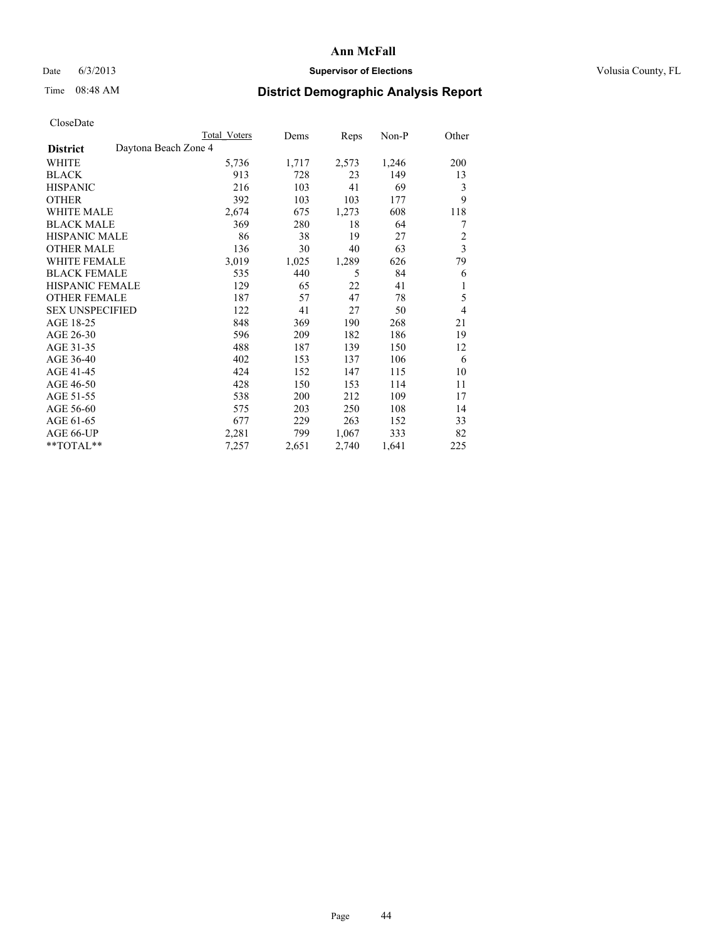## Date 6/3/2013 **Supervisor of Elections Supervisor of Elections** Volusia County, FL

# Time 08:48 AM **District Demographic Analysis Report**

|                                         | <b>Total Voters</b> | Dems  | Reps  | Non-P | Other          |
|-----------------------------------------|---------------------|-------|-------|-------|----------------|
| Daytona Beach Zone 4<br><b>District</b> |                     |       |       |       |                |
| WHITE                                   | 5,736               | 1,717 | 2,573 | 1,246 | 200            |
| <b>BLACK</b>                            | 913                 | 728   | 23    | 149   | 13             |
| <b>HISPANIC</b>                         | 216                 | 103   | 41    | 69    | 3              |
| <b>OTHER</b>                            | 392                 | 103   | 103   | 177   | 9              |
| <b>WHITE MALE</b>                       | 2,674               | 675   | 1,273 | 608   | 118            |
| <b>BLACK MALE</b>                       | 369                 | 280   | 18    | 64    | 7              |
| HISPANIC MALE                           | 86                  | 38    | 19    | 27    | $\overline{c}$ |
| <b>OTHER MALE</b>                       | 136                 | 30    | 40    | 63    | $\mathfrak{Z}$ |
| <b>WHITE FEMALE</b>                     | 3,019               | 1,025 | 1,289 | 626   | 79             |
| <b>BLACK FEMALE</b>                     | 535                 | 440   | 5     | 84    | 6              |
| <b>HISPANIC FEMALE</b>                  | 129                 | 65    | 22    | 41    | 1              |
| <b>OTHER FEMALE</b>                     | 187                 | 57    | 47    | 78    | 5              |
| <b>SEX UNSPECIFIED</b>                  | 122                 | 41    | 27    | 50    | $\overline{4}$ |
| AGE 18-25                               | 848                 | 369   | 190   | 268   | 21             |
| AGE 26-30                               | 596                 | 209   | 182   | 186   | 19             |
| AGE 31-35                               | 488                 | 187   | 139   | 150   | 12             |
| AGE 36-40                               | 402                 | 153   | 137   | 106   | 6              |
| AGE 41-45                               | 424                 | 152   | 147   | 115   | 10             |
| AGE 46-50                               | 428                 | 150   | 153   | 114   | 11             |
| AGE 51-55                               | 538                 | 200   | 212   | 109   | 17             |
| AGE 56-60                               | 575                 | 203   | 250   | 108   | 14             |
| AGE 61-65                               | 677                 | 229   | 263   | 152   | 33             |
| AGE 66-UP                               | 2,281               | 799   | 1,067 | 333   | 82             |
| **TOTAL**                               | 7,257               | 2,651 | 2,740 | 1,641 | 225            |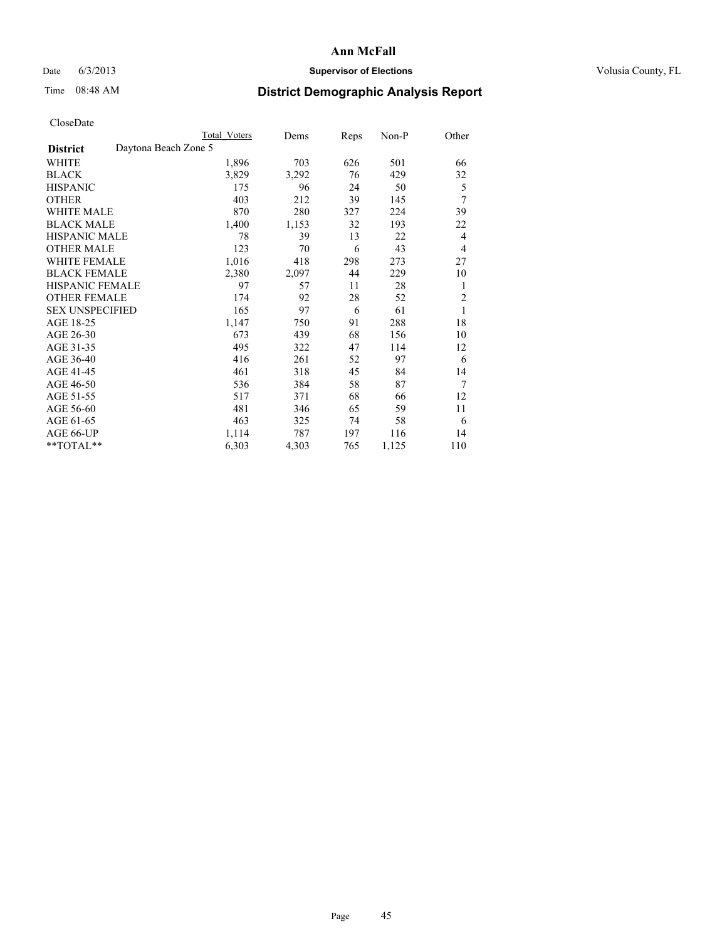# Date 6/3/2013 **Supervisor of Elections Supervisor of Elections** Volusia County, FL

# Time 08:48 AM **District Demographic Analysis Report**

|                                         | Total Voters | Dems  | Reps | Non-P | Other          |
|-----------------------------------------|--------------|-------|------|-------|----------------|
| Daytona Beach Zone 5<br><b>District</b> |              |       |      |       |                |
| WHITE                                   | 1,896        | 703   | 626  | 501   | 66             |
| <b>BLACK</b>                            | 3,829        | 3,292 | 76   | 429   | 32             |
| <b>HISPANIC</b>                         | 175          | 96    | 24   | 50    | 5              |
| <b>OTHER</b>                            | 403          | 212   | 39   | 145   | 7              |
| <b>WHITE MALE</b>                       | 870          | 280   | 327  | 224   | 39             |
| <b>BLACK MALE</b>                       | 1,400        | 1,153 | 32   | 193   | 22             |
| <b>HISPANIC MALE</b>                    | 78           | 39    | 13   | 22    | $\overline{4}$ |
| <b>OTHER MALE</b>                       | 123          | 70    | 6    | 43    | 4              |
| <b>WHITE FEMALE</b>                     | 1,016        | 418   | 298  | 273   | 27             |
| <b>BLACK FEMALE</b>                     | 2,380        | 2,097 | 44   | 229   | 10             |
| <b>HISPANIC FEMALE</b>                  | 97           | 57    | 11   | 28    | 1              |
| <b>OTHER FEMALE</b>                     | 174          | 92    | 28   | 52    | $\overline{2}$ |
| <b>SEX UNSPECIFIED</b>                  | 165          | 97    | 6    | 61    | 1              |
| AGE 18-25                               | 1,147        | 750   | 91   | 288   | 18             |
| AGE 26-30                               | 673          | 439   | 68   | 156   | 10             |
| AGE 31-35                               | 495          | 322   | 47   | 114   | 12             |
| AGE 36-40                               | 416          | 261   | 52   | 97    | 6              |
| AGE 41-45                               | 461          | 318   | 45   | 84    | 14             |
| AGE 46-50                               | 536          | 384   | 58   | 87    | 7              |
| AGE 51-55                               | 517          | 371   | 68   | 66    | 12             |
| AGE 56-60                               | 481          | 346   | 65   | 59    | 11             |
| AGE 61-65                               | 463          | 325   | 74   | 58    | 6              |
| AGE 66-UP                               | 1,114        | 787   | 197  | 116   | 14             |
| **TOTAL**                               | 6,303        | 4,303 | 765  | 1,125 | 110            |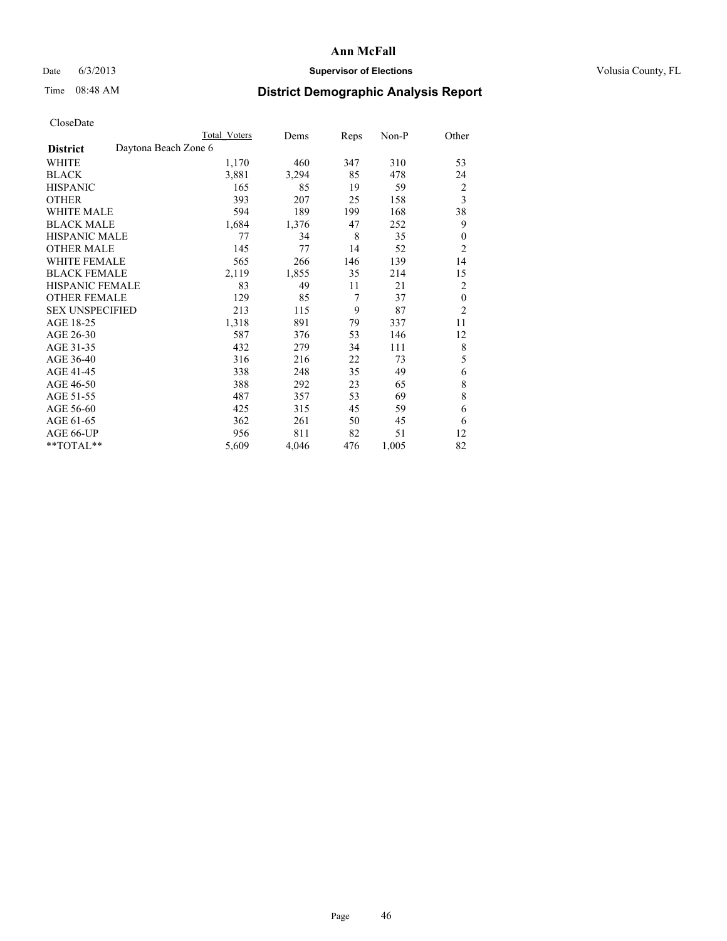# Date 6/3/2013 **Supervisor of Elections Supervisor of Elections** Volusia County, FL

# Time 08:48 AM **District Demographic Analysis Report**

|                                         | <b>Total Voters</b> | Dems  | Reps | Non-P | Other          |
|-----------------------------------------|---------------------|-------|------|-------|----------------|
| Daytona Beach Zone 6<br><b>District</b> |                     |       |      |       |                |
| WHITE                                   | 1,170               | 460   | 347  | 310   | 53             |
| <b>BLACK</b>                            | 3,881               | 3,294 | 85   | 478   | 24             |
| <b>HISPANIC</b>                         | 165                 | 85    | 19   | 59    | $\overline{2}$ |
| <b>OTHER</b>                            | 393                 | 207   | 25   | 158   | 3              |
| <b>WHITE MALE</b>                       | 594                 | 189   | 199  | 168   | 38             |
| <b>BLACK MALE</b>                       | 1,684               | 1,376 | 47   | 252   | 9              |
| HISPANIC MALE                           | 77                  | 34    | 8    | 35    | $\theta$       |
| <b>OTHER MALE</b>                       | 145                 | 77    | 14   | 52    | $\overline{2}$ |
| <b>WHITE FEMALE</b>                     | 565                 | 266   | 146  | 139   | 14             |
| <b>BLACK FEMALE</b>                     | 2,119               | 1,855 | 35   | 214   | 15             |
| <b>HISPANIC FEMALE</b>                  | 83                  | 49    | 11   | 21    | $\overline{2}$ |
| <b>OTHER FEMALE</b>                     | 129                 | 85    | 7    | 37    | $\theta$       |
| <b>SEX UNSPECIFIED</b>                  | 213                 | 115   | 9    | 87    | $\overline{2}$ |
| AGE 18-25                               | 1,318               | 891   | 79   | 337   | 11             |
| AGE 26-30                               | 587                 | 376   | 53   | 146   | 12             |
| AGE 31-35                               | 432                 | 279   | 34   | 111   | 8              |
| AGE 36-40                               | 316                 | 216   | 22   | 73    | 5              |
| AGE 41-45                               | 338                 | 248   | 35   | 49    | 6              |
| AGE 46-50                               | 388                 | 292   | 23   | 65    | 8              |
| AGE 51-55                               | 487                 | 357   | 53   | 69    | 8              |
| AGE 56-60                               | 425                 | 315   | 45   | 59    | 6              |
| AGE 61-65                               | 362                 | 261   | 50   | 45    | 6              |
| AGE 66-UP                               | 956                 | 811   | 82   | 51    | 12             |
| **TOTAL**                               | 5,609               | 4,046 | 476  | 1,005 | 82             |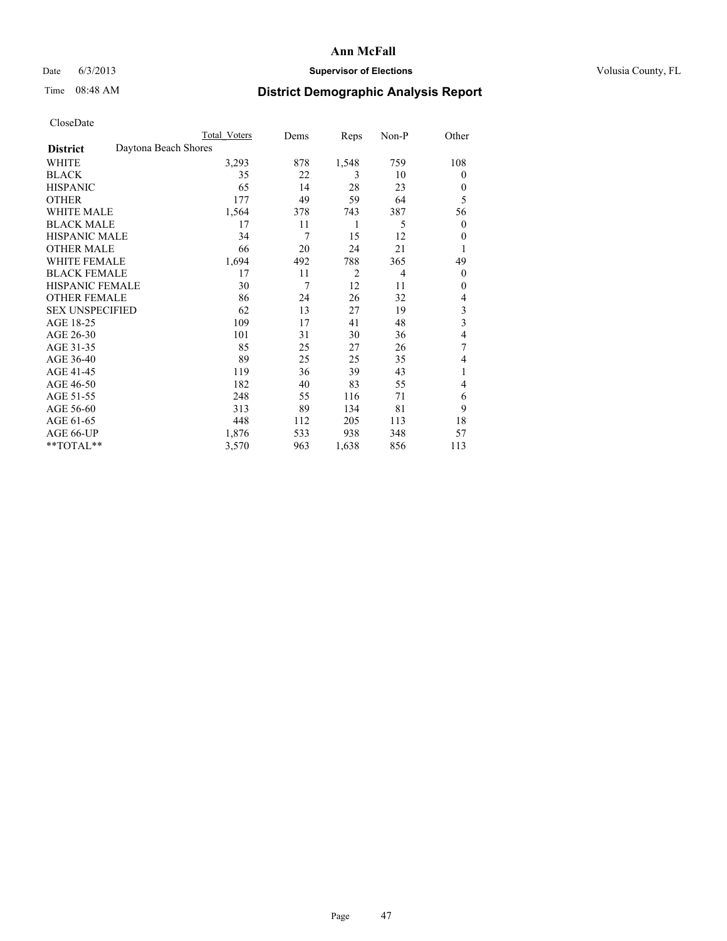# Date 6/3/2013 **Supervisor of Elections Supervisor of Elections** Volusia County, FL

# Time 08:48 AM **District Demographic Analysis Report**

|                        | <b>Total Voters</b>  | Dems | Reps           | Non-P          | Other                   |
|------------------------|----------------------|------|----------------|----------------|-------------------------|
| <b>District</b>        | Daytona Beach Shores |      |                |                |                         |
| WHITE                  | 3,293                | 878  | 1,548          | 759            | 108                     |
| <b>BLACK</b>           | 35                   | 22   | 3              | 10             | $\Omega$                |
| <b>HISPANIC</b>        | 65                   | 14   | 28             | 23             | $\Omega$                |
| <b>OTHER</b>           | 177                  | 49   | 59             | 64             | 5                       |
| WHITE MALE             | 1,564                | 378  | 743            | 387            | 56                      |
| <b>BLACK MALE</b>      | 17                   | 11   | 1              | 5              | $\overline{0}$          |
| <b>HISPANIC MALE</b>   | 34                   | 7    | 15             | 12             | $\overline{0}$          |
| <b>OTHER MALE</b>      | 66                   | 20   | 24             | 21             | 1                       |
| <b>WHITE FEMALE</b>    | 1,694                | 492  | 788            | 365            | 49                      |
| <b>BLACK FEMALE</b>    | 17                   | 11   | $\overline{2}$ | $\overline{4}$ | $\overline{0}$          |
| <b>HISPANIC FEMALE</b> | 30                   | 7    | 12             | 11             | $\Omega$                |
| <b>OTHER FEMALE</b>    | 86                   | 24   | 26             | 32             | $\overline{4}$          |
| <b>SEX UNSPECIFIED</b> | 62                   | 13   | 27             | 19             | 3                       |
| AGE 18-25              | 109                  | 17   | 41             | 48             | $\overline{\mathbf{3}}$ |
| AGE 26-30              | 101                  | 31   | 30             | 36             | 4                       |
| AGE 31-35              | 85                   | 25   | 27             | 26             | 7                       |
| AGE 36-40              | 89                   | 25   | 25             | 35             | 4                       |
| AGE 41-45              | 119                  | 36   | 39             | 43             | 1                       |
| AGE 46-50              | 182                  | 40   | 83             | 55             | $\overline{4}$          |
| AGE 51-55              | 248                  | 55   | 116            | 71             | 6                       |
| AGE 56-60              | 313                  | 89   | 134            | 81             | 9                       |
| AGE 61-65              | 448                  | 112  | 205            | 113            | 18                      |
| AGE 66-UP              | 1,876                | 533  | 938            | 348            | 57                      |
| **TOTAL**              | 3,570                | 963  | 1,638          | 856            | 113                     |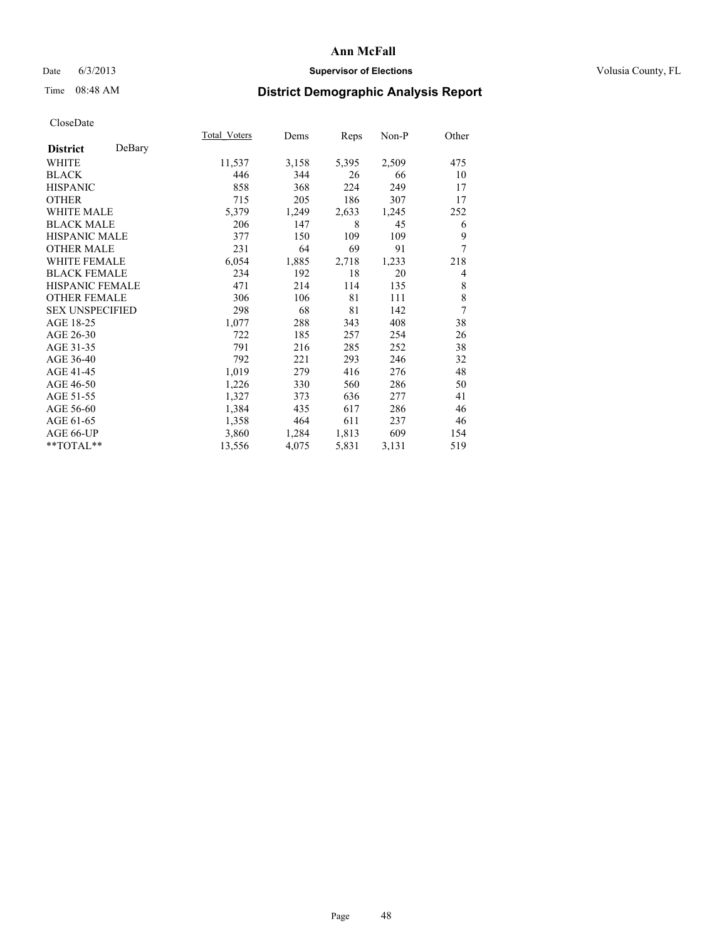## Date 6/3/2013 **Supervisor of Elections Supervisor of Elections** Volusia County, FL

# Time 08:48 AM **District Demographic Analysis Report**

|                           | <b>Total Voters</b> | Dems  | Reps  | Non-P | Other |
|---------------------------|---------------------|-------|-------|-------|-------|
| DeBary<br><b>District</b> |                     |       |       |       |       |
| <b>WHITE</b>              | 11,537              | 3,158 | 5,395 | 2,509 | 475   |
| <b>BLACK</b>              | 446                 | 344   | 26    | 66    | 10    |
| <b>HISPANIC</b>           | 858                 | 368   | 224   | 249   | 17    |
| <b>OTHER</b>              | 715                 | 205   | 186   | 307   | 17    |
| <b>WHITE MALE</b>         | 5,379               | 1,249 | 2,633 | 1,245 | 252   |
| <b>BLACK MALE</b>         | 206                 | 147   | 8     | 45    | 6     |
| HISPANIC MALE             | 377                 | 150   | 109   | 109   | 9     |
| <b>OTHER MALE</b>         | 231                 | 64    | 69    | 91    | 7     |
| <b>WHITE FEMALE</b>       | 6,054               | 1,885 | 2,718 | 1,233 | 218   |
| <b>BLACK FEMALE</b>       | 234                 | 192   | 18    | 20    | 4     |
| <b>HISPANIC FEMALE</b>    | 471                 | 214   | 114   | 135   | 8     |
| <b>OTHER FEMALE</b>       | 306                 | 106   | 81    | 111   | 8     |
| <b>SEX UNSPECIFIED</b>    | 298                 | 68    | 81    | 142   | 7     |
| AGE 18-25                 | 1,077               | 288   | 343   | 408   | 38    |
| AGE 26-30                 | 722                 | 185   | 257   | 254   | 26    |
| AGE 31-35                 | 791                 | 216   | 285   | 252   | 38    |
| AGE 36-40                 | 792                 | 221   | 293   | 246   | 32    |
| AGE 41-45                 | 1,019               | 279   | 416   | 276   | 48    |
| AGE 46-50                 | 1,226               | 330   | 560   | 286   | 50    |
| AGE 51-55                 | 1,327               | 373   | 636   | 277   | 41    |
| AGE 56-60                 | 1,384               | 435   | 617   | 286   | 46    |
| AGE 61-65                 | 1,358               | 464   | 611   | 237   | 46    |
| AGE 66-UP                 | 3,860               | 1,284 | 1,813 | 609   | 154   |
| **TOTAL**                 | 13,556              | 4,075 | 5,831 | 3,131 | 519   |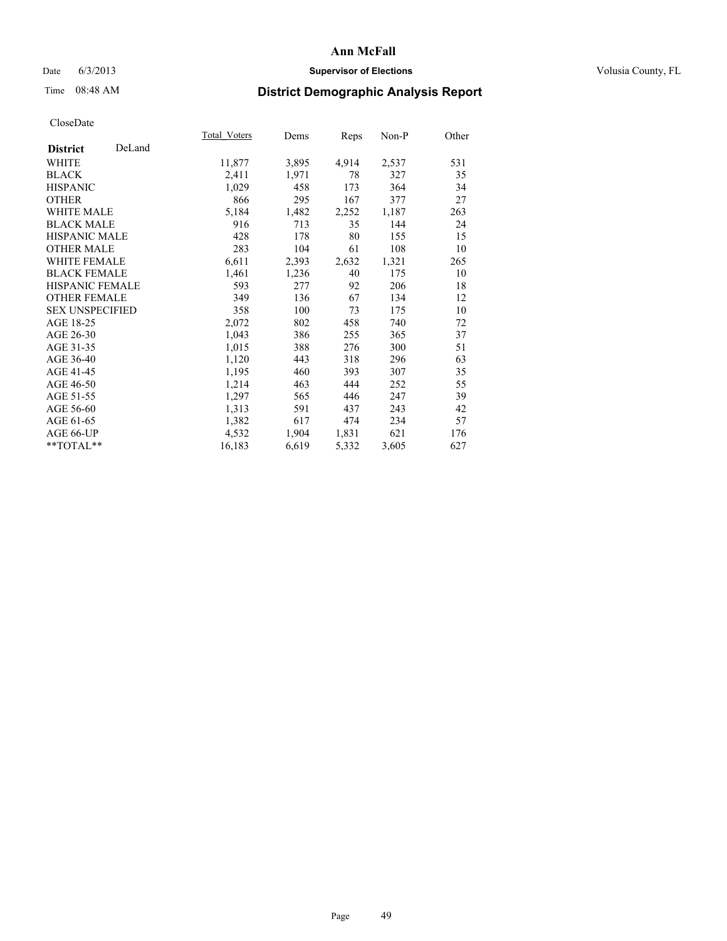## Date 6/3/2013 **Supervisor of Elections Supervisor of Elections** Volusia County, FL

# Time 08:48 AM **District Demographic Analysis Report**

|                        |        | Total Voters | Dems  | <b>Reps</b> | Non-P | Other |
|------------------------|--------|--------------|-------|-------------|-------|-------|
| <b>District</b>        | DeLand |              |       |             |       |       |
| WHITE                  |        | 11,877       | 3,895 | 4,914       | 2,537 | 531   |
| <b>BLACK</b>           |        | 2,411        | 1,971 | 78          | 327   | 35    |
| <b>HISPANIC</b>        |        | 1,029        | 458   | 173         | 364   | 34    |
| <b>OTHER</b>           |        | 866          | 295   | 167         | 377   | 27    |
| <b>WHITE MALE</b>      |        | 5,184        | 1,482 | 2,252       | 1,187 | 263   |
| <b>BLACK MALE</b>      |        | 916          | 713   | 35          | 144   | 24    |
| <b>HISPANIC MALE</b>   |        | 428          | 178   | 80          | 155   | 15    |
| <b>OTHER MALE</b>      |        | 283          | 104   | 61          | 108   | 10    |
| <b>WHITE FEMALE</b>    |        | 6,611        | 2,393 | 2,632       | 1,321 | 265   |
| <b>BLACK FEMALE</b>    |        | 1,461        | 1,236 | 40          | 175   | 10    |
| <b>HISPANIC FEMALE</b> |        | 593          | 277   | 92          | 206   | 18    |
| <b>OTHER FEMALE</b>    |        | 349          | 136   | 67          | 134   | 12    |
| <b>SEX UNSPECIFIED</b> |        | 358          | 100   | 73          | 175   | 10    |
| AGE 18-25              |        | 2,072        | 802   | 458         | 740   | 72    |
| AGE 26-30              |        | 1,043        | 386   | 255         | 365   | 37    |
| AGE 31-35              |        | 1,015        | 388   | 276         | 300   | 51    |
| AGE 36-40              |        | 1,120        | 443   | 318         | 296   | 63    |
| AGE 41-45              |        | 1,195        | 460   | 393         | 307   | 35    |
| AGE 46-50              |        | 1,214        | 463   | 444         | 252   | 55    |
| AGE 51-55              |        | 1,297        | 565   | 446         | 247   | 39    |
| AGE 56-60              |        | 1,313        | 591   | 437         | 243   | 42    |
| AGE 61-65              |        | 1,382        | 617   | 474         | 234   | 57    |
| AGE 66-UP              |        | 4,532        | 1,904 | 1,831       | 621   | 176   |
| **TOTAL**              |        | 16,183       | 6,619 | 5,332       | 3,605 | 627   |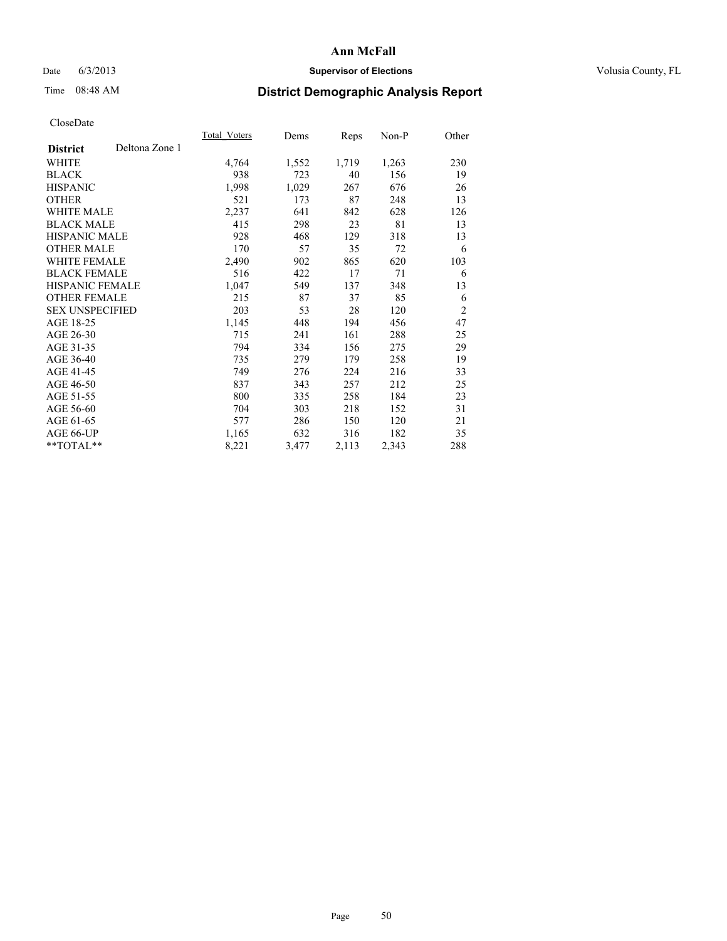## Date 6/3/2013 **Supervisor of Elections Supervisor of Elections** Volusia County, FL

# Time 08:48 AM **District Demographic Analysis Report**

|                        |                | Total Voters | Dems  | Reps  | Non-P | Other          |
|------------------------|----------------|--------------|-------|-------|-------|----------------|
| <b>District</b>        | Deltona Zone 1 |              |       |       |       |                |
| WHITE                  |                | 4,764        | 1,552 | 1,719 | 1,263 | 230            |
| <b>BLACK</b>           |                | 938          | 723   | 40    | 156   | 19             |
| <b>HISPANIC</b>        |                | 1,998        | 1,029 | 267   | 676   | 26             |
| <b>OTHER</b>           |                | 521          | 173   | 87    | 248   | 13             |
| <b>WHITE MALE</b>      |                | 2,237        | 641   | 842   | 628   | 126            |
| <b>BLACK MALE</b>      |                | 415          | 298   | 23    | 81    | 13             |
| <b>HISPANIC MALE</b>   |                | 928          | 468   | 129   | 318   | 13             |
| <b>OTHER MALE</b>      |                | 170          | 57    | 35    | 72    | 6              |
| <b>WHITE FEMALE</b>    |                | 2,490        | 902   | 865   | 620   | 103            |
| <b>BLACK FEMALE</b>    |                | 516          | 422   | 17    | 71    | 6              |
| HISPANIC FEMALE        |                | 1,047        | 549   | 137   | 348   | 13             |
| <b>OTHER FEMALE</b>    |                | 215          | 87    | 37    | 85    | 6              |
| <b>SEX UNSPECIFIED</b> |                | 203          | 53    | 28    | 120   | $\overline{2}$ |
| AGE 18-25              |                | 1,145        | 448   | 194   | 456   | 47             |
| AGE 26-30              |                | 715          | 241   | 161   | 288   | 25             |
| AGE 31-35              |                | 794          | 334   | 156   | 275   | 29             |
| AGE 36-40              |                | 735          | 279   | 179   | 258   | 19             |
| AGE 41-45              |                | 749          | 276   | 224   | 216   | 33             |
| AGE 46-50              |                | 837          | 343   | 257   | 212   | 25             |
| AGE 51-55              |                | 800          | 335   | 258   | 184   | 23             |
| AGE 56-60              |                | 704          | 303   | 218   | 152   | 31             |
| AGE 61-65              |                | 577          | 286   | 150   | 120   | 21             |
| AGE 66-UP              |                | 1,165        | 632   | 316   | 182   | 35             |
| **TOTAL**              |                | 8,221        | 3,477 | 2,113 | 2,343 | 288            |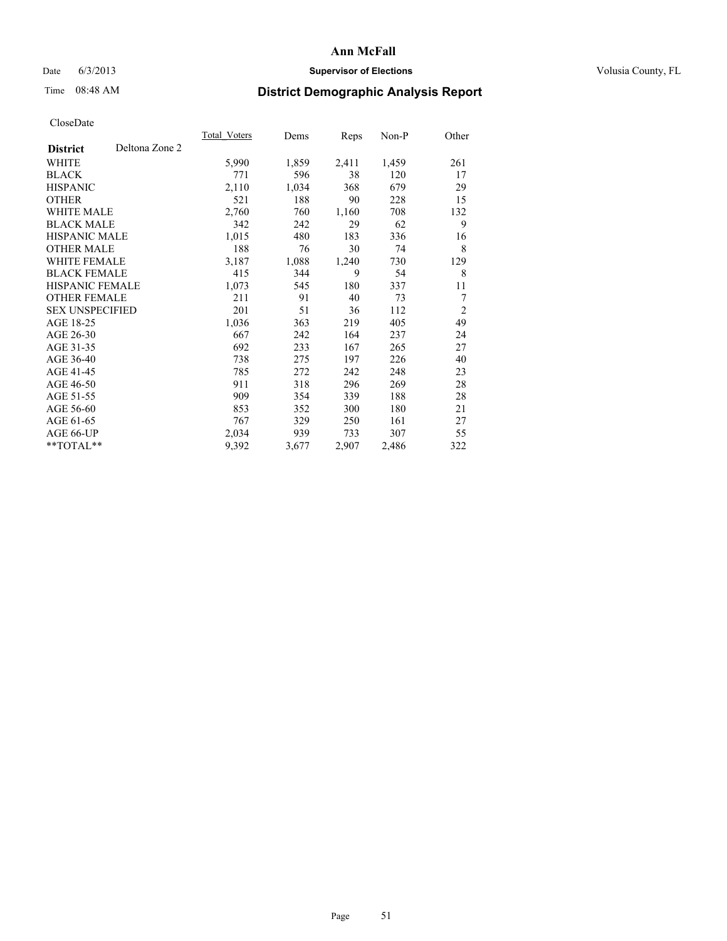## Date 6/3/2013 **Supervisor of Elections Supervisor of Elections** Volusia County, FL

# Time 08:48 AM **District Demographic Analysis Report**

| <b>Total Voters</b> | Dems  | <b>Reps</b> | $Non-P$ | Other          |
|---------------------|-------|-------------|---------|----------------|
|                     |       |             |         |                |
| 5,990               | 1,859 | 2,411       | 1,459   | 261            |
| 771                 | 596   | 38          | 120     | 17             |
| 2,110               | 1,034 | 368         | 679     | 29             |
| 521                 | 188   | 90          | 228     | 15             |
| 2,760               | 760   | 1,160       | 708     | 132            |
| 342                 | 242   | 29          | 62      | 9              |
| 1,015               | 480   | 183         | 336     | 16             |
| 188                 | 76    | 30          | 74      | 8              |
| 3,187               | 1,088 | 1,240       | 730     | 129            |
| 415                 | 344   | 9           | 54      | 8              |
| 1,073               | 545   | 180         | 337     | 11             |
| 211                 | 91    | 40          | 73      | 7              |
| 201                 | 51    | 36          | 112     | $\overline{2}$ |
| 1,036               | 363   | 219         | 405     | 49             |
| 667                 | 242   | 164         | 237     | 24             |
| 692                 | 233   | 167         | 265     | 27             |
| 738                 | 275   | 197         | 226     | 40             |
| 785                 | 272   | 242         | 248     | 23             |
| 911                 | 318   | 296         | 269     | 28             |
| 909                 | 354   | 339         | 188     | 28             |
| 853                 | 352   | 300         | 180     | 21             |
| 767                 | 329   | 250         | 161     | 27             |
| 2,034               | 939   | 733         | 307     | 55             |
| 9,392               | 3,677 | 2,907       | 2,486   | 322            |
|                     |       |             |         |                |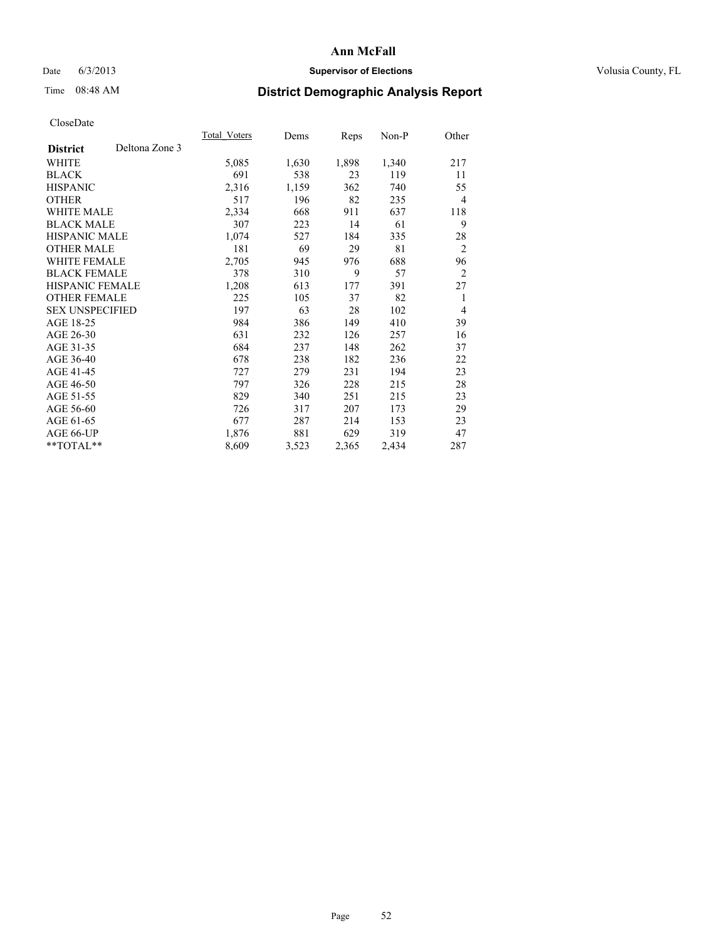# Date 6/3/2013 **Supervisor of Elections Supervisor of Elections** Volusia County, FL

# Time 08:48 AM **District Demographic Analysis Report**

|                        |                | Total Voters | Dems  | Reps  | Non-P | Other          |
|------------------------|----------------|--------------|-------|-------|-------|----------------|
| <b>District</b>        | Deltona Zone 3 |              |       |       |       |                |
| WHITE                  |                | 5,085        | 1,630 | 1,898 | 1,340 | 217            |
| <b>BLACK</b>           |                | 691          | 538   | 23    | 119   | 11             |
| <b>HISPANIC</b>        |                | 2,316        | 1,159 | 362   | 740   | 55             |
| <b>OTHER</b>           |                | 517          | 196   | 82    | 235   | $\overline{4}$ |
| <b>WHITE MALE</b>      |                | 2,334        | 668   | 911   | 637   | 118            |
| <b>BLACK MALE</b>      |                | 307          | 223   | 14    | 61    | 9              |
| <b>HISPANIC MALE</b>   |                | 1,074        | 527   | 184   | 335   | 28             |
| <b>OTHER MALE</b>      |                | 181          | 69    | 29    | 81    | $\overline{2}$ |
| <b>WHITE FEMALE</b>    |                | 2,705        | 945   | 976   | 688   | 96             |
| <b>BLACK FEMALE</b>    |                | 378          | 310   | 9     | 57    | $\overline{2}$ |
| <b>HISPANIC FEMALE</b> |                | 1,208        | 613   | 177   | 391   | 27             |
| <b>OTHER FEMALE</b>    |                | 225          | 105   | 37    | 82    | 1              |
| <b>SEX UNSPECIFIED</b> |                | 197          | 63    | 28    | 102   | $\overline{4}$ |
| AGE 18-25              |                | 984          | 386   | 149   | 410   | 39             |
| AGE 26-30              |                | 631          | 232   | 126   | 257   | 16             |
| AGE 31-35              |                | 684          | 237   | 148   | 262   | 37             |
| AGE 36-40              |                | 678          | 238   | 182   | 236   | 22             |
| AGE 41-45              |                | 727          | 279   | 231   | 194   | 23             |
| AGE 46-50              |                | 797          | 326   | 228   | 215   | 28             |
| AGE 51-55              |                | 829          | 340   | 251   | 215   | 23             |
| AGE 56-60              |                | 726          | 317   | 207   | 173   | 29             |
| AGE 61-65              |                | 677          | 287   | 214   | 153   | 23             |
| AGE 66-UP              |                | 1,876        | 881   | 629   | 319   | 47             |
| **TOTAL**              |                | 8,609        | 3,523 | 2,365 | 2,434 | 287            |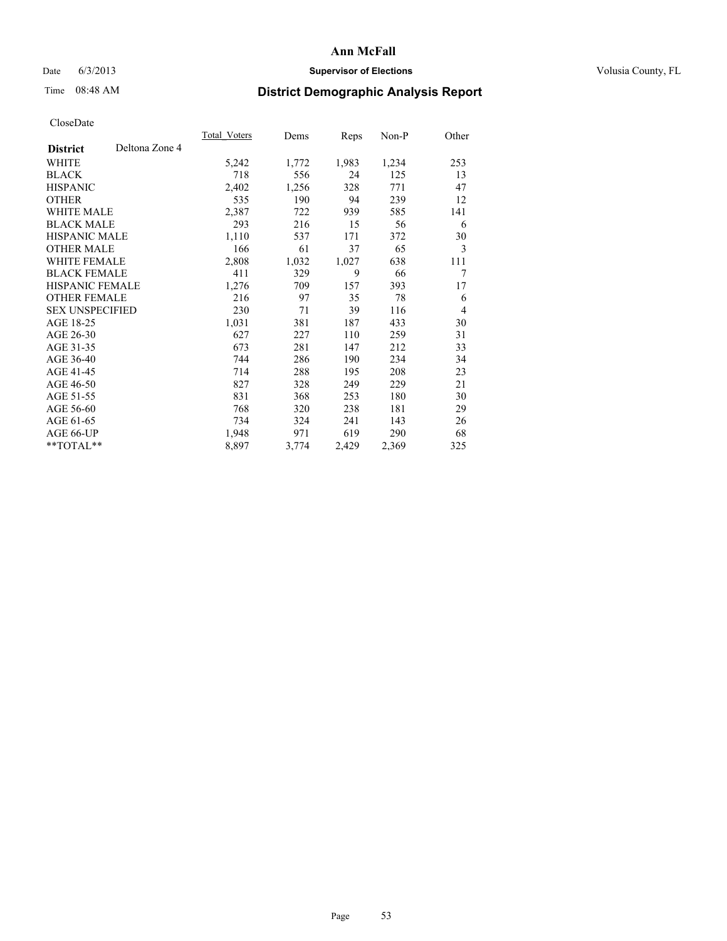# Date 6/3/2013 **Supervisor of Elections Supervisor of Elections** Volusia County, FL

# Time 08:48 AM **District Demographic Analysis Report**

|                        |                | Total Voters | Dems  | <b>Reps</b> | Non-P | Other |
|------------------------|----------------|--------------|-------|-------------|-------|-------|
| <b>District</b>        | Deltona Zone 4 |              |       |             |       |       |
| WHITE                  |                | 5,242        | 1,772 | 1,983       | 1,234 | 253   |
| <b>BLACK</b>           |                | 718          | 556   | 24          | 125   | 13    |
| <b>HISPANIC</b>        |                | 2,402        | 1,256 | 328         | 771   | 47    |
| <b>OTHER</b>           |                | 535          | 190   | 94          | 239   | 12    |
| <b>WHITE MALE</b>      |                | 2,387        | 722   | 939         | 585   | 141   |
| <b>BLACK MALE</b>      |                | 293          | 216   | 15          | 56    | 6     |
| HISPANIC MALE          |                | 1,110        | 537   | 171         | 372   | 30    |
| <b>OTHER MALE</b>      |                | 166          | 61    | 37          | 65    | 3     |
| WHITE FEMALE           |                | 2,808        | 1,032 | 1,027       | 638   | 111   |
| <b>BLACK FEMALE</b>    |                | 411          | 329   | 9           | 66    | 7     |
| HISPANIC FEMALE        |                | 1,276        | 709   | 157         | 393   | 17    |
| <b>OTHER FEMALE</b>    |                | 216          | 97    | 35          | 78    | 6     |
| <b>SEX UNSPECIFIED</b> |                | 230          | 71    | 39          | 116   | 4     |
| AGE 18-25              |                | 1,031        | 381   | 187         | 433   | 30    |
| AGE 26-30              |                | 627          | 227   | 110         | 259   | 31    |
| AGE 31-35              |                | 673          | 281   | 147         | 212   | 33    |
| AGE 36-40              |                | 744          | 286   | 190         | 234   | 34    |
| AGE 41-45              |                | 714          | 288   | 195         | 208   | 23    |
| AGE 46-50              |                | 827          | 328   | 249         | 229   | 21    |
| AGE 51-55              |                | 831          | 368   | 253         | 180   | 30    |
| AGE 56-60              |                | 768          | 320   | 238         | 181   | 29    |
| AGE 61-65              |                | 734          | 324   | 241         | 143   | 26    |
| AGE 66-UP              |                | 1,948        | 971   | 619         | 290   | 68    |
| **TOTAL**              |                | 8,897        | 3,774 | 2,429       | 2,369 | 325   |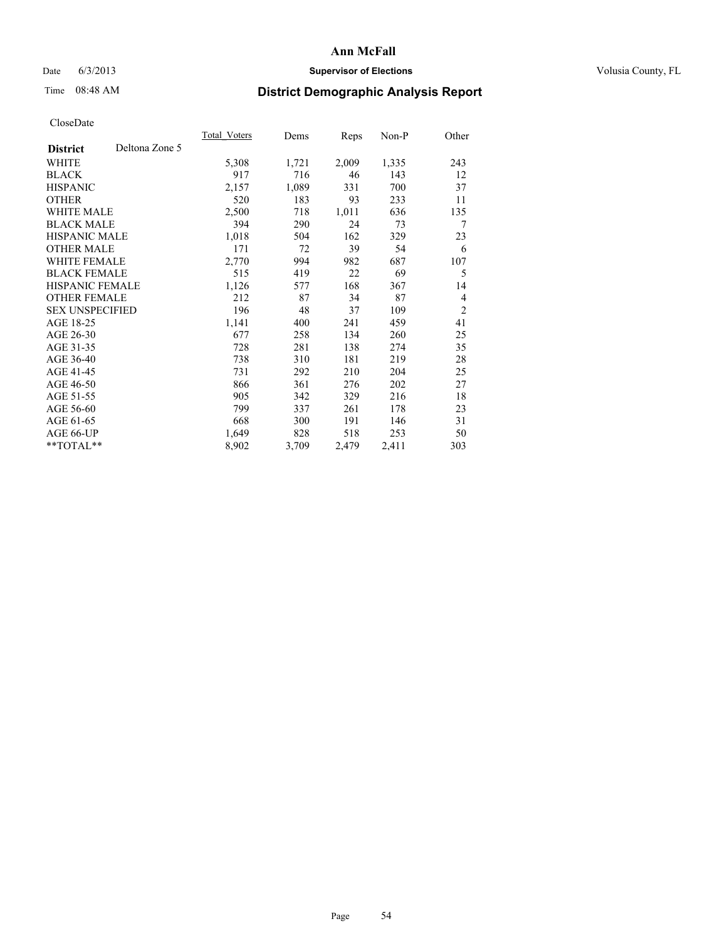# Date 6/3/2013 **Supervisor of Elections Supervisor of Elections** Volusia County, FL

# Time 08:48 AM **District Demographic Analysis Report**

|                        |                | Total Voters | Dems  | <b>Reps</b> | Non-P | Other          |
|------------------------|----------------|--------------|-------|-------------|-------|----------------|
| <b>District</b>        | Deltona Zone 5 |              |       |             |       |                |
| WHITE                  |                | 5,308        | 1,721 | 2,009       | 1,335 | 243            |
| <b>BLACK</b>           |                | 917          | 716   | 46          | 143   | 12             |
| <b>HISPANIC</b>        |                | 2,157        | 1,089 | 331         | 700   | 37             |
| <b>OTHER</b>           |                | 520          | 183   | 93          | 233   | 11             |
| <b>WHITE MALE</b>      |                | 2,500        | 718   | 1,011       | 636   | 135            |
| <b>BLACK MALE</b>      |                | 394          | 290   | 24          | 73    | 7              |
| <b>HISPANIC MALE</b>   |                | 1,018        | 504   | 162         | 329   | 23             |
| <b>OTHER MALE</b>      |                | 171          | 72    | 39          | 54    | 6              |
| <b>WHITE FEMALE</b>    |                | 2,770        | 994   | 982         | 687   | 107            |
| <b>BLACK FEMALE</b>    |                | 515          | 419   | 22          | 69    | 5              |
| <b>HISPANIC FEMALE</b> |                | 1,126        | 577   | 168         | 367   | 14             |
| <b>OTHER FEMALE</b>    |                | 212          | 87    | 34          | 87    | 4              |
| <b>SEX UNSPECIFIED</b> |                | 196          | 48    | 37          | 109   | $\overline{2}$ |
| AGE 18-25              |                | 1,141        | 400   | 241         | 459   | 41             |
| AGE 26-30              |                | 677          | 258   | 134         | 260   | 25             |
| AGE 31-35              |                | 728          | 281   | 138         | 274   | 35             |
| AGE 36-40              |                | 738          | 310   | 181         | 219   | 28             |
| AGE 41-45              |                | 731          | 292   | 210         | 204   | 25             |
| AGE 46-50              |                | 866          | 361   | 276         | 202   | 27             |
| AGE 51-55              |                | 905          | 342   | 329         | 216   | 18             |
| AGE 56-60              |                | 799          | 337   | 261         | 178   | 23             |
| AGE 61-65              |                | 668          | 300   | 191         | 146   | 31             |
| AGE 66-UP              |                | 1,649        | 828   | 518         | 253   | 50             |
| **TOTAL**              |                | 8,902        | 3,709 | 2,479       | 2,411 | 303            |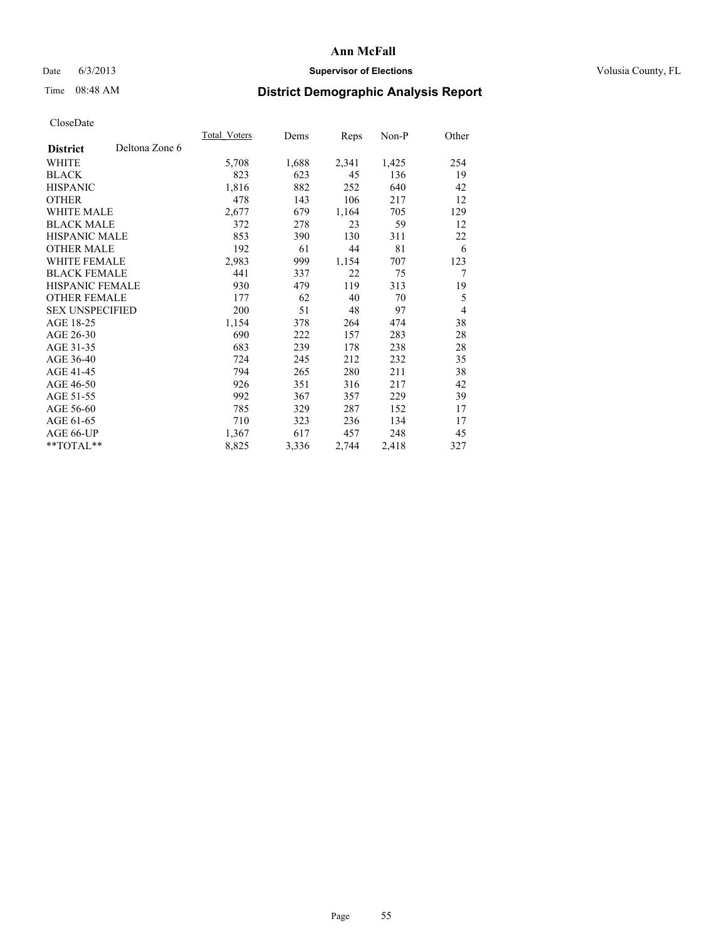# Date 6/3/2013 **Supervisor of Elections Supervisor of Elections** Volusia County, FL

# Time 08:48 AM **District Demographic Analysis Report**

|                        |                | Total Voters | Dems  | <b>Reps</b> | Non-P | Other          |
|------------------------|----------------|--------------|-------|-------------|-------|----------------|
| <b>District</b>        | Deltona Zone 6 |              |       |             |       |                |
| WHITE                  |                | 5,708        | 1,688 | 2,341       | 1,425 | 254            |
| <b>BLACK</b>           |                | 823          | 623   | 45          | 136   | 19             |
| <b>HISPANIC</b>        |                | 1,816        | 882   | 252         | 640   | 42             |
| <b>OTHER</b>           |                | 478          | 143   | 106         | 217   | 12             |
| <b>WHITE MALE</b>      |                | 2,677        | 679   | 1,164       | 705   | 129            |
| <b>BLACK MALE</b>      |                | 372          | 278   | 23          | 59    | 12             |
| HISPANIC MALE          |                | 853          | 390   | 130         | 311   | 22             |
| <b>OTHER MALE</b>      |                | 192          | 61    | 44          | 81    | 6              |
| WHITE FEMALE           |                | 2,983        | 999   | 1,154       | 707   | 123            |
| <b>BLACK FEMALE</b>    |                | 441          | 337   | 22          | 75    | 7              |
| HISPANIC FEMALE        |                | 930          | 479   | 119         | 313   | 19             |
| <b>OTHER FEMALE</b>    |                | 177          | 62    | 40          | 70    | 5              |
| <b>SEX UNSPECIFIED</b> |                | 200          | 51    | 48          | 97    | $\overline{4}$ |
| AGE 18-25              |                | 1,154        | 378   | 264         | 474   | 38             |
| AGE 26-30              |                | 690          | 222   | 157         | 283   | 28             |
| AGE 31-35              |                | 683          | 239   | 178         | 238   | 28             |
| AGE 36-40              |                | 724          | 245   | 212         | 232   | 35             |
| AGE 41-45              |                | 794          | 265   | 280         | 211   | 38             |
| AGE 46-50              |                | 926          | 351   | 316         | 217   | 42             |
| AGE 51-55              |                | 992          | 367   | 357         | 229   | 39             |
| AGE 56-60              |                | 785          | 329   | 287         | 152   | 17             |
| AGE 61-65              |                | 710          | 323   | 236         | 134   | 17             |
| AGE 66-UP              |                | 1,367        | 617   | 457         | 248   | 45             |
| **TOTAL**              |                | 8,825        | 3,336 | 2,744       | 2,418 | 327            |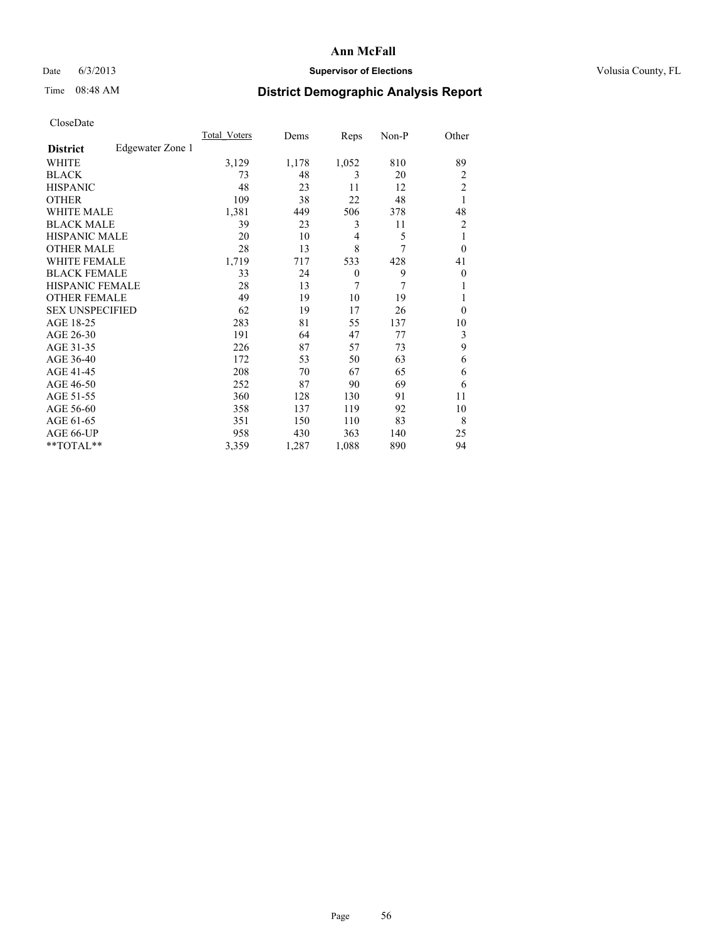# Date 6/3/2013 **Supervisor of Elections Supervisor of Elections** Volusia County, FL

# Time 08:48 AM **District Demographic Analysis Report**

|                        |                  | Total Voters | Dems  | Reps         | Non-P | Other          |
|------------------------|------------------|--------------|-------|--------------|-------|----------------|
| <b>District</b>        | Edgewater Zone 1 |              |       |              |       |                |
| WHITE                  |                  | 3,129        | 1,178 | 1,052        | 810   | 89             |
| <b>BLACK</b>           |                  | 73           | 48    | 3            | 20    | $\overline{2}$ |
| <b>HISPANIC</b>        |                  | 48           | 23    | 11           | 12    | $\overline{c}$ |
| <b>OTHER</b>           |                  | 109          | 38    | 22           | 48    | 1              |
| WHITE MALE             |                  | 1,381        | 449   | 506          | 378   | 48             |
| <b>BLACK MALE</b>      |                  | 39           | 23    | 3            | 11    | 2              |
| <b>HISPANIC MALE</b>   |                  | 20           | 10    | 4            | 5     | 1              |
| <b>OTHER MALE</b>      |                  | 28           | 13    | 8            | 7     | $\theta$       |
| <b>WHITE FEMALE</b>    |                  | 1,719        | 717   | 533          | 428   | 41             |
| <b>BLACK FEMALE</b>    |                  | 33           | 24    | $\mathbf{0}$ | 9     | $\overline{0}$ |
| <b>HISPANIC FEMALE</b> |                  | 28           | 13    | 7            | 7     | 1              |
| <b>OTHER FEMALE</b>    |                  | 49           | 19    | 10           | 19    | 1              |
| <b>SEX UNSPECIFIED</b> |                  | 62           | 19    | 17           | 26    | $\theta$       |
| AGE 18-25              |                  | 283          | 81    | 55           | 137   | 10             |
| AGE 26-30              |                  | 191          | 64    | 47           | 77    | 3              |
| AGE 31-35              |                  | 226          | 87    | 57           | 73    | 9              |
| AGE 36-40              |                  | 172          | 53    | 50           | 63    | 6              |
| AGE 41-45              |                  | 208          | 70    | 67           | 65    | 6              |
| AGE 46-50              |                  | 252          | 87    | 90           | 69    | 6              |
| AGE 51-55              |                  | 360          | 128   | 130          | 91    | 11             |
| AGE 56-60              |                  | 358          | 137   | 119          | 92    | 10             |
| AGE 61-65              |                  | 351          | 150   | 110          | 83    | 8              |
| AGE 66-UP              |                  | 958          | 430   | 363          | 140   | 25             |
| **TOTAL**              |                  | 3,359        | 1,287 | 1,088        | 890   | 94             |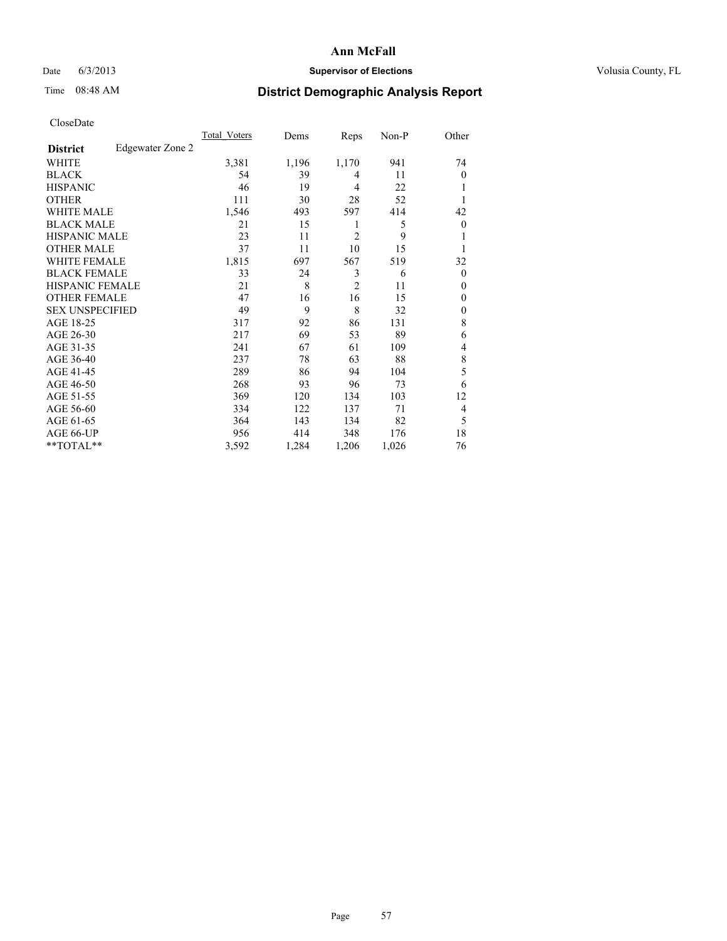# Date 6/3/2013 **Supervisor of Elections Supervisor of Elections** Volusia County, FL

# Time 08:48 AM **District Demographic Analysis Report**

|                        |                  | <b>Total Voters</b> | Dems  | Reps           | Non-P | Other          |
|------------------------|------------------|---------------------|-------|----------------|-------|----------------|
| <b>District</b>        | Edgewater Zone 2 |                     |       |                |       |                |
| WHITE                  |                  | 3,381               | 1,196 | 1,170          | 941   | 74             |
| <b>BLACK</b>           |                  | 54                  | 39    | 4              | 11    | $\theta$       |
| <b>HISPANIC</b>        |                  | 46                  | 19    | 4              | 22    | 1              |
| <b>OTHER</b>           |                  | 111                 | 30    | 28             | 52    | 1              |
| WHITE MALE             |                  | 1,546               | 493   | 597            | 414   | 42             |
| <b>BLACK MALE</b>      |                  | 21                  | 15    | 1              | 5     | $\overline{0}$ |
| <b>HISPANIC MALE</b>   |                  | 23                  | 11    | $\overline{2}$ | 9     | 1              |
| <b>OTHER MALE</b>      |                  | 37                  | 11    | 10             | 15    | 1              |
| <b>WHITE FEMALE</b>    |                  | 1,815               | 697   | 567            | 519   | 32             |
| <b>BLACK FEMALE</b>    |                  | 33                  | 24    | 3              | 6     | $\Omega$       |
| <b>HISPANIC FEMALE</b> |                  | 21                  | 8     | $\overline{2}$ | 11    | $\theta$       |
| <b>OTHER FEMALE</b>    |                  | 47                  | 16    | 16             | 15    | $\theta$       |
| <b>SEX UNSPECIFIED</b> |                  | 49                  | 9     | 8              | 32    | $\mathbf{0}$   |
| AGE 18-25              |                  | 317                 | 92    | 86             | 131   | 8              |
| AGE 26-30              |                  | 217                 | 69    | 53             | 89    | 6              |
| AGE 31-35              |                  | 241                 | 67    | 61             | 109   | 4              |
| AGE 36-40              |                  | 237                 | 78    | 63             | 88    | $\,$ 8 $\,$    |
| AGE 41-45              |                  | 289                 | 86    | 94             | 104   | 5              |
| AGE 46-50              |                  | 268                 | 93    | 96             | 73    | 6              |
| AGE 51-55              |                  | 369                 | 120   | 134            | 103   | 12             |
| AGE 56-60              |                  | 334                 | 122   | 137            | 71    | 4              |
| AGE 61-65              |                  | 364                 | 143   | 134            | 82    | 5              |
| AGE 66-UP              |                  | 956                 | 414   | 348            | 176   | 18             |
| **TOTAL**              |                  | 3,592               | 1,284 | 1,206          | 1,026 | 76             |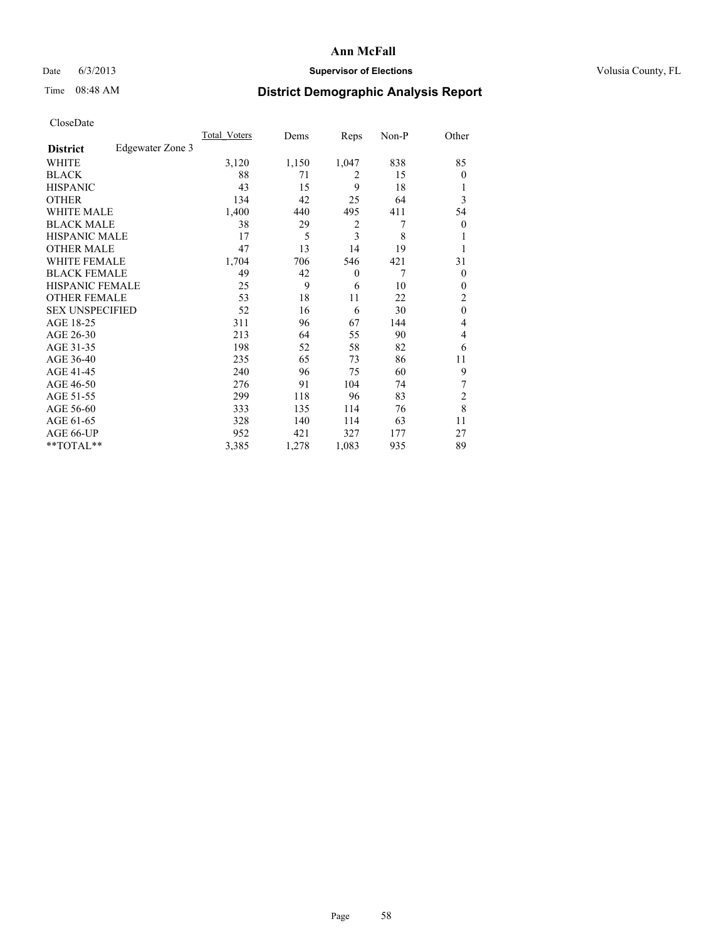# Date 6/3/2013 **Supervisor of Elections Supervisor of Elections** Volusia County, FL

# Time 08:48 AM **District Demographic Analysis Report**

|                        |                  | Total Voters | Dems  | Reps           | Non-P | Other          |
|------------------------|------------------|--------------|-------|----------------|-------|----------------|
| <b>District</b>        | Edgewater Zone 3 |              |       |                |       |                |
| WHITE                  |                  | 3,120        | 1,150 | 1,047          | 838   | 85             |
| <b>BLACK</b>           |                  | 88           | 71    | $\overline{2}$ | 15    | $\Omega$       |
| <b>HISPANIC</b>        |                  | 43           | 15    | 9              | 18    |                |
| <b>OTHER</b>           |                  | 134          | 42    | 25             | 64    | 3              |
| WHITE MALE             |                  | 1,400        | 440   | 495            | 411   | 54             |
| <b>BLACK MALE</b>      |                  | 38           | 29    | 2              | 7     | $\overline{0}$ |
| <b>HISPANIC MALE</b>   |                  | 17           | 5     | 3              | 8     |                |
| <b>OTHER MALE</b>      |                  | 47           | 13    | 14             | 19    |                |
| <b>WHITE FEMALE</b>    |                  | 1,704        | 706   | 546            | 421   | 31             |
| <b>BLACK FEMALE</b>    |                  | 49           | 42    | $\overline{0}$ | 7     | $\overline{0}$ |
| <b>HISPANIC FEMALE</b> |                  | 25           | 9     | 6              | 10    | $\Omega$       |
| <b>OTHER FEMALE</b>    |                  | 53           | 18    | 11             | 22    | 2              |
| <b>SEX UNSPECIFIED</b> |                  | 52           | 16    | 6              | 30    | $\mathbf{0}$   |
| AGE 18-25              |                  | 311          | 96    | 67             | 144   | 4              |
| AGE 26-30              |                  | 213          | 64    | 55             | 90    | $\overline{4}$ |
| AGE 31-35              |                  | 198          | 52    | 58             | 82    | 6              |
| AGE 36-40              |                  | 235          | 65    | 73             | 86    | 11             |
| AGE 41-45              |                  | 240          | 96    | 75             | 60    | 9              |
| AGE 46-50              |                  | 276          | 91    | 104            | 74    | 7              |
| AGE 51-55              |                  | 299          | 118   | 96             | 83    | $\overline{2}$ |
| AGE 56-60              |                  | 333          | 135   | 114            | 76    | 8              |
| AGE 61-65              |                  | 328          | 140   | 114            | 63    | 11             |
| AGE 66-UP              |                  | 952          | 421   | 327            | 177   | 27             |
| **TOTAL**              |                  | 3,385        | 1,278 | 1,083          | 935   | 89             |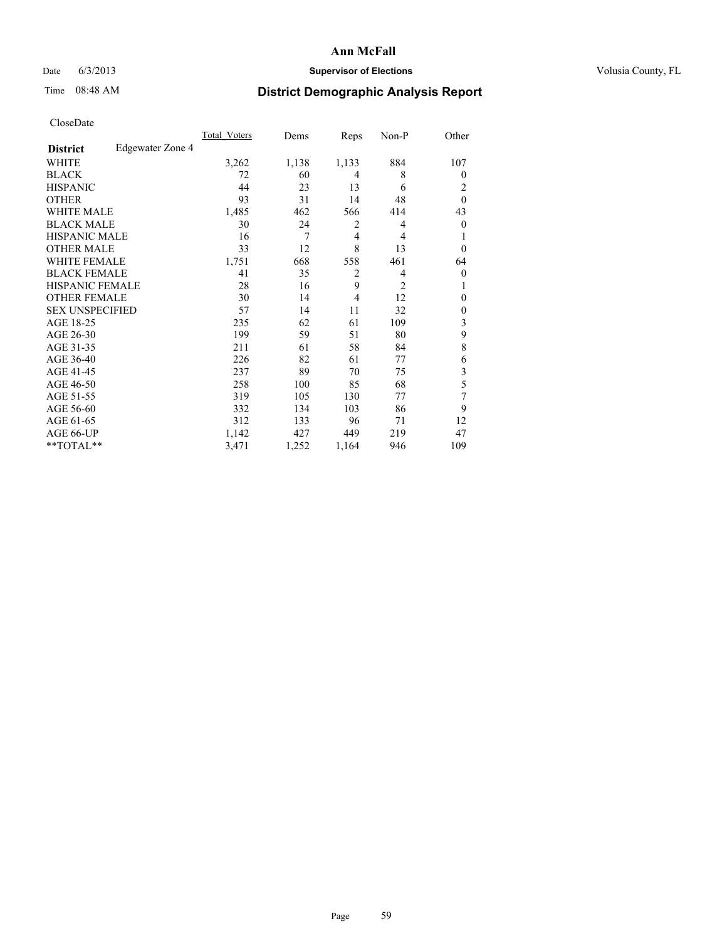# Date 6/3/2013 **Supervisor of Elections Supervisor of Elections** Volusia County, FL

# Time 08:48 AM **District Demographic Analysis Report**

|                        |                  | Total Voters | Dems  | Reps           | Non-P          | Other            |
|------------------------|------------------|--------------|-------|----------------|----------------|------------------|
| <b>District</b>        | Edgewater Zone 4 |              |       |                |                |                  |
| WHITE                  |                  | 3,262        | 1,138 | 1,133          | 884            | 107              |
| <b>BLACK</b>           |                  | 72           | 60    | 4              | 8              | $\theta$         |
| <b>HISPANIC</b>        |                  | 44           | 23    | 13             | 6              | 2                |
| <b>OTHER</b>           |                  | 93           | 31    | 14             | 48             | $\theta$         |
| WHITE MALE             |                  | 1,485        | 462   | 566            | 414            | 43               |
| <b>BLACK MALE</b>      |                  | 30           | 24    | 2              | 4              | $\boldsymbol{0}$ |
| <b>HISPANIC MALE</b>   |                  | 16           | 7     | 4              | 4              | 1                |
| <b>OTHER MALE</b>      |                  | 33           | 12    | 8              | 13             | $\theta$         |
| <b>WHITE FEMALE</b>    |                  | 1,751        | 668   | 558            | 461            | 64               |
| <b>BLACK FEMALE</b>    |                  | 41           | 35    | $\overline{2}$ | 4              | $\overline{0}$   |
| <b>HISPANIC FEMALE</b> |                  | 28           | 16    | 9              | $\overline{c}$ | 1                |
| <b>OTHER FEMALE</b>    |                  | 30           | 14    | 4              | 12             | $\theta$         |
| <b>SEX UNSPECIFIED</b> |                  | 57           | 14    | 11             | 32             | $\mathbf{0}$     |
| AGE 18-25              |                  | 235          | 62    | 61             | 109            | 3                |
| AGE 26-30              |                  | 199          | 59    | 51             | 80             | 9                |
| AGE 31-35              |                  | 211          | 61    | 58             | 84             | 8                |
| AGE 36-40              |                  | 226          | 82    | 61             | 77             | 6                |
| AGE 41-45              |                  | 237          | 89    | 70             | 75             | 3                |
| AGE 46-50              |                  | 258          | 100   | 85             | 68             | 5                |
| AGE 51-55              |                  | 319          | 105   | 130            | 77             | 7                |
| AGE 56-60              |                  | 332          | 134   | 103            | 86             | 9                |
| AGE 61-65              |                  | 312          | 133   | 96             | 71             | 12               |
| AGE 66-UP              |                  | 1,142        | 427   | 449            | 219            | 47               |
| **TOTAL**              |                  | 3,471        | 1,252 | 1,164          | 946            | 109              |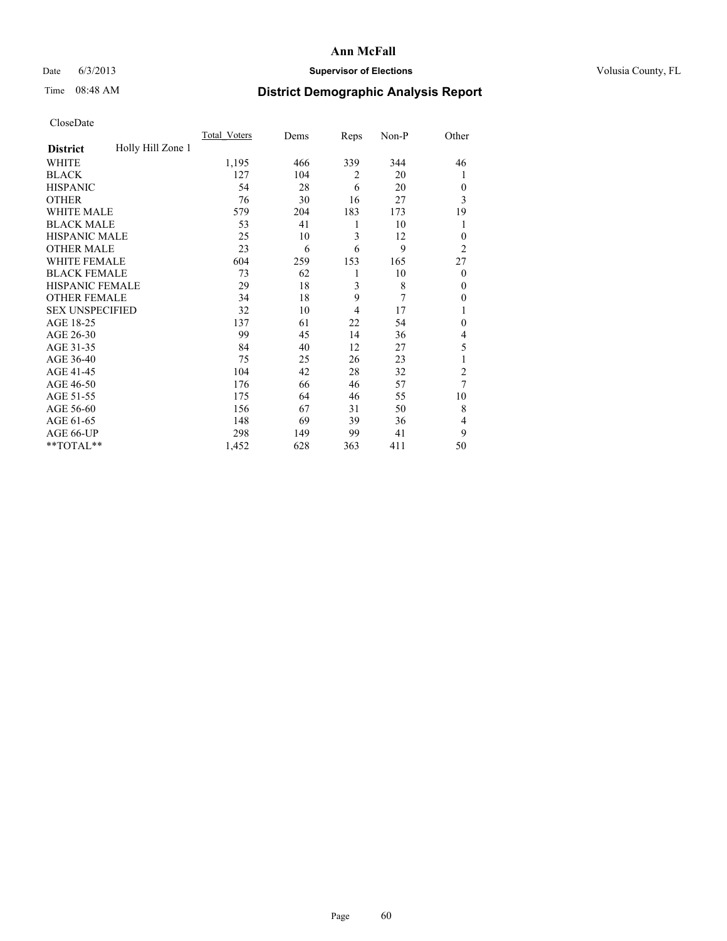# Date 6/3/2013 **Supervisor of Elections Supervisor of Elections** Volusia County, FL

# Time 08:48 AM **District Demographic Analysis Report**

|                        |                   | <b>Total Voters</b> | Dems | Reps           | Non-P | Other          |
|------------------------|-------------------|---------------------|------|----------------|-------|----------------|
| <b>District</b>        | Holly Hill Zone 1 |                     |      |                |       |                |
| WHITE                  |                   | 1,195               | 466  | 339            | 344   | 46             |
| <b>BLACK</b>           |                   | 127                 | 104  | $\overline{2}$ | 20    | 1              |
| <b>HISPANIC</b>        |                   | 54                  | 28   | 6              | 20    | $\Omega$       |
| <b>OTHER</b>           |                   | 76                  | 30   | 16             | 27    | 3              |
| WHITE MALE             |                   | 579                 | 204  | 183            | 173   | 19             |
| <b>BLACK MALE</b>      |                   | 53                  | 41   | 1              | 10    | 1              |
| <b>HISPANIC MALE</b>   |                   | 25                  | 10   | 3              | 12    | $\overline{0}$ |
| <b>OTHER MALE</b>      |                   | 23                  | 6    | 6              | 9     | $\overline{2}$ |
| WHITE FEMALE           |                   | 604                 | 259  | 153            | 165   | 27             |
| <b>BLACK FEMALE</b>    |                   | 73                  | 62   | 1              | 10    | $\overline{0}$ |
| <b>HISPANIC FEMALE</b> |                   | 29                  | 18   | 3              | 8     | $\Omega$       |
| <b>OTHER FEMALE</b>    |                   | 34                  | 18   | 9              | 7     | $\Omega$       |
| <b>SEX UNSPECIFIED</b> |                   | 32                  | 10   | 4              | 17    | 1              |
| AGE 18-25              |                   | 137                 | 61   | 22             | 54    | $\Omega$       |
| AGE 26-30              |                   | 99                  | 45   | 14             | 36    | 4              |
| AGE 31-35              |                   | 84                  | 40   | 12             | 27    | 5              |
| AGE 36-40              |                   | 75                  | 25   | 26             | 23    | 1              |
| AGE 41-45              |                   | 104                 | 42   | 28             | 32    | $\overline{c}$ |
| AGE 46-50              |                   | 176                 | 66   | 46             | 57    | 7              |
| AGE 51-55              |                   | 175                 | 64   | 46             | 55    | 10             |
| AGE 56-60              |                   | 156                 | 67   | 31             | 50    | 8              |
| AGE 61-65              |                   | 148                 | 69   | 39             | 36    | 4              |
| AGE 66-UP              |                   | 298                 | 149  | 99             | 41    | 9              |
| **TOTAL**              |                   | 1,452               | 628  | 363            | 411   | 50             |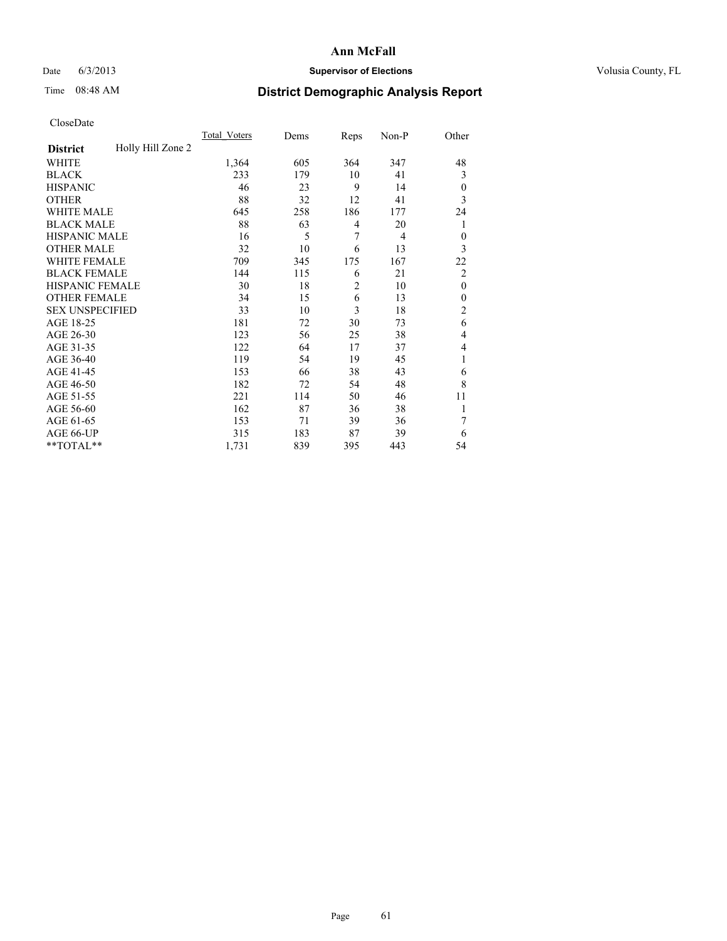# Date 6/3/2013 **Supervisor of Elections Supervisor of Elections** Volusia County, FL

# Time 08:48 AM **District Demographic Analysis Report**

|                        |                   | Total Voters | Dems | Reps           | Non-P          | Other          |
|------------------------|-------------------|--------------|------|----------------|----------------|----------------|
| <b>District</b>        | Holly Hill Zone 2 |              |      |                |                |                |
| WHITE                  |                   | 1,364        | 605  | 364            | 347            | 48             |
| <b>BLACK</b>           |                   | 233          | 179  | 10             | 41             | 3              |
| <b>HISPANIC</b>        |                   | 46           | 23   | 9              | 14             | $\theta$       |
| <b>OTHER</b>           |                   | 88           | 32   | 12             | 41             | 3              |
| WHITE MALE             |                   | 645          | 258  | 186            | 177            | 24             |
| <b>BLACK MALE</b>      |                   | 88           | 63   | 4              | 20             | 1              |
| <b>HISPANIC MALE</b>   |                   | 16           | 5    | 7              | $\overline{4}$ | $\theta$       |
| <b>OTHER MALE</b>      |                   | 32           | 10   | 6              | 13             | 3              |
| WHITE FEMALE           |                   | 709          | 345  | 175            | 167            | 22             |
| <b>BLACK FEMALE</b>    |                   | 144          | 115  | 6              | 21             | $\overline{2}$ |
| <b>HISPANIC FEMALE</b> |                   | 30           | 18   | $\overline{2}$ | 10             | $\mathbf{0}$   |
| <b>OTHER FEMALE</b>    |                   | 34           | 15   | 6              | 13             | $\theta$       |
| <b>SEX UNSPECIFIED</b> |                   | 33           | 10   | 3              | 18             | $\overline{c}$ |
| AGE 18-25              |                   | 181          | 72   | 30             | 73             | 6              |
| AGE 26-30              |                   | 123          | 56   | 25             | 38             | 4              |
| AGE 31-35              |                   | 122          | 64   | 17             | 37             | 4              |
| AGE 36-40              |                   | 119          | 54   | 19             | 45             | 1              |
| AGE 41-45              |                   | 153          | 66   | 38             | 43             | 6              |
| AGE 46-50              |                   | 182          | 72   | 54             | 48             | 8              |
| AGE 51-55              |                   | 221          | 114  | 50             | 46             | 11             |
| AGE 56-60              |                   | 162          | 87   | 36             | 38             |                |
| AGE 61-65              |                   | 153          | 71   | 39             | 36             | 7              |
| AGE 66-UP              |                   | 315          | 183  | 87             | 39             | 6              |
| **TOTAL**              |                   | 1,731        | 839  | 395            | 443            | 54             |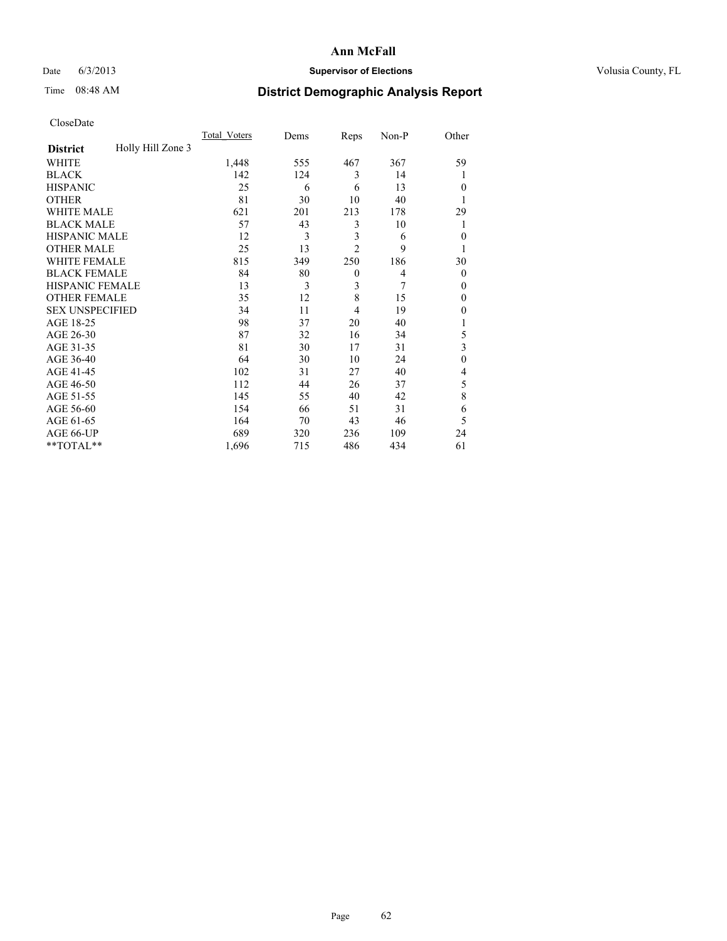# Date 6/3/2013 **Supervisor of Elections Supervisor of Elections** Volusia County, FL

# Time 08:48 AM **District Demographic Analysis Report**

|                        |                   | <b>Total Voters</b> | Dems | Reps           | Non-P | Other          |
|------------------------|-------------------|---------------------|------|----------------|-------|----------------|
| <b>District</b>        | Holly Hill Zone 3 |                     |      |                |       |                |
| WHITE                  |                   | 1,448               | 555  | 467            | 367   | 59             |
| <b>BLACK</b>           |                   | 142                 | 124  | 3              | 14    | 1              |
| <b>HISPANIC</b>        |                   | 25                  | 6    | 6              | 13    | $\Omega$       |
| <b>OTHER</b>           |                   | 81                  | 30   | 10             | 40    |                |
| WHITE MALE             |                   | 621                 | 201  | 213            | 178   | 29             |
| <b>BLACK MALE</b>      |                   | 57                  | 43   | 3              | 10    | 1              |
| <b>HISPANIC MALE</b>   |                   | 12                  | 3    | 3              | 6     | $\overline{0}$ |
| <b>OTHER MALE</b>      |                   | 25                  | 13   | $\overline{2}$ | 9     | 1              |
| WHITE FEMALE           |                   | 815                 | 349  | 250            | 186   | 30             |
| <b>BLACK FEMALE</b>    |                   | 84                  | 80   | $\mathbf{0}$   | 4     | $\overline{0}$ |
| <b>HISPANIC FEMALE</b> |                   | 13                  | 3    | 3              | 7     | $\Omega$       |
| <b>OTHER FEMALE</b>    |                   | 35                  | 12   | 8              | 15    | $\Omega$       |
| <b>SEX UNSPECIFIED</b> |                   | 34                  | 11   | 4              | 19    | $\Omega$       |
| AGE 18-25              |                   | 98                  | 37   | 20             | 40    |                |
| AGE 26-30              |                   | 87                  | 32   | 16             | 34    | 5              |
| AGE 31-35              |                   | 81                  | 30   | 17             | 31    | 3              |
| AGE 36-40              |                   | 64                  | 30   | 10             | 24    | $\theta$       |
| AGE 41-45              |                   | 102                 | 31   | 27             | 40    | 4              |
| AGE 46-50              |                   | 112                 | 44   | 26             | 37    | 5              |
| AGE 51-55              |                   | 145                 | 55   | 40             | 42    | 8              |
| AGE 56-60              |                   | 154                 | 66   | 51             | 31    | 6              |
| AGE 61-65              |                   | 164                 | 70   | 43             | 46    | 5              |
| AGE 66-UP              |                   | 689                 | 320  | 236            | 109   | 24             |
| **TOTAL**              |                   | 1,696               | 715  | 486            | 434   | 61             |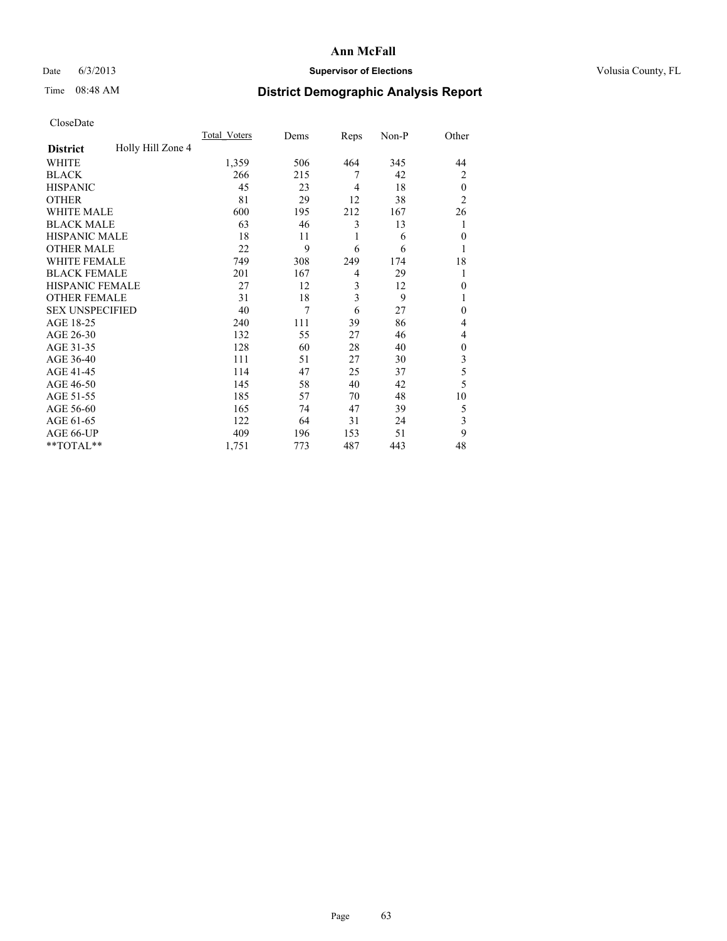# Date 6/3/2013 **Supervisor of Elections Supervisor of Elections** Volusia County, FL

# Time 08:48 AM **District Demographic Analysis Report**

|                        |                   | <b>Total Voters</b> | Dems | Reps           | Non-P | Other          |
|------------------------|-------------------|---------------------|------|----------------|-------|----------------|
| <b>District</b>        | Holly Hill Zone 4 |                     |      |                |       |                |
| WHITE                  |                   | 1,359               | 506  | 464            | 345   | 44             |
| <b>BLACK</b>           |                   | 266                 | 215  | 7              | 42    | $\overline{2}$ |
| <b>HISPANIC</b>        |                   | 45                  | 23   | 4              | 18    | $\theta$       |
| <b>OTHER</b>           |                   | 81                  | 29   | 12             | 38    | $\overline{2}$ |
| WHITE MALE             |                   | 600                 | 195  | 212            | 167   | 26             |
| <b>BLACK MALE</b>      |                   | 63                  | 46   | 3              | 13    | 1              |
| <b>HISPANIC MALE</b>   |                   | 18                  | 11   | 1              | 6     | $\overline{0}$ |
| <b>OTHER MALE</b>      |                   | 22                  | 9    | 6              | 6     | 1              |
| WHITE FEMALE           |                   | 749                 | 308  | 249            | 174   | 18             |
| <b>BLACK FEMALE</b>    |                   | 201                 | 167  | $\overline{4}$ | 29    | 1              |
| <b>HISPANIC FEMALE</b> |                   | 27                  | 12   | 3              | 12    | $\Omega$       |
| <b>OTHER FEMALE</b>    |                   | 31                  | 18   | 3              | 9     |                |
| <b>SEX UNSPECIFIED</b> |                   | 40                  | 7    | 6              | 27    | $\theta$       |
| AGE 18-25              |                   | 240                 | 111  | 39             | 86    | 4              |
| AGE 26-30              |                   | 132                 | 55   | 27             | 46    | 4              |
| AGE 31-35              |                   | 128                 | 60   | 28             | 40    | $\theta$       |
| AGE 36-40              |                   | 111                 | 51   | 27             | 30    | 3              |
| AGE 41-45              |                   | 114                 | 47   | 25             | 37    | 5              |
| AGE 46-50              |                   | 145                 | 58   | 40             | 42    | 5              |
| AGE 51-55              |                   | 185                 | 57   | 70             | 48    | 10             |
| AGE 56-60              |                   | 165                 | 74   | 47             | 39    | 5              |
| AGE 61-65              |                   | 122                 | 64   | 31             | 24    | 3              |
| AGE 66-UP              |                   | 409                 | 196  | 153            | 51    | 9              |
| **TOTAL**              |                   | 1,751               | 773  | 487            | 443   | 48             |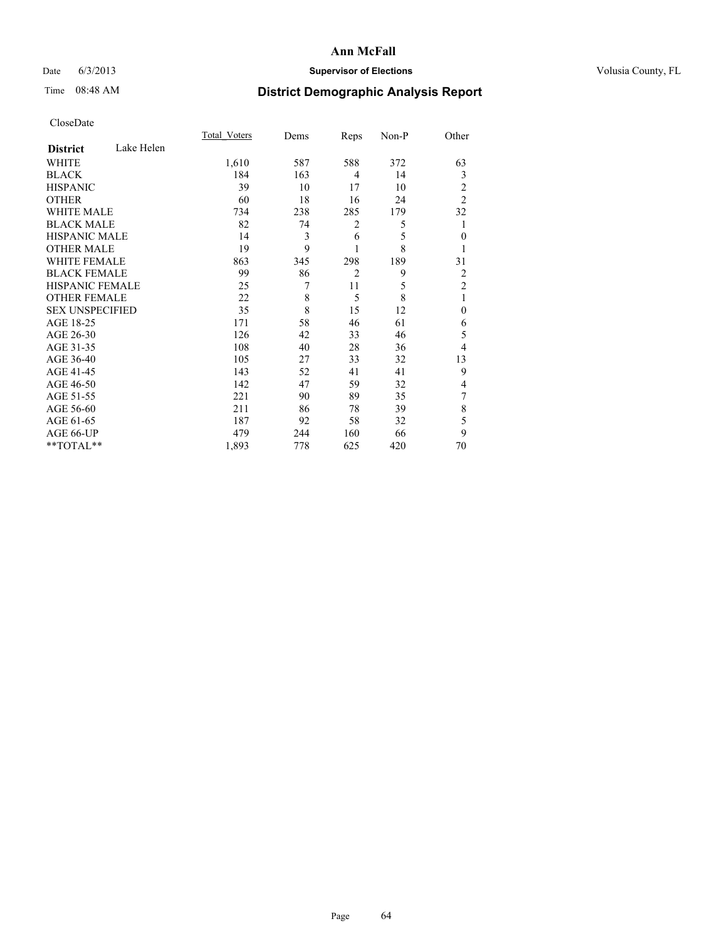# Date 6/3/2013 **Supervisor of Elections Supervisor of Elections** Volusia County, FL

# Time 08:48 AM **District Demographic Analysis Report**

|                        |            | Total Voters | Dems | Reps           | Non-P | Other          |
|------------------------|------------|--------------|------|----------------|-------|----------------|
| <b>District</b>        | Lake Helen |              |      |                |       |                |
| <b>WHITE</b>           |            | 1,610        | 587  | 588            | 372   | 63             |
| <b>BLACK</b>           |            | 184          | 163  | 4              | 14    | 3              |
| <b>HISPANIC</b>        |            | 39           | 10   | 17             | 10    | 2              |
| <b>OTHER</b>           |            | 60           | 18   | 16             | 24    | $\overline{2}$ |
| WHITE MALE             |            | 734          | 238  | 285            | 179   | 32             |
| <b>BLACK MALE</b>      |            | 82           | 74   | 2              | 5     |                |
| <b>HISPANIC MALE</b>   |            | 14           | 3    | 6              | 5     | $\mathbf{0}$   |
| <b>OTHER MALE</b>      |            | 19           | 9    | 1              | 8     |                |
| <b>WHITE FEMALE</b>    |            | 863          | 345  | 298            | 189   | 31             |
| <b>BLACK FEMALE</b>    |            | 99           | 86   | $\overline{2}$ | 9     | 2              |
| HISPANIC FEMALE        |            | 25           | 7    | 11             | 5     | $\overline{2}$ |
| <b>OTHER FEMALE</b>    |            | 22           | 8    | 5              | 8     | 1              |
| <b>SEX UNSPECIFIED</b> |            | 35           | 8    | 15             | 12    | $\mathbf{0}$   |
| AGE 18-25              |            | 171          | 58   | 46             | 61    | 6              |
| AGE 26-30              |            | 126          | 42   | 33             | 46    | 5              |
| AGE 31-35              |            | 108          | 40   | 28             | 36    | 4              |
| AGE 36-40              |            | 105          | 27   | 33             | 32    | 13             |
| AGE 41-45              |            | 143          | 52   | 41             | 41    | 9              |
| AGE 46-50              |            | 142          | 47   | 59             | 32    | 4              |
| AGE 51-55              |            | 221          | 90   | 89             | 35    | 7              |
| AGE 56-60              |            | 211          | 86   | 78             | 39    | 8              |
| AGE 61-65              |            | 187          | 92   | 58             | 32    | 5              |
| AGE 66-UP              |            | 479          | 244  | 160            | 66    | 9              |
| **TOTAL**              |            | 1,893        | 778  | 625            | 420   | 70             |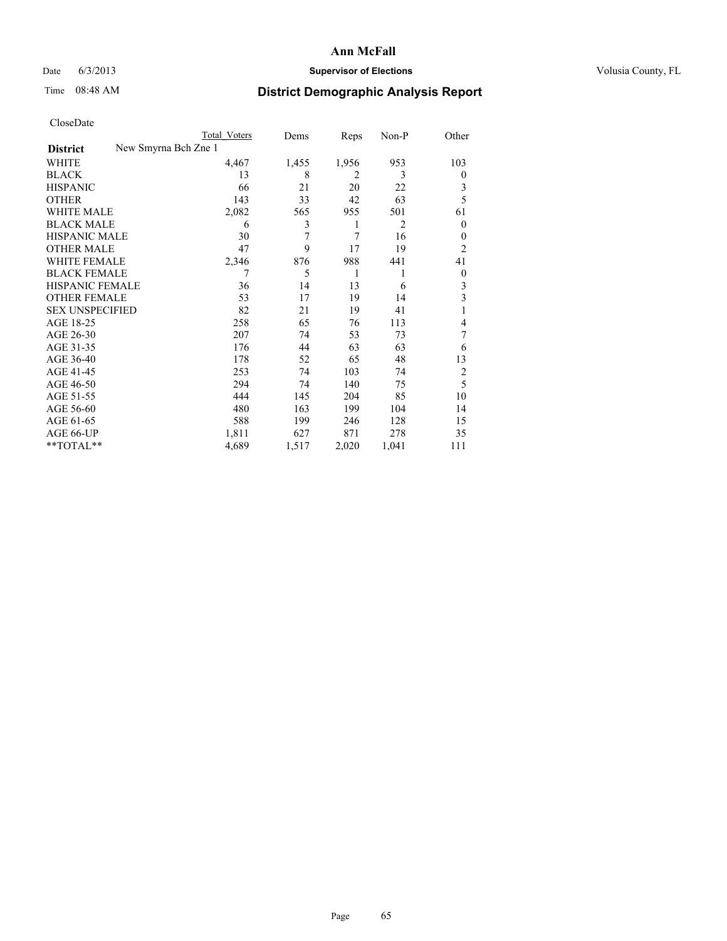# Date 6/3/2013 **Supervisor of Elections Supervisor of Elections** Volusia County, FL

# Time 08:48 AM **District Demographic Analysis Report**

|                                         | Total Voters | Dems  | Reps           | Non-P          | Other          |
|-----------------------------------------|--------------|-------|----------------|----------------|----------------|
| New Smyrna Bch Zne 1<br><b>District</b> |              |       |                |                |                |
| WHITE                                   | 4,467        | 1,455 | 1,956          | 953            | 103            |
| <b>BLACK</b>                            | 13           | 8     | $\overline{2}$ | 3              | $\overline{0}$ |
| <b>HISPANIC</b>                         | 66           | 21    | 20             | 22             | 3              |
| <b>OTHER</b>                            | 143          | 33    | 42             | 63             | 5              |
| <b>WHITE MALE</b>                       | 2,082        | 565   | 955            | 501            | 61             |
| <b>BLACK MALE</b>                       | 6            | 3     | 1              | $\overline{2}$ | $\overline{0}$ |
| <b>HISPANIC MALE</b>                    | 30           | 7     | 7              | 16             | $\theta$       |
| <b>OTHER MALE</b>                       | 47           | 9     | 17             | 19             | $\overline{2}$ |
| <b>WHITE FEMALE</b>                     | 2,346        | 876   | 988            | 441            | 41             |
| <b>BLACK FEMALE</b>                     | $\tau$       | 5     | 1              | 1              | $\overline{0}$ |
| <b>HISPANIC FEMALE</b>                  | 36           | 14    | 13             | 6              | 3              |
| <b>OTHER FEMALE</b>                     | 53           | 17    | 19             | 14             | 3              |
| <b>SEX UNSPECIFIED</b>                  | 82           | 21    | 19             | 41             | 1              |
| AGE 18-25                               | 258          | 65    | 76             | 113            | 4              |
| AGE 26-30                               | 207          | 74    | 53             | 73             | 7              |
| AGE 31-35                               | 176          | 44    | 63             | 63             | 6              |
| AGE 36-40                               | 178          | 52    | 65             | 48             | 13             |
| AGE 41-45                               | 253          | 74    | 103            | 74             | $\overline{c}$ |
| AGE 46-50                               | 294          | 74    | 140            | 75             | 5              |
| AGE 51-55                               | 444          | 145   | 204            | 85             | 10             |
| AGE 56-60                               | 480          | 163   | 199            | 104            | 14             |
| AGE 61-65                               | 588          | 199   | 246            | 128            | 15             |
| AGE 66-UP                               | 1,811        | 627   | 871            | 278            | 35             |
| **TOTAL**                               | 4,689        | 1,517 | 2,020          | 1,041          | 111            |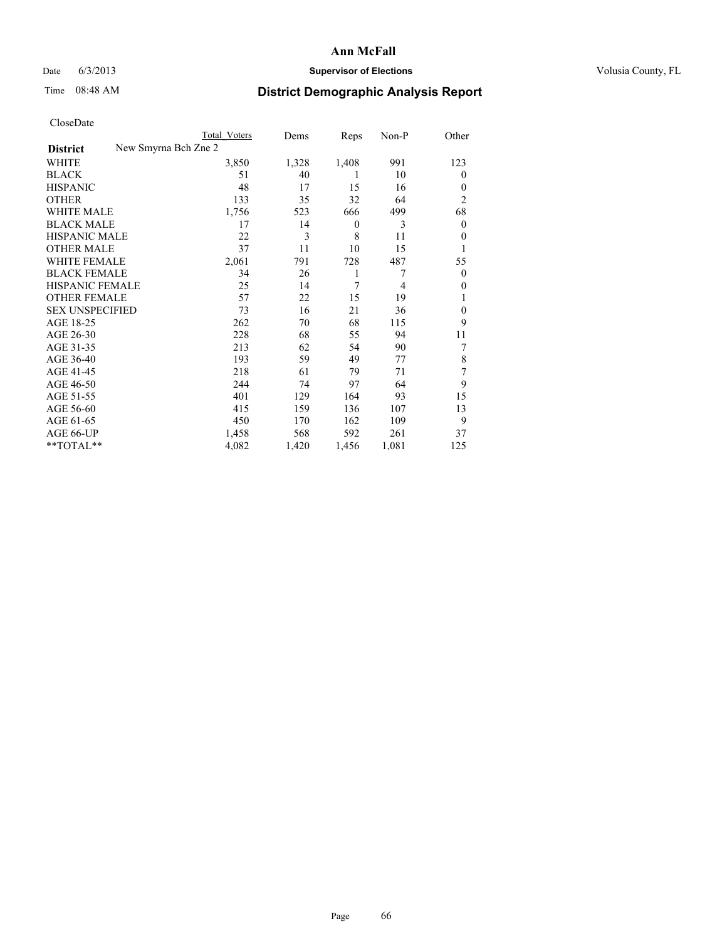# Date 6/3/2013 **Supervisor of Elections Supervisor of Elections** Volusia County, FL

# Time 08:48 AM **District Demographic Analysis Report**

|                        |                      | Total Voters | Dems  | Reps             | Non-P          | Other          |
|------------------------|----------------------|--------------|-------|------------------|----------------|----------------|
| <b>District</b>        | New Smyrna Bch Zne 2 |              |       |                  |                |                |
| WHITE                  |                      | 3,850        | 1,328 | 1,408            | 991            | 123            |
| <b>BLACK</b>           |                      | 51           | 40    | 1                | 10             | $\theta$       |
| <b>HISPANIC</b>        |                      | 48           | 17    | 15               | 16             | $\theta$       |
| <b>OTHER</b>           |                      | 133          | 35    | 32               | 64             | $\overline{2}$ |
| WHITE MALE             |                      | 1,756        | 523   | 666              | 499            | 68             |
| <b>BLACK MALE</b>      |                      | 17           | 14    | $\boldsymbol{0}$ | 3              | $\mathbf{0}$   |
| <b>HISPANIC MALE</b>   |                      | 22           | 3     | 8                | 11             | $\theta$       |
| <b>OTHER MALE</b>      |                      | 37           | 11    | 10               | 15             | 1              |
| <b>WHITE FEMALE</b>    |                      | 2,061        | 791   | 728              | 487            | 55             |
| <b>BLACK FEMALE</b>    |                      | 34           | 26    | 1                | 7              | $\overline{0}$ |
| HISPANIC FEMALE        |                      | 25           | 14    | 7                | $\overline{4}$ | $\theta$       |
| <b>OTHER FEMALE</b>    |                      | 57           | 22    | 15               | 19             |                |
| <b>SEX UNSPECIFIED</b> |                      | 73           | 16    | 21               | 36             | $\theta$       |
| AGE 18-25              |                      | 262          | 70    | 68               | 115            | 9              |
| AGE 26-30              |                      | 228          | 68    | 55               | 94             | 11             |
| AGE 31-35              |                      | 213          | 62    | 54               | 90             | 7              |
| AGE 36-40              |                      | 193          | 59    | 49               | 77             | 8              |
| AGE 41-45              |                      | 218          | 61    | 79               | 71             | 7              |
| AGE 46-50              |                      | 244          | 74    | 97               | 64             | 9              |
| AGE 51-55              |                      | 401          | 129   | 164              | 93             | 15             |
| AGE 56-60              |                      | 415          | 159   | 136              | 107            | 13             |
| AGE 61-65              |                      | 450          | 170   | 162              | 109            | 9              |
| AGE 66-UP              |                      | 1,458        | 568   | 592              | 261            | 37             |
| **TOTAL**              |                      | 4,082        | 1,420 | 1,456            | 1,081          | 125            |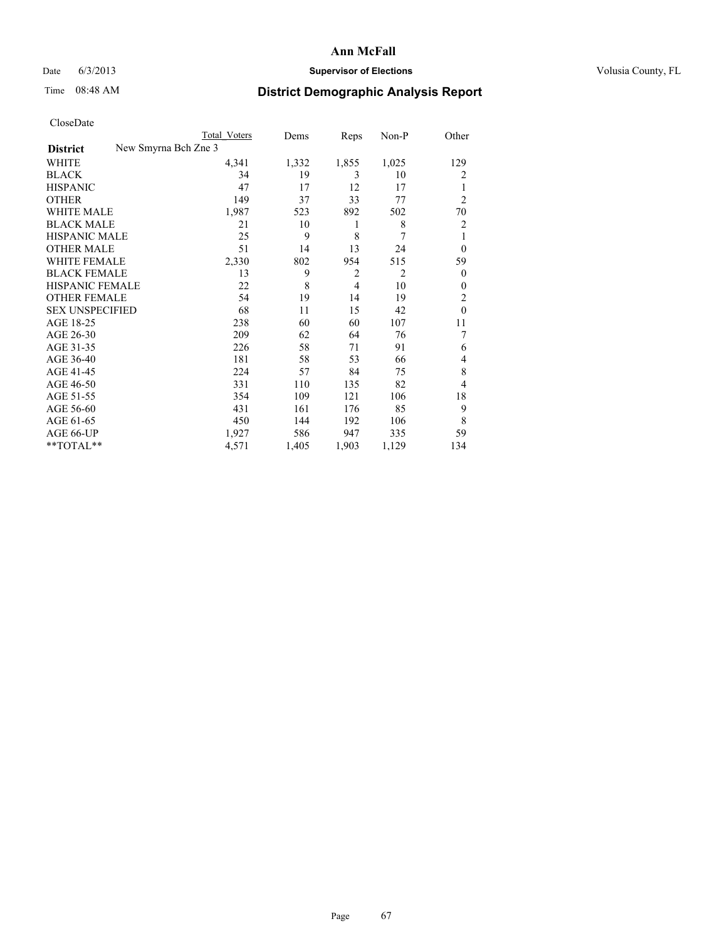# Date 6/3/2013 **Supervisor of Elections Supervisor of Elections** Volusia County, FL

# Time 08:48 AM **District Demographic Analysis Report**

|                        | <b>Total Voters</b>  | Dems  | Reps           | Non-P          | Other          |
|------------------------|----------------------|-------|----------------|----------------|----------------|
| <b>District</b>        | New Smyrna Bch Zne 3 |       |                |                |                |
| WHITE                  | 4,341                | 1,332 | 1,855          | 1,025          | 129            |
| <b>BLACK</b>           | 34                   | 19    | 3              | 10             | $\overline{2}$ |
| <b>HISPANIC</b>        | 47                   | 17    | 12             | 17             | 1              |
| <b>OTHER</b>           | 149                  | 37    | 33             | 77             | $\overline{2}$ |
| WHITE MALE             | 1,987                | 523   | 892            | 502            | 70             |
| <b>BLACK MALE</b>      | 21                   | 10    | 1              | 8              | $\overline{2}$ |
| <b>HISPANIC MALE</b>   | 25                   | 9     | 8              | 7              | 1              |
| <b>OTHER MALE</b>      | 51                   | 14    | 13             | 24             | $\overline{0}$ |
| <b>WHITE FEMALE</b>    | 2,330                | 802   | 954            | 515            | 59             |
| <b>BLACK FEMALE</b>    | 13                   | 9     | $\overline{2}$ | $\overline{2}$ | $\overline{0}$ |
| <b>HISPANIC FEMALE</b> | 22                   | 8     | $\overline{4}$ | 10             | $\Omega$       |
| <b>OTHER FEMALE</b>    | 54                   | 19    | 14             | 19             | $\overline{c}$ |
| <b>SEX UNSPECIFIED</b> | 68                   | 11    | 15             | 42             | $\theta$       |
| AGE 18-25              | 238                  | 60    | 60             | 107            | 11             |
| AGE 26-30              | 209                  | 62    | 64             | 76             | 7              |
| AGE 31-35              | 226                  | 58    | 71             | 91             | 6              |
| AGE 36-40              | 181                  | 58    | 53             | 66             | 4              |
| AGE 41-45              | 224                  | 57    | 84             | 75             | 8              |
| AGE 46-50              | 331                  | 110   | 135            | 82             | $\overline{4}$ |
| AGE 51-55              | 354                  | 109   | 121            | 106            | 18             |
| AGE 56-60              | 431                  | 161   | 176            | 85             | 9              |
| AGE 61-65              | 450                  | 144   | 192            | 106            | 8              |
| AGE 66-UP              | 1,927                | 586   | 947            | 335            | 59             |
| **TOTAL**              | 4,571                | 1,405 | 1,903          | 1,129          | 134            |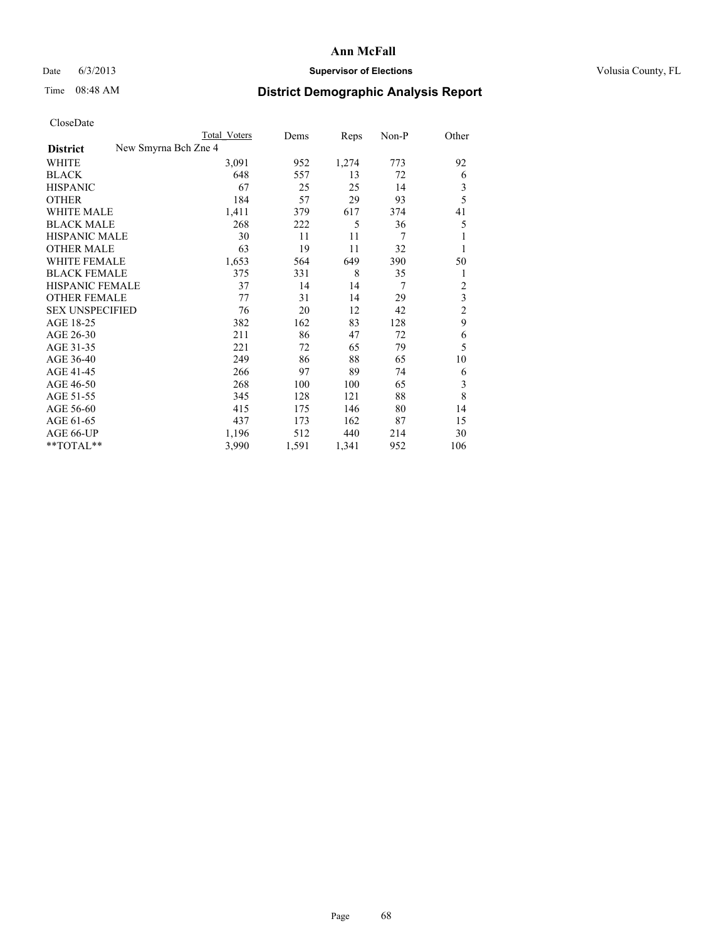## Date 6/3/2013 **Supervisor of Elections Supervisor of Elections** Volusia County, FL

# Time 08:48 AM **District Demographic Analysis Report**

| Cioscivate             |                      |                     |       |       |       |                         |
|------------------------|----------------------|---------------------|-------|-------|-------|-------------------------|
|                        |                      | <b>Total Voters</b> | Dems  | Reps  | Non-P | Other                   |
| <b>District</b>        | New Smyrna Bch Zne 4 |                     |       |       |       |                         |
| <b>WHITE</b>           |                      | 3,091               | 952   | 1,274 | 773   | 92                      |
| <b>BLACK</b>           |                      | 648                 | 557   | 13    | 72    | 6                       |
| <b>HISPANIC</b>        |                      | 67                  | 25    | 25    | 14    | $\mathfrak{Z}$          |
| <b>OTHER</b>           |                      | 184                 | 57    | 29    | 93    | 5                       |
| WHITE MALE             |                      | 1,411               | 379   | 617   | 374   | 41                      |
| <b>BLACK MALE</b>      |                      | 268                 | 222   | 5     | 36    | 5                       |
| <b>HISPANIC MALE</b>   |                      | 30                  | 11    | 11    | 7     | 1                       |
| <b>OTHER MALE</b>      |                      | 63                  | 19    | 11    | 32    | 1                       |
| WHITE FEMALE           |                      | 1,653               | 564   | 649   | 390   | 50                      |
| <b>BLACK FEMALE</b>    |                      | 375                 | 331   | 8     | 35    | 1                       |
| <b>HISPANIC FEMALE</b> |                      | 37                  | 14    | 14    | 7     | $\overline{\mathbf{c}}$ |
| <b>OTHER FEMALE</b>    |                      | 77                  | 31    | 14    | 29    | $\mathfrak{Z}$          |
| <b>SEX UNSPECIFIED</b> |                      | 76                  | 20    | 12    | 42    | $\overline{c}$          |
| AGE 18-25              |                      | 382                 | 162   | 83    | 128   | 9                       |
| AGE 26-30              |                      | 211                 | 86    | 47    | 72    | 6                       |
| AGE 31-35              |                      | 221                 | 72    | 65    | 79    | 5                       |
| AGE 36-40              |                      | 249                 | 86    | 88    | 65    | 10                      |
| AGE 41-45              |                      | 266                 | 97    | 89    | 74    | 6                       |
| AGE 46-50              |                      | 268                 | 100   | 100   | 65    | $\mathfrak{Z}$          |
| AGE 51-55              |                      | 345                 | 128   | 121   | 88    | 8                       |
| AGE 56-60              |                      | 415                 | 175   | 146   | 80    | 14                      |
| AGE 61-65              |                      | 437                 | 173   | 162   | 87    | 15                      |
| AGE 66-UP              |                      | 1,196               | 512   | 440   | 214   | 30                      |
| **TOTAL**              |                      | 3,990               | 1,591 | 1,341 | 952   | 106                     |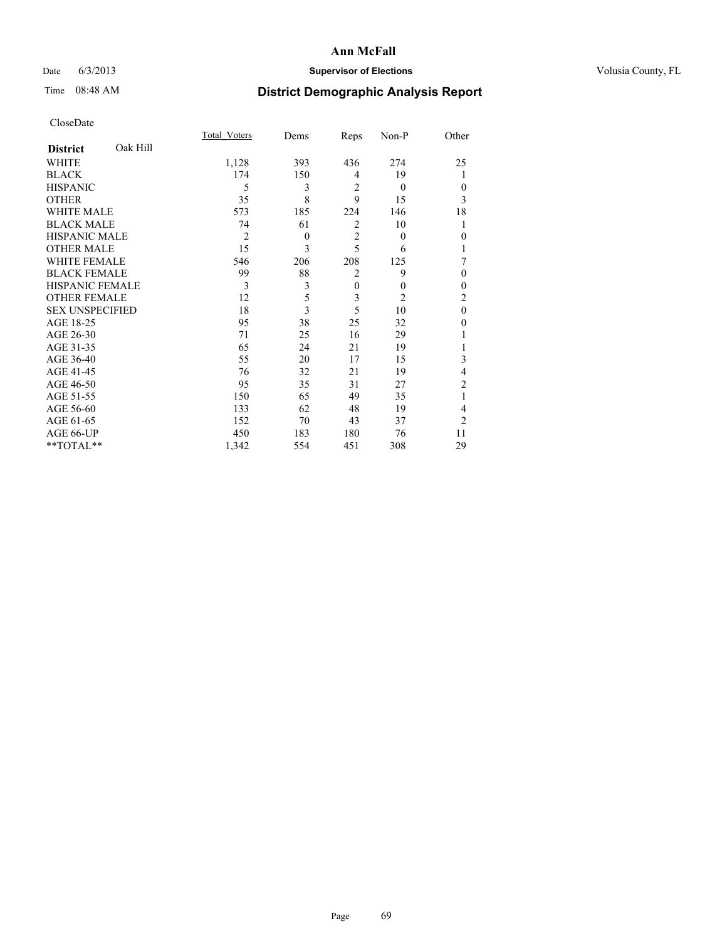# Date 6/3/2013 **Supervisor of Elections Supervisor of Elections** Volusia County, FL

# Time 08:48 AM **District Demographic Analysis Report**

|                        |          | Total Voters   | Dems     | Reps           | Non-P          | Other          |
|------------------------|----------|----------------|----------|----------------|----------------|----------------|
| <b>District</b>        | Oak Hill |                |          |                |                |                |
| WHITE                  |          | 1,128          | 393      | 436            | 274            | 25             |
| <b>BLACK</b>           |          | 174            | 150      | 4              | 19             | 1              |
| <b>HISPANIC</b>        |          | 5              | 3        | $\overline{2}$ | $\theta$       | $\Omega$       |
| <b>OTHER</b>           |          | 35             | 8        | 9              | 15             | 3              |
| WHITE MALE             |          | 573            | 185      | 224            | 146            | 18             |
| <b>BLACK MALE</b>      |          | 74             | 61       | $\overline{2}$ | 10             | 1              |
| <b>HISPANIC MALE</b>   |          | $\overline{2}$ | $\theta$ | $\overline{2}$ | $\theta$       | $\theta$       |
| <b>OTHER MALE</b>      |          | 15             | 3        | 5              | 6              | 1              |
| WHITE FEMALE           |          | 546            | 206      | 208            | 125            | 7              |
| <b>BLACK FEMALE</b>    |          | 99             | 88       | $\overline{2}$ | 9              | $\theta$       |
| <b>HISPANIC FEMALE</b> |          | 3              | 3        | $\overline{0}$ | $\theta$       | $\Omega$       |
| <b>OTHER FEMALE</b>    |          | 12             | 5        | 3              | $\overline{2}$ | $\overline{c}$ |
| <b>SEX UNSPECIFIED</b> |          | 18             | 3        | 5              | 10             | $\mathbf{0}$   |
| AGE 18-25              |          | 95             | 38       | 25             | 32             | $\theta$       |
| AGE 26-30              |          | 71             | 25       | 16             | 29             |                |
| AGE 31-35              |          | 65             | 24       | 21             | 19             |                |
| AGE 36-40              |          | 55             | 20       | 17             | 15             | 3              |
| AGE 41-45              |          | 76             | 32       | 21             | 19             | 4              |
| AGE 46-50              |          | 95             | 35       | 31             | 27             | 2              |
| AGE 51-55              |          | 150            | 65       | 49             | 35             | 1              |
| AGE 56-60              |          | 133            | 62       | 48             | 19             | 4              |
| AGE 61-65              |          | 152            | 70       | 43             | 37             | $\overline{2}$ |
| AGE 66-UP              |          | 450            | 183      | 180            | 76             | 11             |
| **TOTAL**              |          | 1,342          | 554      | 451            | 308            | 29             |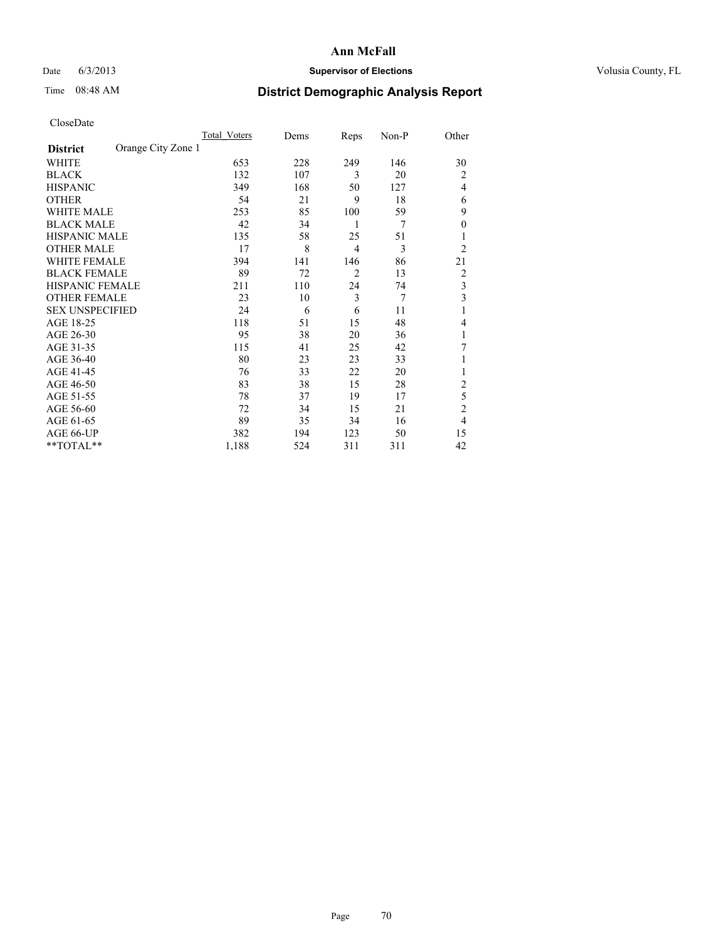# Date 6/3/2013 **Supervisor of Elections Supervisor of Elections** Volusia County, FL

# Time 08:48 AM **District Demographic Analysis Report**

|                        |                    | <b>Total Voters</b> | Dems | Reps           | Non-P | Other          |
|------------------------|--------------------|---------------------|------|----------------|-------|----------------|
| <b>District</b>        | Orange City Zone 1 |                     |      |                |       |                |
| WHITE                  |                    | 653                 | 228  | 249            | 146   | 30             |
| <b>BLACK</b>           |                    | 132                 | 107  | 3              | 20    | $\overline{2}$ |
| <b>HISPANIC</b>        |                    | 349                 | 168  | 50             | 127   | $\overline{4}$ |
| <b>OTHER</b>           |                    | 54                  | 21   | 9              | 18    | 6              |
| WHITE MALE             |                    | 253                 | 85   | 100            | 59    | 9              |
| <b>BLACK MALE</b>      |                    | 42                  | 34   | 1              | 7     | $\overline{0}$ |
| <b>HISPANIC MALE</b>   |                    | 135                 | 58   | 25             | 51    |                |
| <b>OTHER MALE</b>      |                    | 17                  | 8    | $\overline{4}$ | 3     | $\overline{2}$ |
| <b>WHITE FEMALE</b>    |                    | 394                 | 141  | 146            | 86    | 21             |
| <b>BLACK FEMALE</b>    |                    | 89                  | 72   | $\overline{2}$ | 13    | $\overline{2}$ |
| <b>HISPANIC FEMALE</b> |                    | 211                 | 110  | 24             | 74    | 3              |
| <b>OTHER FEMALE</b>    |                    | 23                  | 10   | 3              | 7     | 3              |
| <b>SEX UNSPECIFIED</b> |                    | 24                  | 6    | 6              | 11    | 1              |
| AGE 18-25              |                    | 118                 | 51   | 15             | 48    | 4              |
| AGE 26-30              |                    | 95                  | 38   | 20             | 36    | 1              |
| AGE 31-35              |                    | 115                 | 41   | 25             | 42    | 7              |
| AGE 36-40              |                    | 80                  | 23   | 23             | 33    |                |
| AGE 41-45              |                    | 76                  | 33   | 22             | 20    |                |
| AGE 46-50              |                    | 83                  | 38   | 15             | 28    | 2              |
| AGE 51-55              |                    | 78                  | 37   | 19             | 17    | 5              |
| AGE 56-60              |                    | 72                  | 34   | 15             | 21    | $\overline{c}$ |
| AGE 61-65              |                    | 89                  | 35   | 34             | 16    | $\overline{4}$ |
| AGE 66-UP              |                    | 382                 | 194  | 123            | 50    | 15             |
| **TOTAL**              |                    | 1,188               | 524  | 311            | 311   | 42             |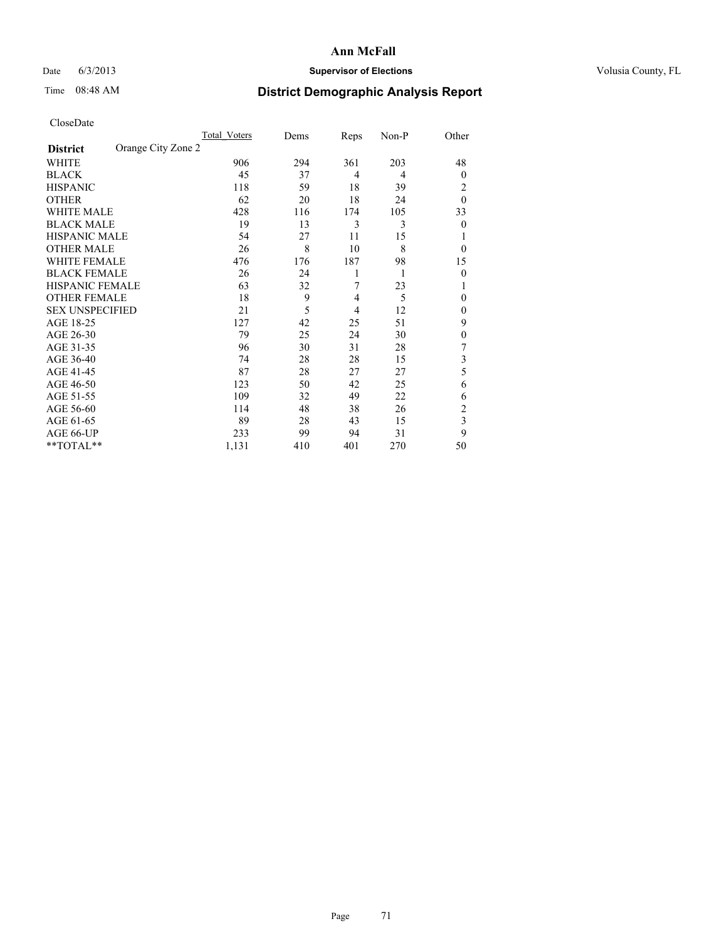# Date 6/3/2013 **Supervisor of Elections Supervisor of Elections** Volusia County, FL

# Time 08:48 AM **District Demographic Analysis Report**

|                        |                    | <b>Total Voters</b> | Dems | Reps | Non-P | Other          |
|------------------------|--------------------|---------------------|------|------|-------|----------------|
| <b>District</b>        | Orange City Zone 2 |                     |      |      |       |                |
| WHITE                  |                    | 906                 | 294  | 361  | 203   | 48             |
| <b>BLACK</b>           |                    | 45                  | 37   | 4    | 4     | $\overline{0}$ |
| <b>HISPANIC</b>        |                    | 118                 | 59   | 18   | 39    | 2              |
| <b>OTHER</b>           |                    | 62                  | 20   | 18   | 24    | $\theta$       |
| WHITE MALE             |                    | 428                 | 116  | 174  | 105   | 33             |
| <b>BLACK MALE</b>      |                    | 19                  | 13   | 3    | 3     | $\overline{0}$ |
| <b>HISPANIC MALE</b>   |                    | 54                  | 27   | 11   | 15    |                |
| <b>OTHER MALE</b>      |                    | 26                  | 8    | 10   | 8     | $\overline{0}$ |
| <b>WHITE FEMALE</b>    |                    | 476                 | 176  | 187  | 98    | 15             |
| <b>BLACK FEMALE</b>    |                    | 26                  | 24   | 1    | 1     | $\overline{0}$ |
| <b>HISPANIC FEMALE</b> |                    | 63                  | 32   | 7    | 23    |                |
| <b>OTHER FEMALE</b>    |                    | 18                  | 9    | 4    | 5     | $\Omega$       |
| <b>SEX UNSPECIFIED</b> |                    | 21                  | 5    | 4    | 12    | $\overline{0}$ |
| AGE 18-25              |                    | 127                 | 42   | 25   | 51    | 9              |
| AGE 26-30              |                    | 79                  | 25   | 24   | 30    | $\mathbf{0}$   |
| AGE 31-35              |                    | 96                  | 30   | 31   | 28    | 7              |
| AGE 36-40              |                    | 74                  | 28   | 28   | 15    | 3              |
| AGE 41-45              |                    | 87                  | 28   | 27   | 27    | 5              |
| AGE 46-50              |                    | 123                 | 50   | 42   | 25    | 6              |
| AGE 51-55              |                    | 109                 | 32   | 49   | 22    | 6              |
| AGE 56-60              |                    | 114                 | 48   | 38   | 26    | $\overline{c}$ |
| AGE 61-65              |                    | 89                  | 28   | 43   | 15    | 3              |
| AGE 66-UP              |                    | 233                 | 99   | 94   | 31    | 9              |
| **TOTAL**              |                    | 1,131               | 410  | 401  | 270   | 50             |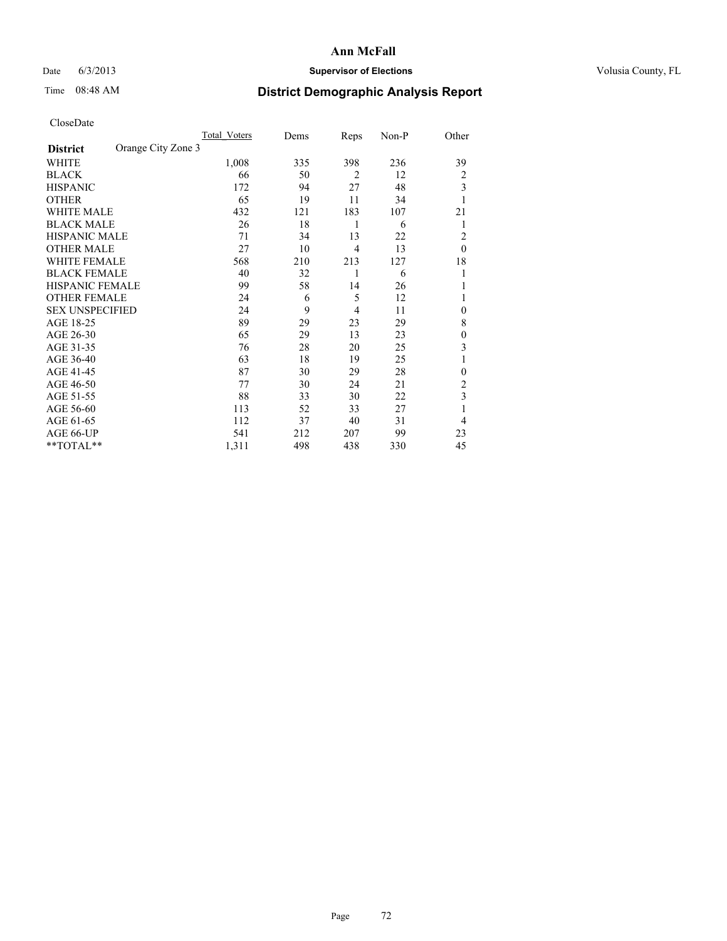# Date 6/3/2013 **Supervisor of Elections Supervisor of Elections** Volusia County, FL

# Time 08:48 AM **District Demographic Analysis Report**

|                        |                    | <b>Total Voters</b> | Dems | Reps           | Non-P | Other        |
|------------------------|--------------------|---------------------|------|----------------|-------|--------------|
| <b>District</b>        | Orange City Zone 3 |                     |      |                |       |              |
| WHITE                  |                    | 1,008               | 335  | 398            | 236   | 39           |
| <b>BLACK</b>           |                    | 66                  | 50   | $\overline{2}$ | 12    | 2            |
| <b>HISPANIC</b>        |                    | 172                 | 94   | 27             | 48    | 3            |
| <b>OTHER</b>           |                    | 65                  | 19   | 11             | 34    |              |
| WHITE MALE             |                    | 432                 | 121  | 183            | 107   | 21           |
| <b>BLACK MALE</b>      |                    | 26                  | 18   | 1              | 6     | 1            |
| <b>HISPANIC MALE</b>   |                    | 71                  | 34   | 13             | 22    | 2            |
| <b>OTHER MALE</b>      |                    | 27                  | 10   | $\overline{4}$ | 13    | $\theta$     |
| WHITE FEMALE           |                    | 568                 | 210  | 213            | 127   | 18           |
| <b>BLACK FEMALE</b>    |                    | 40                  | 32   | 1              | 6     | 1            |
| <b>HISPANIC FEMALE</b> |                    | 99                  | 58   | 14             | 26    |              |
| <b>OTHER FEMALE</b>    |                    | 24                  | 6    | 5              | 12    |              |
| <b>SEX UNSPECIFIED</b> |                    | 24                  | 9    | 4              | 11    | $\mathbf{0}$ |
| AGE 18-25              |                    | 89                  | 29   | 23             | 29    | 8            |
| AGE 26-30              |                    | 65                  | 29   | 13             | 23    | $\mathbf{0}$ |
| AGE 31-35              |                    | 76                  | 28   | 20             | 25    | 3            |
| AGE 36-40              |                    | 63                  | 18   | 19             | 25    |              |
| AGE 41-45              |                    | 87                  | 30   | 29             | 28    | $\mathbf{0}$ |
| AGE 46-50              |                    | 77                  | 30   | 24             | 21    | 2            |
| AGE 51-55              |                    | 88                  | 33   | 30             | 22    | 3            |
| AGE 56-60              |                    | 113                 | 52   | 33             | 27    |              |
| AGE 61-65              |                    | 112                 | 37   | 40             | 31    | 4            |
| AGE 66-UP              |                    | 541                 | 212  | 207            | 99    | 23           |
| **TOTAL**              |                    | 1,311               | 498  | 438            | 330   | 45           |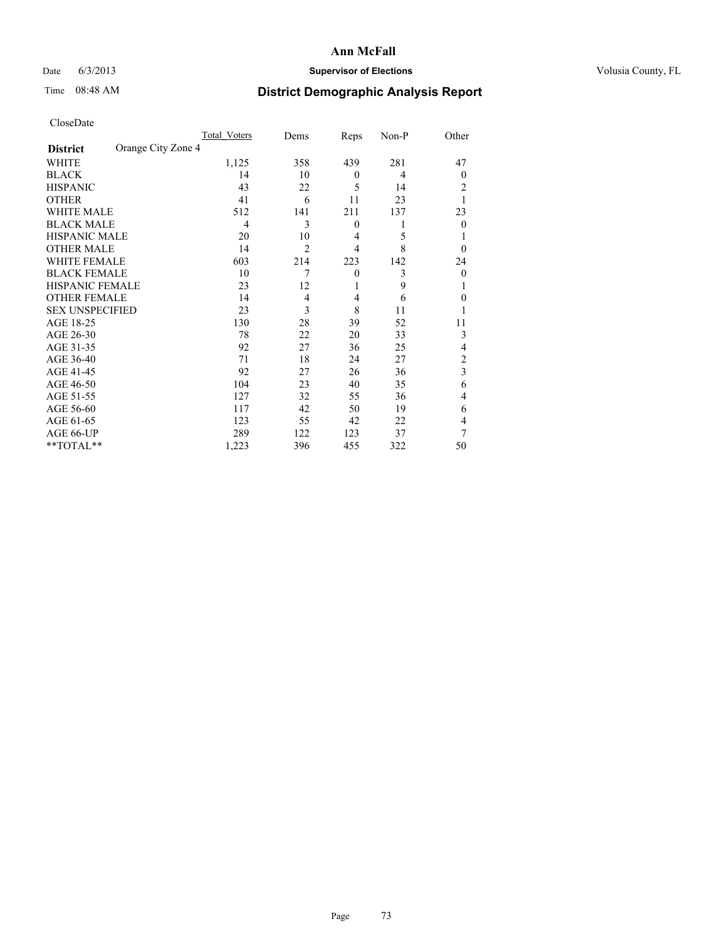## Date 6/3/2013 **Supervisor of Elections Supervisor of Elections** Volusia County, FL

# Time 08:48 AM **District Demographic Analysis Report**

|                        |                    | <b>Total Voters</b> | Dems           | Reps           | Non-P | Other          |
|------------------------|--------------------|---------------------|----------------|----------------|-------|----------------|
| <b>District</b>        | Orange City Zone 4 |                     |                |                |       |                |
| <b>WHITE</b>           |                    | 1,125               | 358            | 439            | 281   | 47             |
| <b>BLACK</b>           |                    | 14                  | 10             | $\mathbf{0}$   | 4     | $\Omega$       |
| <b>HISPANIC</b>        |                    | 43                  | 22             | 5              | 14    | 2              |
| <b>OTHER</b>           |                    | 41                  | 6              | 11             | 23    |                |
| WHITE MALE             |                    | 512                 | 141            | 211            | 137   | 23             |
| <b>BLACK MALE</b>      |                    | 4                   | 3              | $\mathbf{0}$   | 1     | $\Omega$       |
| <b>HISPANIC MALE</b>   |                    | 20                  | 10             | $\overline{4}$ | 5     |                |
| <b>OTHER MALE</b>      |                    | 14                  | $\overline{2}$ | $\overline{4}$ | 8     | $\Omega$       |
| <b>WHITE FEMALE</b>    |                    | 603                 | 214            | 223            | 142   | 24             |
| <b>BLACK FEMALE</b>    |                    | 10                  | 7              | $\theta$       | 3     | $\overline{0}$ |
| <b>HISPANIC FEMALE</b> |                    | 23                  | 12             | 1              | 9     |                |
| <b>OTHER FEMALE</b>    |                    | 14                  | $\overline{4}$ | 4              | 6     | $\Omega$       |
| <b>SEX UNSPECIFIED</b> |                    | 23                  | 3              | 8              | 11    |                |
| AGE 18-25              |                    | 130                 | 28             | 39             | 52    | 11             |
| AGE 26-30              |                    | 78                  | 22             | 20             | 33    | 3              |
| AGE 31-35              |                    | 92                  | 27             | 36             | 25    | 4              |
| AGE 36-40              |                    | 71                  | 18             | 24             | 27    | $\overline{c}$ |
| AGE 41-45              |                    | 92                  | 27             | 26             | 36    | 3              |
| AGE 46-50              |                    | 104                 | 23             | 40             | 35    | 6              |
| AGE 51-55              |                    | 127                 | 32             | 55             | 36    | $\overline{4}$ |
| AGE 56-60              |                    | 117                 | 42             | 50             | 19    | 6              |
| AGE 61-65              |                    | 123                 | 55             | 42             | 22    | 4              |
| AGE 66-UP              |                    | 289                 | 122            | 123            | 37    | 7              |
| **TOTAL**              |                    | 1,223               | 396            | 455            | 322   | 50             |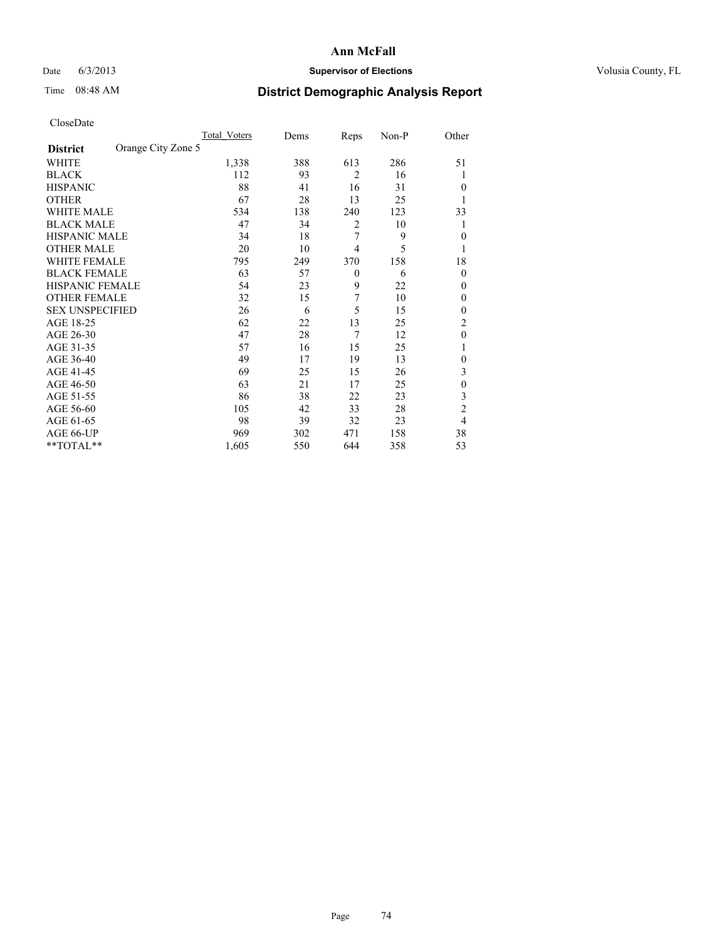## Date 6/3/2013 **Supervisor of Elections Supervisor of Elections** Volusia County, FL

# Time 08:48 AM **District Demographic Analysis Report**

|                        |                    | <b>Total Voters</b> | Dems | Reps           | Non-P | Other          |
|------------------------|--------------------|---------------------|------|----------------|-------|----------------|
| <b>District</b>        | Orange City Zone 5 |                     |      |                |       |                |
| WHITE                  |                    | 1,338               | 388  | 613            | 286   | 51             |
| <b>BLACK</b>           |                    | 112                 | 93   | $\overline{2}$ | 16    | 1              |
| <b>HISPANIC</b>        |                    | 88                  | 41   | 16             | 31    | $\Omega$       |
| <b>OTHER</b>           |                    | 67                  | 28   | 13             | 25    |                |
| WHITE MALE             |                    | 534                 | 138  | 240            | 123   | 33             |
| <b>BLACK MALE</b>      |                    | 47                  | 34   | 2              | 10    | 1              |
| <b>HISPANIC MALE</b>   |                    | 34                  | 18   | 7              | 9     | $\overline{0}$ |
| <b>OTHER MALE</b>      |                    | 20                  | 10   | $\overline{4}$ | 5     | 1              |
| WHITE FEMALE           |                    | 795                 | 249  | 370            | 158   | 18             |
| <b>BLACK FEMALE</b>    |                    | 63                  | 57   | $\mathbf{0}$   | 6     | $\overline{0}$ |
| <b>HISPANIC FEMALE</b> |                    | 54                  | 23   | 9              | 22    | $\Omega$       |
| <b>OTHER FEMALE</b>    |                    | 32                  | 15   | 7              | 10    | $\Omega$       |
| <b>SEX UNSPECIFIED</b> |                    | 26                  | 6    | 5              | 15    | $\overline{0}$ |
| AGE 18-25              |                    | 62                  | 22   | 13             | 25    | $\overline{2}$ |
| AGE 26-30              |                    | 47                  | 28   | 7              | 12    | $\mathbf{0}$   |
| AGE 31-35              |                    | 57                  | 16   | 15             | 25    |                |
| AGE 36-40              |                    | 49                  | 17   | 19             | 13    | $\overline{0}$ |
| AGE 41-45              |                    | 69                  | 25   | 15             | 26    | 3              |
| AGE 46-50              |                    | 63                  | 21   | 17             | 25    | $\theta$       |
| AGE 51-55              |                    | 86                  | 38   | 22             | 23    | 3              |
| AGE 56-60              |                    | 105                 | 42   | 33             | 28    | $\overline{c}$ |
| AGE 61-65              |                    | 98                  | 39   | 32             | 23    | $\overline{4}$ |
| AGE 66-UP              |                    | 969                 | 302  | 471            | 158   | 38             |
| **TOTAL**              |                    | 1,605               | 550  | 644            | 358   | 53             |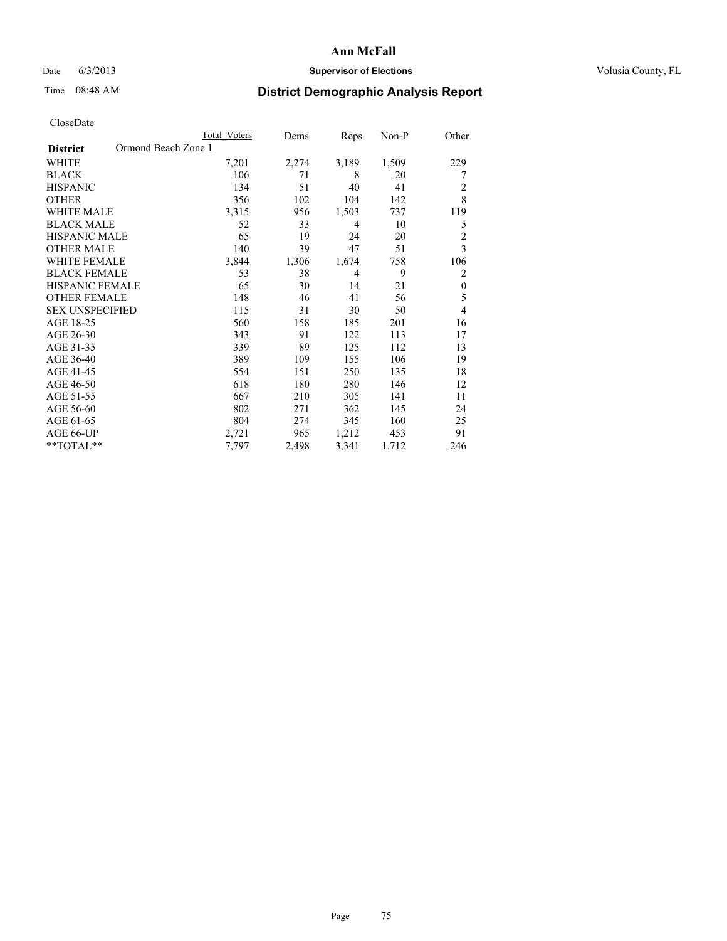### Date 6/3/2013 **Supervisor of Elections Supervisor of Elections** Volusia County, FL

# Time 08:48 AM **District Demographic Analysis Report**

|                        | <b>Total Voters</b> | Dems  | Reps           | Non-P | Other          |
|------------------------|---------------------|-------|----------------|-------|----------------|
| <b>District</b>        | Ormond Beach Zone 1 |       |                |       |                |
| WHITE                  | 7,201               | 2,274 | 3,189          | 1,509 | 229            |
| <b>BLACK</b>           | 106                 | 71    | 8              | 20    | 7              |
| <b>HISPANIC</b>        | 134                 | 51    | 40             | 41    | 2              |
| <b>OTHER</b>           | 356                 | 102   | 104            | 142   | 8              |
| WHITE MALE             | 3,315               | 956   | 1,503          | 737   | 119            |
| <b>BLACK MALE</b>      | 52                  | 33    | $\overline{4}$ | 10    | 5              |
| <b>HISPANIC MALE</b>   | 65                  | 19    | 24             | 20    | $\overline{2}$ |
| <b>OTHER MALE</b>      | 140                 | 39    | 47             | 51    | 3              |
| <b>WHITE FEMALE</b>    | 3,844               | 1,306 | 1,674          | 758   | 106            |
| <b>BLACK FEMALE</b>    | 53                  | 38    | $\overline{4}$ | 9     | 2              |
| <b>HISPANIC FEMALE</b> | 65                  | 30    | 14             | 21    | $\theta$       |
| <b>OTHER FEMALE</b>    | 148                 | 46    | 41             | 56    | 5              |
| <b>SEX UNSPECIFIED</b> | 115                 | 31    | 30             | 50    | 4              |
| AGE 18-25              | 560                 | 158   | 185            | 201   | 16             |
| AGE 26-30              | 343                 | 91    | 122            | 113   | 17             |
| AGE 31-35              | 339                 | 89    | 125            | 112   | 13             |
| AGE 36-40              | 389                 | 109   | 155            | 106   | 19             |
| AGE 41-45              | 554                 | 151   | 250            | 135   | 18             |
| AGE 46-50              | 618                 | 180   | 280            | 146   | 12             |
| AGE 51-55              | 667                 | 210   | 305            | 141   | 11             |
| AGE 56-60              | 802                 | 271   | 362            | 145   | 24             |
| AGE 61-65              | 804                 | 274   | 345            | 160   | 25             |
| AGE 66-UP              | 2,721               | 965   | 1,212          | 453   | 91             |
| **TOTAL**              | 7.797               | 2,498 | 3,341          | 1,712 | 246            |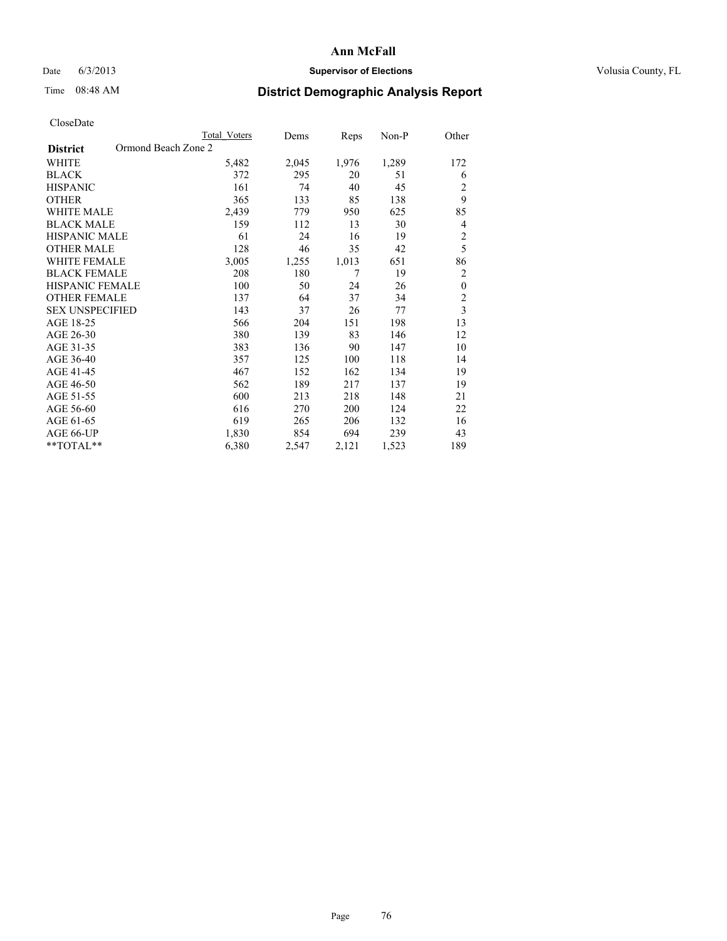## Date 6/3/2013 **Supervisor of Elections Supervisor of Elections** Volusia County, FL

# Time 08:48 AM **District Demographic Analysis Report**

|                        | <b>Total Voters</b> | Dems  | Reps  | Non-P | Other          |
|------------------------|---------------------|-------|-------|-------|----------------|
| <b>District</b>        | Ormond Beach Zone 2 |       |       |       |                |
| WHITE                  | 5,482               | 2,045 | 1,976 | 1,289 | 172            |
| <b>BLACK</b>           | 372                 | 295   | 20    | 51    | 6              |
| <b>HISPANIC</b>        | 161                 | 74    | 40    | 45    | 2              |
| <b>OTHER</b>           | 365                 | 133   | 85    | 138   | 9              |
| WHITE MALE             | 2,439               | 779   | 950   | 625   | 85             |
| <b>BLACK MALE</b>      | 159                 | 112   | 13    | 30    | 4              |
| <b>HISPANIC MALE</b>   | 61                  | 24    | 16    | 19    | $\overline{2}$ |
| <b>OTHER MALE</b>      | 128                 | 46    | 35    | 42    | 5              |
| WHITE FEMALE           | 3,005               | 1,255 | 1,013 | 651   | 86             |
| <b>BLACK FEMALE</b>    | 208                 | 180   | 7     | 19    | $\overline{2}$ |
| <b>HISPANIC FEMALE</b> | 100                 | 50    | 24    | 26    | $\mathbf{0}$   |
| <b>OTHER FEMALE</b>    | 137                 | 64    | 37    | 34    | $\overline{c}$ |
| <b>SEX UNSPECIFIED</b> | 143                 | 37    | 26    | 77    | $\mathfrak{Z}$ |
| AGE 18-25              | 566                 | 204   | 151   | 198   | 13             |
| AGE 26-30              | 380                 | 139   | 83    | 146   | 12             |
| AGE 31-35              | 383                 | 136   | 90    | 147   | 10             |
| AGE 36-40              | 357                 | 125   | 100   | 118   | 14             |
| AGE 41-45              | 467                 | 152   | 162   | 134   | 19             |
| AGE 46-50              | 562                 | 189   | 217   | 137   | 19             |
| AGE 51-55              | 600                 | 213   | 218   | 148   | 21             |
| AGE 56-60              | 616                 | 270   | 200   | 124   | 22             |
| AGE 61-65              | 619                 | 265   | 206   | 132   | 16             |
| AGE 66-UP              | 1,830               | 854   | 694   | 239   | 43             |
| **TOTAL**              | 6,380               | 2,547 | 2,121 | 1,523 | 189            |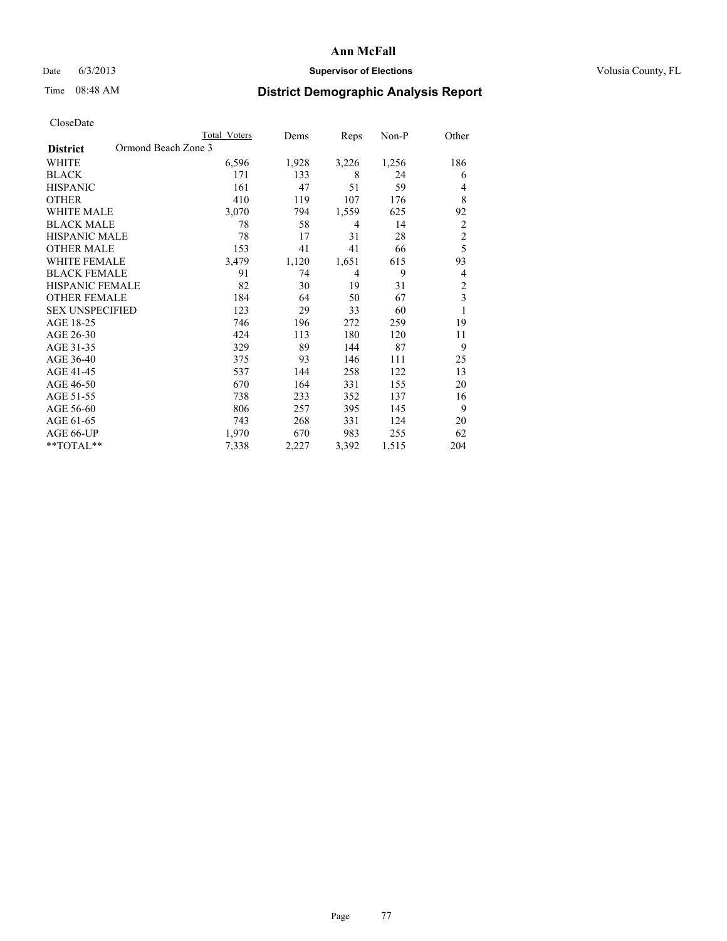### Date 6/3/2013 **Supervisor of Elections Supervisor of Elections** Volusia County, FL

# Time 08:48 AM **District Demographic Analysis Report**

|                        | <b>Total Voters</b> | Dems  | Reps           | Non-P | Other          |
|------------------------|---------------------|-------|----------------|-------|----------------|
| <b>District</b>        | Ormond Beach Zone 3 |       |                |       |                |
| WHITE                  | 6,596               | 1,928 | 3,226          | 1,256 | 186            |
| <b>BLACK</b>           | 171                 | 133   | 8              | 24    | 6              |
| <b>HISPANIC</b>        | 161                 | 47    | 51             | 59    | 4              |
| <b>OTHER</b>           | 410                 | 119   | 107            | 176   | 8              |
| WHITE MALE             | 3,070               | 794   | 1,559          | 625   | 92             |
| <b>BLACK MALE</b>      | 78                  | 58    | 4              | 14    | $\overline{2}$ |
| <b>HISPANIC MALE</b>   | 78                  | 17    | 31             | 28    | $\overline{c}$ |
| <b>OTHER MALE</b>      | 153                 | 41    | 41             | 66    | 5              |
| <b>WHITE FEMALE</b>    | 3,479               | 1,120 | 1,651          | 615   | 93             |
| <b>BLACK FEMALE</b>    | 91                  | 74    | $\overline{4}$ | 9     | 4              |
| <b>HISPANIC FEMALE</b> | 82                  | 30    | 19             | 31    | $\overline{c}$ |
| <b>OTHER FEMALE</b>    | 184                 | 64    | 50             | 67    | 3              |
| <b>SEX UNSPECIFIED</b> | 123                 | 29    | 33             | 60    | 1              |
| AGE 18-25              | 746                 | 196   | 272            | 259   | 19             |
| AGE 26-30              | 424                 | 113   | 180            | 120   | 11             |
| AGE 31-35              | 329                 | 89    | 144            | 87    | 9              |
| AGE 36-40              | 375                 | 93    | 146            | 111   | 25             |
| AGE 41-45              | 537                 | 144   | 258            | 122   | 13             |
| AGE 46-50              | 670                 | 164   | 331            | 155   | 20             |
| AGE 51-55              | 738                 | 233   | 352            | 137   | 16             |
| AGE 56-60              | 806                 | 257   | 395            | 145   | 9              |
| AGE 61-65              | 743                 | 268   | 331            | 124   | 20             |
| AGE 66-UP              | 1,970               | 670   | 983            | 255   | 62             |
| **TOTAL**              | 7,338               | 2,227 | 3,392          | 1,515 | 204            |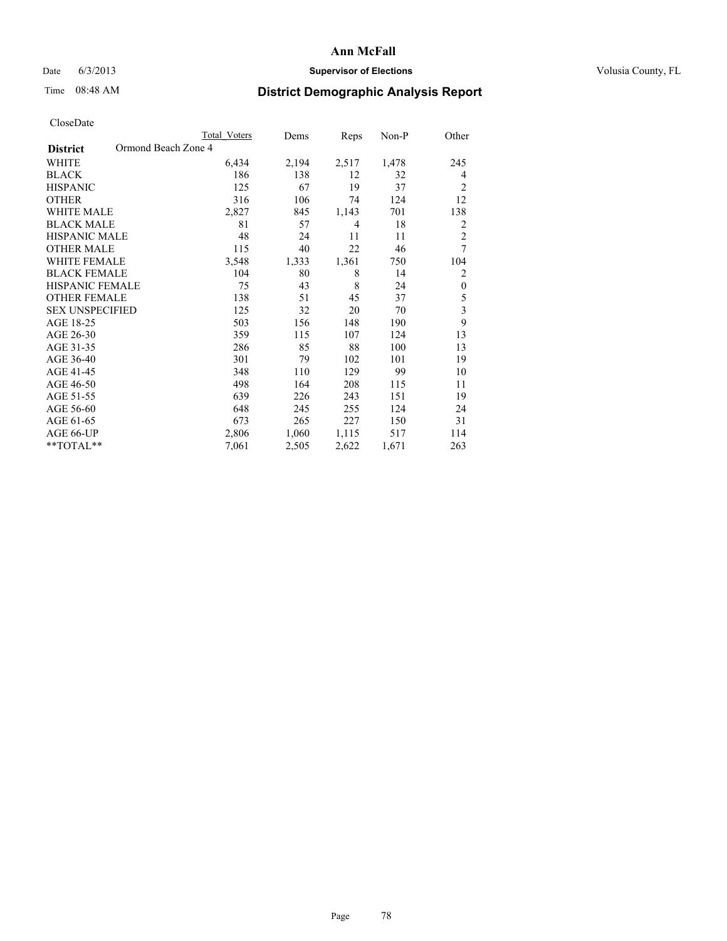### Date 6/3/2013 **Supervisor of Elections Supervisor of Elections** Volusia County, FL

# Time 08:48 AM **District Demographic Analysis Report**

|                                        | <b>Total Voters</b> | Dems  | Reps  | Non-P | Other                   |
|----------------------------------------|---------------------|-------|-------|-------|-------------------------|
| Ormond Beach Zone 4<br><b>District</b> |                     |       |       |       |                         |
| WHITE                                  | 6,434               | 2,194 | 2,517 | 1,478 | 245                     |
| <b>BLACK</b>                           | 186                 | 138   | 12    | 32    | $\overline{4}$          |
| <b>HISPANIC</b>                        | 125                 | 67    | 19    | 37    | $\overline{2}$          |
| <b>OTHER</b>                           | 316                 | 106   | 74    | 124   | 12                      |
| <b>WHITE MALE</b>                      | 2,827               | 845   | 1,143 | 701   | 138                     |
| <b>BLACK MALE</b>                      | 81                  | 57    | 4     | 18    | 2                       |
| <b>HISPANIC MALE</b>                   | 48                  | 24    | 11    | 11    | $\overline{c}$          |
| <b>OTHER MALE</b>                      | 115                 | 40    | 22    | 46    | 7                       |
| <b>WHITE FEMALE</b>                    | 3,548               | 1,333 | 1,361 | 750   | 104                     |
| <b>BLACK FEMALE</b>                    | 104                 | 80    | 8     | 14    | $\overline{2}$          |
| <b>HISPANIC FEMALE</b>                 | 75                  | 43    | 8     | 24    | $\boldsymbol{0}$        |
| <b>OTHER FEMALE</b>                    | 138                 | 51    | 45    | 37    | 5                       |
| <b>SEX UNSPECIFIED</b>                 | 125                 | 32    | 20    | 70    | $\overline{\mathbf{3}}$ |
| AGE 18-25                              | 503                 | 156   | 148   | 190   | 9                       |
| AGE 26-30                              | 359                 | 115   | 107   | 124   | 13                      |
| AGE 31-35                              | 286                 | 85    | 88    | 100   | 13                      |
| AGE 36-40                              | 301                 | 79    | 102   | 101   | 19                      |
| AGE 41-45                              | 348                 | 110   | 129   | 99    | 10                      |
| AGE 46-50                              | 498                 | 164   | 208   | 115   | 11                      |
| AGE 51-55                              | 639                 | 226   | 243   | 151   | 19                      |
| AGE 56-60                              | 648                 | 245   | 255   | 124   | 24                      |
| AGE 61-65                              | 673                 | 265   | 227   | 150   | 31                      |
| AGE 66-UP                              | 2,806               | 1,060 | 1,115 | 517   | 114                     |
| **TOTAL**                              | 7,061               | 2,505 | 2,622 | 1,671 | 263                     |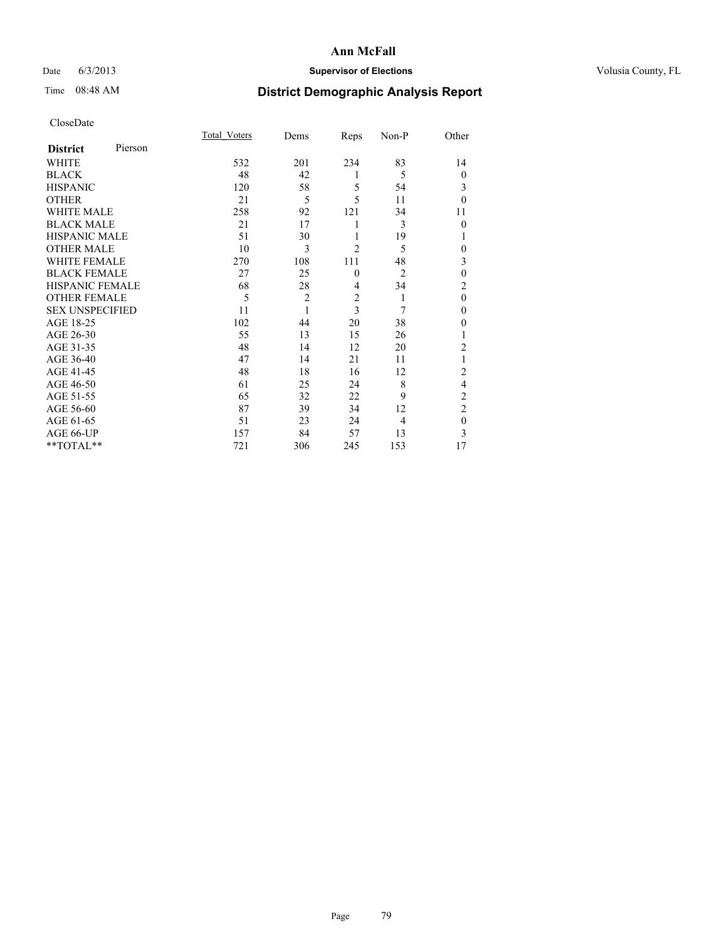## Date 6/3/2013 **Supervisor of Elections Supervisor of Elections** Volusia County, FL

# Time 08:48 AM **District Demographic Analysis Report**

|                        |         | <b>Total Voters</b> | Dems           | Reps                    | Non-P          | Other          |
|------------------------|---------|---------------------|----------------|-------------------------|----------------|----------------|
| <b>District</b>        | Pierson |                     |                |                         |                |                |
| <b>WHITE</b>           |         | 532                 | 201            | 234                     | 83             | 14             |
| <b>BLACK</b>           |         | 48                  | 42             | 1                       | 5              | $\theta$       |
| <b>HISPANIC</b>        |         | 120                 | 58             | 5                       | 54             | 3              |
| <b>OTHER</b>           |         | 21                  | 5              | 5                       | 11             | $\theta$       |
| WHITE MALE             |         | 258                 | 92             | 121                     | 34             | 11             |
| <b>BLACK MALE</b>      |         | 21                  | 17             | 1                       | 3              | $\theta$       |
| <b>HISPANIC MALE</b>   |         | 51                  | 30             | 1                       | 19             | 1              |
| <b>OTHER MALE</b>      |         | 10                  | 3              | $\overline{2}$          | 5              | 0              |
| WHITE FEMALE           |         | 270                 | 108            | 111                     | 48             | 3              |
| <b>BLACK FEMALE</b>    |         | 27                  | 25             | $\mathbf{0}$            | $\overline{2}$ | $\mathbf{0}$   |
| <b>HISPANIC FEMALE</b> |         | 68                  | 28             | $\overline{4}$          | 34             | $\overline{c}$ |
| <b>OTHER FEMALE</b>    |         | 5                   | $\overline{c}$ | $\overline{\mathbf{c}}$ | 1              | $\theta$       |
| <b>SEX UNSPECIFIED</b> |         | 11                  | 1              | 3                       | 7              | $\mathbf{0}$   |
| AGE 18-25              |         | 102                 | 44             | 20                      | 38             | $\theta$       |
| AGE 26-30              |         | 55                  | 13             | 15                      | 26             | 1              |
| AGE 31-35              |         | 48                  | 14             | 12                      | 20             | $\overline{c}$ |
| AGE 36-40              |         | 47                  | 14             | 21                      | 11             |                |
| AGE 41-45              |         | 48                  | 18             | 16                      | 12             | $\overline{c}$ |
| AGE 46-50              |         | 61                  | 25             | 24                      | 8              | 4              |
| AGE 51-55              |         | 65                  | 32             | 22                      | 9              | $\overline{c}$ |
| AGE 56-60              |         | 87                  | 39             | 34                      | 12             | $\overline{c}$ |
| AGE 61-65              |         | 51                  | 23             | 24                      | $\overline{4}$ | $\mathbf{0}$   |
| AGE 66-UP              |         | 157                 | 84             | 57                      | 13             | 3              |
| **TOTAL**              |         | 721                 | 306            | 245                     | 153            | 17             |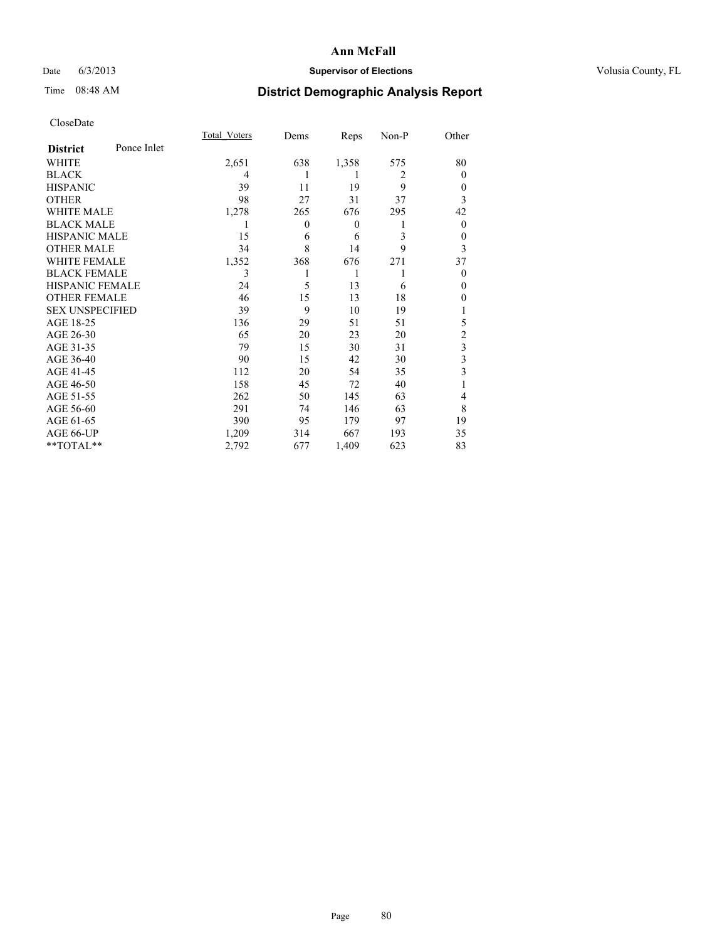## Date 6/3/2013 **Supervisor of Elections Supervisor of Elections** Volusia County, FL

# Time 08:48 AM **District Demographic Analysis Report**

|                        |             | <b>Total Voters</b> | Dems     | Reps             | Non-P          | Other                   |
|------------------------|-------------|---------------------|----------|------------------|----------------|-------------------------|
| <b>District</b>        | Ponce Inlet |                     |          |                  |                |                         |
| WHITE                  |             | 2,651               | 638      | 1,358            | 575            | 80                      |
| <b>BLACK</b>           |             | 4                   |          | 1                | $\overline{2}$ | $\Omega$                |
| <b>HISPANIC</b>        |             | 39                  | 11       | 19               | 9              | $\Omega$                |
| <b>OTHER</b>           |             | 98                  | 27       | 31               | 37             | 3                       |
| WHITE MALE             |             | 1,278               | 265      | 676              | 295            | 42                      |
| <b>BLACK MALE</b>      |             | 1                   | $\theta$ | $\boldsymbol{0}$ | 1              | $\overline{0}$          |
| <b>HISPANIC MALE</b>   |             | 15                  | 6        | 6                | 3              | 0                       |
| <b>OTHER MALE</b>      |             | 34                  | 8        | 14               | 9              | 3                       |
| <b>WHITE FEMALE</b>    |             | 1,352               | 368      | 676              | 271            | 37                      |
| <b>BLACK FEMALE</b>    |             | 3                   |          | 1                | 1              | $\Omega$                |
| <b>HISPANIC FEMALE</b> |             | 24                  | 5        | 13               | 6              | $\Omega$                |
| <b>OTHER FEMALE</b>    |             | 46                  | 15       | 13               | 18             | $\theta$                |
| <b>SEX UNSPECIFIED</b> |             | 39                  | 9        | 10               | 19             |                         |
| AGE 18-25              |             | 136                 | 29       | 51               | 51             | 5                       |
| AGE 26-30              |             | 65                  | 20       | 23               | 20             | $\overline{c}$          |
| AGE 31-35              |             | 79                  | 15       | 30               | 31             | $\overline{\mathbf{3}}$ |
| AGE 36-40              |             | 90                  | 15       | 42               | 30             | 3                       |
| AGE 41-45              |             | 112                 | 20       | 54               | 35             | 3                       |
| AGE 46-50              |             | 158                 | 45       | 72               | 40             | 1                       |
| AGE 51-55              |             | 262                 | 50       | 145              | 63             | $\overline{4}$          |
| AGE 56-60              |             | 291                 | 74       | 146              | 63             | 8                       |
| AGE 61-65              |             | 390                 | 95       | 179              | 97             | 19                      |
| AGE 66-UP              |             | 1,209               | 314      | 667              | 193            | 35                      |
| **TOTAL**              |             | 2,792               | 677      | 1,409            | 623            | 83                      |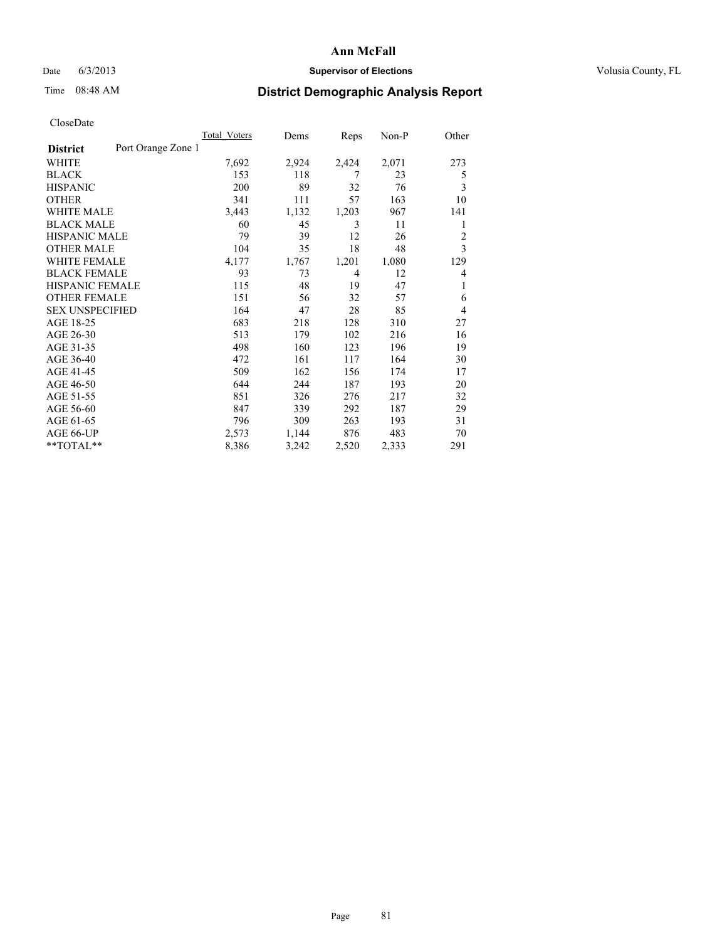### Date 6/3/2013 **Supervisor of Elections Supervisor of Elections** Volusia County, FL

# Time 08:48 AM **District Demographic Analysis Report**

|                                       | <b>Total Voters</b> | Dems  | Reps  | Non-P | Other          |
|---------------------------------------|---------------------|-------|-------|-------|----------------|
| Port Orange Zone 1<br><b>District</b> |                     |       |       |       |                |
| WHITE                                 | 7,692               | 2,924 | 2,424 | 2,071 | 273            |
| <b>BLACK</b>                          | 153                 | 118   | 7     | 23    | 5              |
| <b>HISPANIC</b>                       | 200                 | 89    | 32    | 76    | 3              |
| <b>OTHER</b>                          | 341                 | 111   | 57    | 163   | 10             |
| <b>WHITE MALE</b>                     | 3,443               | 1,132 | 1,203 | 967   | 141            |
| <b>BLACK MALE</b>                     | 60                  | 45    | 3     | 11    | 1              |
| <b>HISPANIC MALE</b>                  | 79                  | 39    | 12    | 26    | $\overline{2}$ |
| <b>OTHER MALE</b>                     | 104                 | 35    | 18    | 48    | 3              |
| <b>WHITE FEMALE</b>                   | 4,177               | 1,767 | 1,201 | 1,080 | 129            |
| <b>BLACK FEMALE</b>                   | 93                  | 73    | 4     | 12    | $\overline{4}$ |
| <b>HISPANIC FEMALE</b>                | 115                 | 48    | 19    | 47    | 1              |
| <b>OTHER FEMALE</b>                   | 151                 | 56    | 32    | 57    | 6              |
| <b>SEX UNSPECIFIED</b>                | 164                 | 47    | 28    | 85    | $\overline{4}$ |
| AGE 18-25                             | 683                 | 218   | 128   | 310   | 27             |
| AGE 26-30                             | 513                 | 179   | 102   | 216   | 16             |
| AGE 31-35                             | 498                 | 160   | 123   | 196   | 19             |
| AGE 36-40                             | 472                 | 161   | 117   | 164   | 30             |
| AGE 41-45                             | 509                 | 162   | 156   | 174   | 17             |
| AGE 46-50                             | 644                 | 244   | 187   | 193   | 20             |
| AGE 51-55                             | 851                 | 326   | 276   | 217   | 32             |
| AGE 56-60                             | 847                 | 339   | 292   | 187   | 29             |
| AGE 61-65                             | 796                 | 309   | 263   | 193   | 31             |
| AGE 66-UP                             | 2,573               | 1,144 | 876   | 483   | 70             |
| **TOTAL**                             | 8,386               | 3,242 | 2,520 | 2,333 | 291            |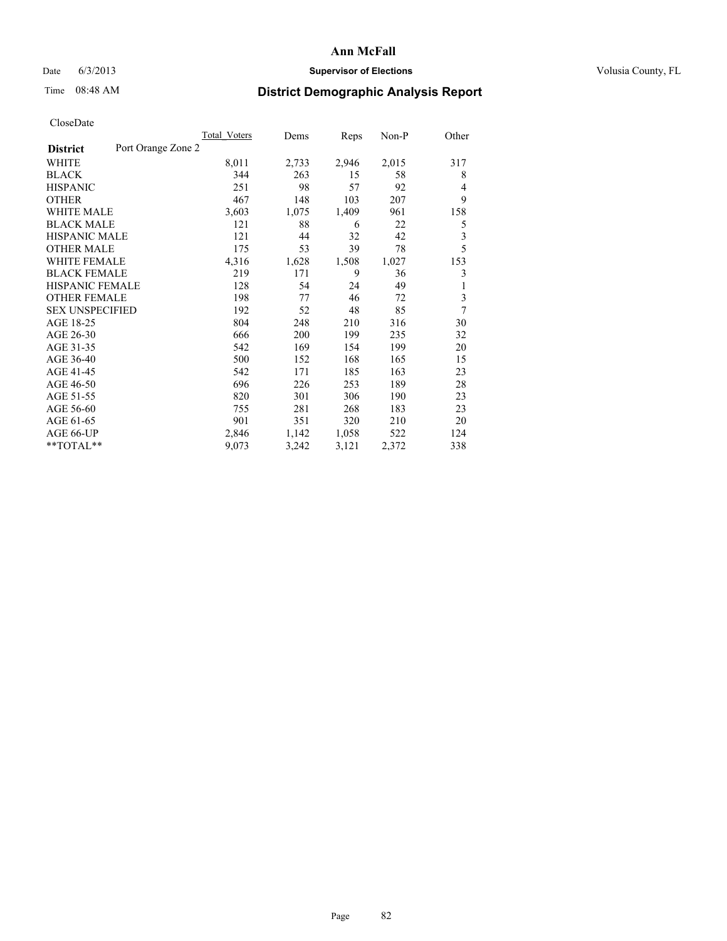### Date 6/3/2013 **Supervisor of Elections Supervisor of Elections** Volusia County, FL

# Time 08:48 AM **District Demographic Analysis Report**

|                                       | <b>Total Voters</b> | Dems  | Reps  | $Non-P$ | Other          |
|---------------------------------------|---------------------|-------|-------|---------|----------------|
| Port Orange Zone 2<br><b>District</b> |                     |       |       |         |                |
| WHITE                                 | 8,011               | 2,733 | 2,946 | 2,015   | 317            |
| <b>BLACK</b>                          | 344                 | 263   | 15    | 58      | 8              |
| <b>HISPANIC</b>                       | 251                 | 98    | 57    | 92      | $\overline{4}$ |
| <b>OTHER</b>                          | 467                 | 148   | 103   | 207     | 9              |
| <b>WHITE MALE</b>                     | 3,603               | 1,075 | 1,409 | 961     | 158            |
| <b>BLACK MALE</b>                     | 121                 | 88    | 6     | 22      | 5              |
| <b>HISPANIC MALE</b>                  | 121                 | 44    | 32    | 42      | 3              |
| <b>OTHER MALE</b>                     | 175                 | 53    | 39    | 78      | 5              |
| <b>WHITE FEMALE</b>                   | 4,316               | 1,628 | 1,508 | 1,027   | 153            |
| <b>BLACK FEMALE</b>                   | 219                 | 171   | 9     | 36      | 3              |
| <b>HISPANIC FEMALE</b>                | 128                 | 54    | 24    | 49      | 1              |
| <b>OTHER FEMALE</b>                   | 198                 | 77    | 46    | 72      | 3              |
| <b>SEX UNSPECIFIED</b>                | 192                 | 52    | 48    | 85      | 7              |
| AGE 18-25                             | 804                 | 248   | 210   | 316     | 30             |
| AGE 26-30                             | 666                 | 200   | 199   | 235     | 32             |
| AGE 31-35                             | 542                 | 169   | 154   | 199     | 20             |
| AGE 36-40                             | 500                 | 152   | 168   | 165     | 15             |
| AGE 41-45                             | 542                 | 171   | 185   | 163     | 23             |
| AGE 46-50                             | 696                 | 226   | 253   | 189     | 28             |
| AGE 51-55                             | 820                 | 301   | 306   | 190     | 23             |
| AGE 56-60                             | 755                 | 281   | 268   | 183     | 23             |
| AGE 61-65                             | 901                 | 351   | 320   | 210     | 20             |
| AGE 66-UP                             | 2,846               | 1,142 | 1,058 | 522     | 124            |
| **TOTAL**                             | 9,073               | 3,242 | 3,121 | 2,372   | 338            |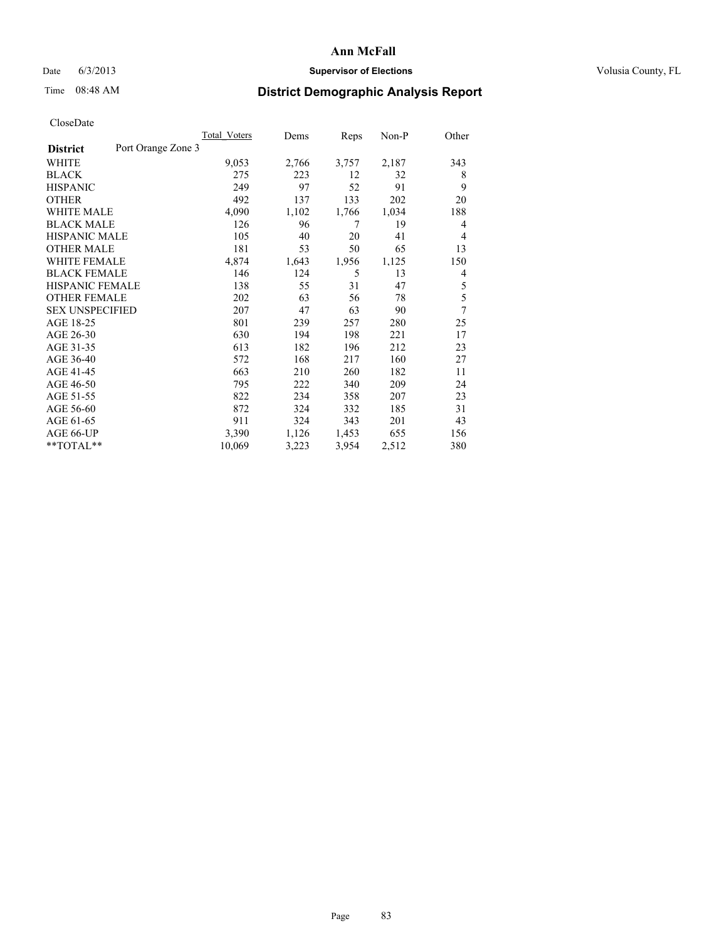### Date 6/3/2013 **Supervisor of Elections Supervisor of Elections** Volusia County, FL

# Time 08:48 AM **District Demographic Analysis Report**

|                        |                    | Total Voters | Dems  | Reps  | Non-P | Other |
|------------------------|--------------------|--------------|-------|-------|-------|-------|
| <b>District</b>        | Port Orange Zone 3 |              |       |       |       |       |
| WHITE                  |                    | 9,053        | 2,766 | 3,757 | 2,187 | 343   |
| <b>BLACK</b>           |                    | 275          | 223   | 12    | 32    | 8     |
| <b>HISPANIC</b>        |                    | 249          | 97    | 52    | 91    | 9     |
| <b>OTHER</b>           |                    | 492          | 137   | 133   | 202   | 20    |
| WHITE MALE             |                    | 4,090        | 1,102 | 1,766 | 1,034 | 188   |
| <b>BLACK MALE</b>      |                    | 126          | 96    | 7     | 19    | 4     |
| <b>HISPANIC MALE</b>   |                    | 105          | 40    | 20    | 41    | 4     |
| <b>OTHER MALE</b>      |                    | 181          | 53    | 50    | 65    | 13    |
| <b>WHITE FEMALE</b>    |                    | 4,874        | 1,643 | 1,956 | 1,125 | 150   |
| <b>BLACK FEMALE</b>    |                    | 146          | 124   | 5     | 13    | 4     |
| <b>HISPANIC FEMALE</b> |                    | 138          | 55    | 31    | 47    | 5     |
| <b>OTHER FEMALE</b>    |                    | 202          | 63    | 56    | 78    | 5     |
| <b>SEX UNSPECIFIED</b> |                    | 207          | 47    | 63    | 90    | 7     |
| AGE 18-25              |                    | 801          | 239   | 257   | 280   | 25    |
| AGE 26-30              |                    | 630          | 194   | 198   | 221   | 17    |
| AGE 31-35              |                    | 613          | 182   | 196   | 212   | 23    |
| AGE 36-40              |                    | 572          | 168   | 217   | 160   | 27    |
| AGE 41-45              |                    | 663          | 210   | 260   | 182   | 11    |
| AGE 46-50              |                    | 795          | 222   | 340   | 209   | 24    |
| AGE 51-55              |                    | 822          | 234   | 358   | 207   | 23    |
| AGE 56-60              |                    | 872          | 324   | 332   | 185   | 31    |
| AGE 61-65              |                    | 911          | 324   | 343   | 201   | 43    |
| AGE 66-UP              |                    | 3,390        | 1,126 | 1,453 | 655   | 156   |
| **TOTAL**              |                    | 10,069       | 3,223 | 3,954 | 2,512 | 380   |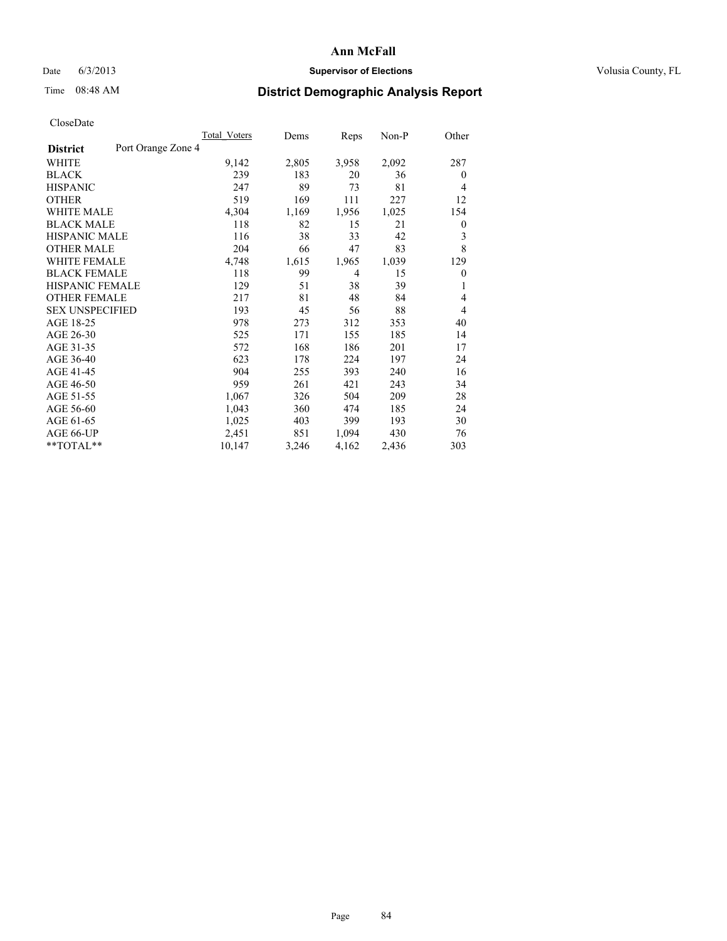### Date 6/3/2013 **Supervisor of Elections Supervisor of Elections** Volusia County, FL

# Time 08:48 AM **District Demographic Analysis Report**

|                                       | Total Voters | Dems  | Reps  | Non-P | Other            |
|---------------------------------------|--------------|-------|-------|-------|------------------|
| Port Orange Zone 4<br><b>District</b> |              |       |       |       |                  |
| WHITE                                 | 9,142        | 2,805 | 3,958 | 2,092 | 287              |
| <b>BLACK</b>                          | 239          | 183   | 20    | 36    | $\overline{0}$   |
| <b>HISPANIC</b>                       | 247          | 89    | 73    | 81    | $\overline{4}$   |
| <b>OTHER</b>                          | 519          | 169   | 111   | 227   | 12               |
| <b>WHITE MALE</b>                     | 4,304        | 1,169 | 1,956 | 1,025 | 154              |
| <b>BLACK MALE</b>                     | 118          | 82    | 15    | 21    | $\boldsymbol{0}$ |
| <b>HISPANIC MALE</b>                  | 116          | 38    | 33    | 42    | 3                |
| <b>OTHER MALE</b>                     | 204          | 66    | 47    | 83    | 8                |
| <b>WHITE FEMALE</b>                   | 4,748        | 1,615 | 1,965 | 1,039 | 129              |
| <b>BLACK FEMALE</b>                   | 118          | 99    | 4     | 15    | $\overline{0}$   |
| <b>HISPANIC FEMALE</b>                | 129          | 51    | 38    | 39    | 1                |
| <b>OTHER FEMALE</b>                   | 217          | 81    | 48    | 84    | $\overline{4}$   |
| <b>SEX UNSPECIFIED</b>                | 193          | 45    | 56    | 88    | $\overline{4}$   |
| AGE 18-25                             | 978          | 273   | 312   | 353   | 40               |
| AGE 26-30                             | 525          | 171   | 155   | 185   | 14               |
| AGE 31-35                             | 572          | 168   | 186   | 201   | 17               |
| AGE 36-40                             | 623          | 178   | 224   | 197   | 24               |
| AGE 41-45                             | 904          | 255   | 393   | 240   | 16               |
| AGE 46-50                             | 959          | 261   | 421   | 243   | 34               |
| AGE 51-55                             | 1,067        | 326   | 504   | 209   | 28               |
| AGE 56-60                             | 1,043        | 360   | 474   | 185   | 24               |
| AGE 61-65                             | 1,025        | 403   | 399   | 193   | 30               |
| AGE 66-UP                             | 2,451        | 851   | 1,094 | 430   | 76               |
| **TOTAL**                             | 10,147       | 3,246 | 4,162 | 2,436 | 303              |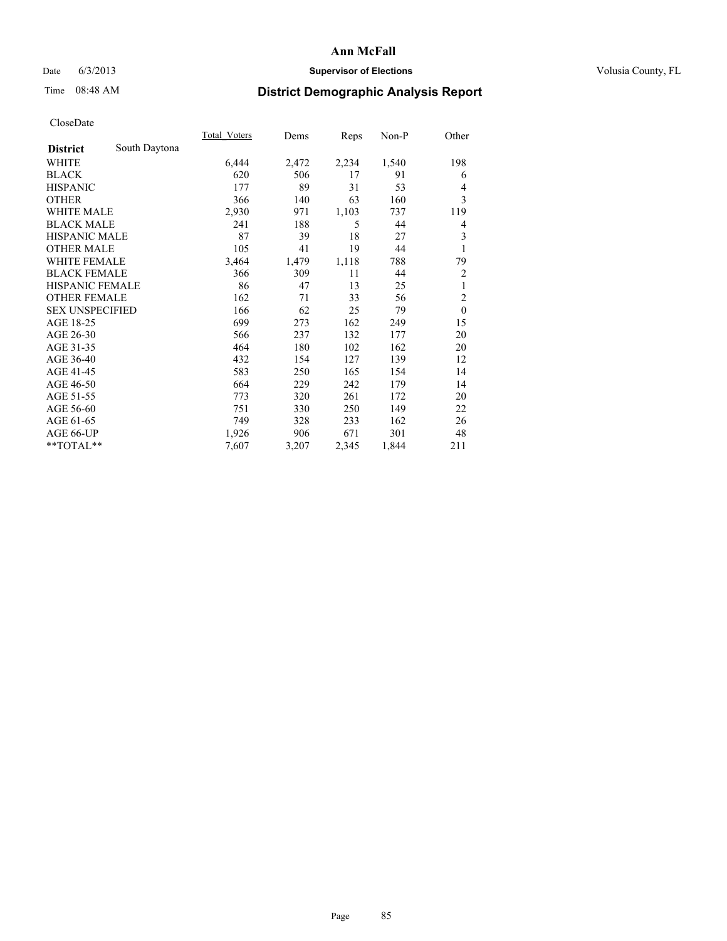## Date 6/3/2013 **Supervisor of Elections Supervisor of Elections** Volusia County, FL

# Time 08:48 AM **District Demographic Analysis Report**

|                        |               | Total Voters | Dems  | Reps  | Non-P | Other          |
|------------------------|---------------|--------------|-------|-------|-------|----------------|
| <b>District</b>        | South Daytona |              |       |       |       |                |
| WHITE                  |               | 6,444        | 2,472 | 2,234 | 1,540 | 198            |
| <b>BLACK</b>           |               | 620          | 506   | 17    | 91    | 6              |
| <b>HISPANIC</b>        |               | 177          | 89    | 31    | 53    | $\overline{4}$ |
| <b>OTHER</b>           |               | 366          | 140   | 63    | 160   | 3              |
| <b>WHITE MALE</b>      |               | 2,930        | 971   | 1,103 | 737   | 119            |
| <b>BLACK MALE</b>      |               | 241          | 188   | 5     | 44    | 4              |
| <b>HISPANIC MALE</b>   |               | 87           | 39    | 18    | 27    | 3              |
| <b>OTHER MALE</b>      |               | 105          | 41    | 19    | 44    | 1              |
| <b>WHITE FEMALE</b>    |               | 3,464        | 1,479 | 1,118 | 788   | 79             |
| <b>BLACK FEMALE</b>    |               | 366          | 309   | 11    | 44    | $\overline{2}$ |
| <b>HISPANIC FEMALE</b> |               | 86           | 47    | 13    | 25    | 1              |
| <b>OTHER FEMALE</b>    |               | 162          | 71    | 33    | 56    | $\overline{2}$ |
| <b>SEX UNSPECIFIED</b> |               | 166          | 62    | 25    | 79    | $\mathbf{0}$   |
| AGE 18-25              |               | 699          | 273   | 162   | 249   | 15             |
| AGE 26-30              |               | 566          | 237   | 132   | 177   | 20             |
| AGE 31-35              |               | 464          | 180   | 102   | 162   | 20             |
| AGE 36-40              |               | 432          | 154   | 127   | 139   | 12             |
| AGE 41-45              |               | 583          | 250   | 165   | 154   | 14             |
| AGE 46-50              |               | 664          | 229   | 242   | 179   | 14             |
| AGE 51-55              |               | 773          | 320   | 261   | 172   | 20             |
| AGE 56-60              |               | 751          | 330   | 250   | 149   | 22             |
| AGE 61-65              |               | 749          | 328   | 233   | 162   | 26             |
| AGE 66-UP              |               | 1,926        | 906   | 671   | 301   | 48             |
| **TOTAL**              |               | 7,607        | 3,207 | 2,345 | 1,844 | 211            |